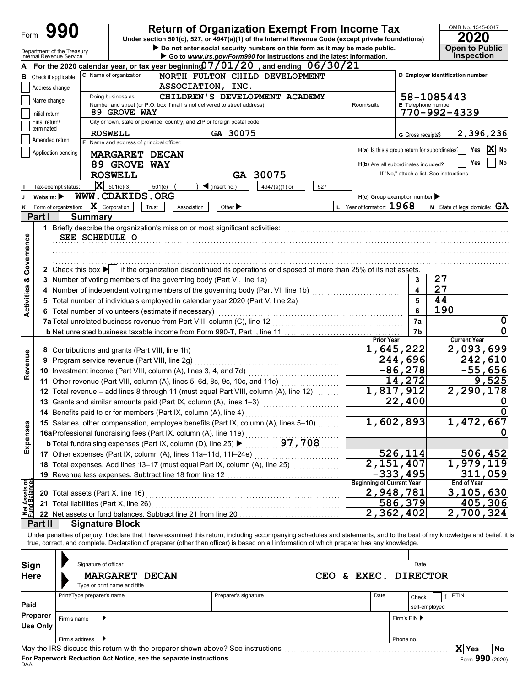|                                       | 990<br><b>Return of Organization Exempt From Income Tax</b><br>Form |                                                        |                                                                                                                                                                                                                                                                                                                          |                         | OMB No. 1545-0047<br><b>2020</b>         |
|---------------------------------------|---------------------------------------------------------------------|--------------------------------------------------------|--------------------------------------------------------------------------------------------------------------------------------------------------------------------------------------------------------------------------------------------------------------------------------------------------------------------------|-------------------------|------------------------------------------|
|                                       |                                                                     |                                                        | Under section 501(c), 527, or 4947(a)(1) of the Internal Revenue Code (except private foundations)<br>Do not enter social security numbers on this form as it may be made public.                                                                                                                                        |                         | <b>Open to Public</b>                    |
|                                       |                                                                     | Department of the Treasury<br>Internal Revenue Service | Go to www.irs.gov/Form990 for instructions and the latest information.                                                                                                                                                                                                                                                   |                         | <b>Inspection</b>                        |
|                                       |                                                                     |                                                        | For the 2020 calendar year, or tax year beginning $07/01/20$ , and ending $06/30/21$                                                                                                                                                                                                                                     |                         |                                          |
| в                                     | Check if applicable:                                                |                                                        | C Name of organization<br>NORTH FULTON CHILD DEVELOPMENT                                                                                                                                                                                                                                                                 |                         | D Employer identification number         |
|                                       | Address change                                                      |                                                        | ASSOCIATION, INC.                                                                                                                                                                                                                                                                                                        |                         |                                          |
|                                       | Name change                                                         |                                                        | CHILDREN'S DEVELOPMENT ACADEMY<br>Doing business as                                                                                                                                                                                                                                                                      |                         | 58-1085443<br><b>E</b> Telephone number  |
|                                       | Initial return                                                      |                                                        | Number and street (or P.O. box if mail is not delivered to street address)<br>Room/suite<br>89 GROVE WAY                                                                                                                                                                                                                 |                         | 770-992-4339                             |
|                                       | Final return/                                                       |                                                        | City or town, state or province, country, and ZIP or foreign postal code                                                                                                                                                                                                                                                 |                         |                                          |
|                                       | terminated                                                          |                                                        | GA 30075<br><b>ROSWELL</b>                                                                                                                                                                                                                                                                                               | G Gross receipts\$      | 2,396,236                                |
|                                       | Amended return                                                      |                                                        | F Name and address of principal officer:                                                                                                                                                                                                                                                                                 |                         |                                          |
|                                       |                                                                     | Application pending                                    | H(a) Is this a group return for subordinates <sup>1</sup><br><b>MARGARET DECAN</b>                                                                                                                                                                                                                                       |                         | X<br>Yes<br>No                           |
|                                       |                                                                     |                                                        | 89 GROVE WAY<br>H(b) Are all subordinates included?                                                                                                                                                                                                                                                                      |                         | No<br>Yes                                |
|                                       |                                                                     |                                                        | <b>ROSWELL</b><br>GA 30075                                                                                                                                                                                                                                                                                               |                         | If "No," attach a list. See instructions |
|                                       |                                                                     | Tax-exempt status:                                     | $ \mathbf{X} $ 501(c)(3)<br>501(c)<br>$\blacktriangleleft$ (insert no.)<br>4947(a)(1) or<br>527                                                                                                                                                                                                                          |                         |                                          |
|                                       | Website: $\blacktriangleright$                                      |                                                        | WWW.CDAKIDS.ORG<br>$H(c)$ Group exemption number                                                                                                                                                                                                                                                                         |                         |                                          |
| Κ                                     |                                                                     | Form of organization:                                  | L Year of formation: $1968$<br>$ \mathbf{X} $ Corporation<br>Other $\blacktriangleright$<br>Trust<br>Association                                                                                                                                                                                                         |                         | <b>M</b> State of legal domicile: $GA$   |
|                                       | Part I                                                              | <b>Summary</b>                                         |                                                                                                                                                                                                                                                                                                                          |                         |                                          |
|                                       |                                                                     |                                                        |                                                                                                                                                                                                                                                                                                                          |                         |                                          |
|                                       |                                                                     | SEE SCHEDULE O                                         |                                                                                                                                                                                                                                                                                                                          |                         |                                          |
| Governance                            |                                                                     |                                                        |                                                                                                                                                                                                                                                                                                                          |                         |                                          |
|                                       |                                                                     |                                                        |                                                                                                                                                                                                                                                                                                                          |                         |                                          |
|                                       |                                                                     |                                                        | 2 Check this box if the organization discontinued its operations or disposed of more than 25% of its net assets.                                                                                                                                                                                                         |                         |                                          |
| ೲ                                     |                                                                     |                                                        | 3 Number of voting members of the governing body (Part VI, line 1a)                                                                                                                                                                                                                                                      | 3                       | 27                                       |
|                                       |                                                                     |                                                        | 4 Number of independent voting members of the governing body (Part VI, line 1b) [[[[[[[[[[[[[[[[[[[[[[[[[[[[[                                                                                                                                                                                                            | $\overline{\mathbf{4}}$ | $\overline{27}$                          |
|                                       |                                                                     |                                                        |                                                                                                                                                                                                                                                                                                                          | 5                       | 44                                       |
| <b>Activities</b>                     |                                                                     |                                                        | 6 Total number of volunteers (estimate if necessary)                                                                                                                                                                                                                                                                     | 6                       | 190                                      |
|                                       |                                                                     |                                                        | 7a Total unrelated business revenue from Part VIII, column (C), line 12                                                                                                                                                                                                                                                  | 7a                      | 0                                        |
|                                       |                                                                     |                                                        |                                                                                                                                                                                                                                                                                                                          | 7b                      | 0                                        |
|                                       |                                                                     |                                                        | <b>Prior Year</b>                                                                                                                                                                                                                                                                                                        |                         | <b>Current Year</b>                      |
|                                       |                                                                     |                                                        | 1,645,222<br>8 Contributions and grants (Part VIII, line 1h)                                                                                                                                                                                                                                                             |                         | 2,093,699                                |
|                                       |                                                                     |                                                        | 244,696<br>9 Program service revenue (Part VIII, line 2g)                                                                                                                                                                                                                                                                |                         | 242,610                                  |
| Revenue                               |                                                                     |                                                        | $-86, 278$                                                                                                                                                                                                                                                                                                               |                         | $-55,656$                                |
|                                       |                                                                     |                                                        | 14,272<br>11 Other revenue (Part VIII, column (A), lines 5, 6d, 8c, 9c, 10c, and 11e)                                                                                                                                                                                                                                    |                         | 9,525                                    |
|                                       |                                                                     |                                                        | 1,817,912<br>12 Total revenue – add lines 8 through 11 (must equal Part VIII, column (A), line 12)                                                                                                                                                                                                                       |                         | 2,290,178                                |
|                                       |                                                                     |                                                        | 22,400<br>13 Grants and similar amounts paid (Part IX, column (A), lines 1-3)                                                                                                                                                                                                                                            |                         |                                          |
|                                       |                                                                     |                                                        | 14 Benefits paid to or for members (Part IX, column (A), line 4)                                                                                                                                                                                                                                                         |                         |                                          |
|                                       |                                                                     |                                                        | 1,602,893<br>15 Salaries, other compensation, employee benefits (Part IX, column (A), lines 5-10)                                                                                                                                                                                                                        |                         | $\overline{1}$ , 472, 667                |
| Expenses                              |                                                                     |                                                        | 16aProfessional fundraising fees (Part IX, column (A), line 11e)                                                                                                                                                                                                                                                         |                         |                                          |
|                                       |                                                                     |                                                        | 97,708<br><b>b</b> Total fundraising expenses (Part IX, column (D), line 25) ▶                                                                                                                                                                                                                                           |                         |                                          |
|                                       |                                                                     |                                                        | 526,114<br>17 Other expenses (Part IX, column (A), lines 11a-11d, 11f-24e)                                                                                                                                                                                                                                               |                         | <u>506,452</u>                           |
|                                       |                                                                     |                                                        | $\overline{2}$ , 151, 407<br>18 Total expenses. Add lines 13-17 (must equal Part IX, column (A), line 25)                                                                                                                                                                                                                |                         | 1,979,119                                |
|                                       |                                                                     |                                                        | $-333, 495$<br>19 Revenue less expenses. Subtract line 18 from line 12                                                                                                                                                                                                                                                   |                         | 311,059                                  |
| <b>Net Assets or</b><br>Fund Balances |                                                                     |                                                        | <b>Beginning of Current Year</b>                                                                                                                                                                                                                                                                                         |                         | <b>End of Year</b>                       |
|                                       |                                                                     | 20 Total assets (Part X, line 16)                      | 2,948,781                                                                                                                                                                                                                                                                                                                |                         | 3,105,630                                |
|                                       |                                                                     | 21 Total liabilities (Part X, line 26)                 | 586,379                                                                                                                                                                                                                                                                                                                  |                         | 405,306                                  |
|                                       |                                                                     |                                                        | 2,362,402<br>22 Net assets or fund balances. Subtract line 21 from line 20                                                                                                                                                                                                                                               |                         | 2,700,324                                |
|                                       | Part II                                                             | <b>Signature Block</b>                                 |                                                                                                                                                                                                                                                                                                                          |                         |                                          |
|                                       |                                                                     |                                                        | Under penalties of perjury, I declare that I have examined this return, including accompanying schedules and statements, and to the best of my knowledge and belief, it is<br>true, correct, and complete. Declaration of preparer (other than officer) is based on all information of which preparer has any knowledge. |                         |                                          |
|                                       |                                                                     |                                                        |                                                                                                                                                                                                                                                                                                                          |                         |                                          |
| Sign                                  |                                                                     | Signature of officer                                   |                                                                                                                                                                                                                                                                                                                          | Date                    |                                          |
| <b>Here</b>                           |                                                                     |                                                        | & EXEC.<br><b>MARGARET DECAN</b><br>CEO                                                                                                                                                                                                                                                                                  |                         | <b>DIRECTOR</b>                          |
|                                       |                                                                     |                                                        | Type or print name and title                                                                                                                                                                                                                                                                                             |                         |                                          |
|                                       |                                                                     | Print/Type preparer's name                             | Preparer's signature<br>Date                                                                                                                                                                                                                                                                                             | Check                   | <b>PTIN</b><br>if                        |
| Paid                                  |                                                                     |                                                        |                                                                                                                                                                                                                                                                                                                          |                         | self-employed                            |
|                                       | Preparer                                                            | Firm's name                                            | Firm's EIN ▶                                                                                                                                                                                                                                                                                                             |                         |                                          |
|                                       | <b>Use Only</b>                                                     |                                                        |                                                                                                                                                                                                                                                                                                                          |                         |                                          |
|                                       |                                                                     | Firm's address                                         | Phone no.                                                                                                                                                                                                                                                                                                                |                         |                                          |
|                                       |                                                                     |                                                        |                                                                                                                                                                                                                                                                                                                          |                         | X Yes<br>No                              |

| Signature of officer         |                      |                                                                                 |            | Date                    |
|------------------------------|----------------------|---------------------------------------------------------------------------------|------------|-------------------------|
| <b>MARGARET DECAN</b>        |                      |                                                                                 |            | & EXEC. DIRECTOR        |
| Type or print name and title |                      |                                                                                 |            |                         |
| Print/Type preparer's name   | Preparer's signature |                                                                                 | Date       | <b>PTIN</b><br>Check    |
|                              |                      |                                                                                 |            | self-employed           |
|                              |                      |                                                                                 |            | Firm's EIN ▶            |
|                              |                      |                                                                                 |            |                         |
| Firm's address               |                      |                                                                                 |            | Phone no.               |
|                              |                      |                                                                                 |            | <b>No</b><br><b>Yes</b> |
| Use Only                     | Firm's name          | May the IRS discuss this return with the preparer shown above? See instructions | <b>CEO</b> |                         |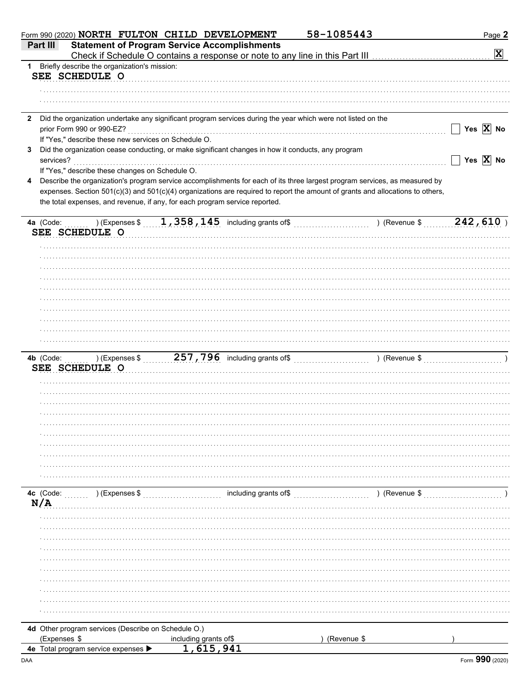| Part III     | 58-1085443<br>Form 990 (2020) NORTH FULTON CHILD DEVELOPMENT<br><b>Statement of Program Service Accomplishments</b>            | Page 2<br>$\mathbf{\overline{X}}$ |
|--------------|--------------------------------------------------------------------------------------------------------------------------------|-----------------------------------|
| $1 \quad$    | Briefly describe the organization's mission:                                                                                   |                                   |
|              | SEE SCHEDULE O                                                                                                                 |                                   |
|              |                                                                                                                                |                                   |
|              |                                                                                                                                |                                   |
| $\mathbf{2}$ | Did the organization undertake any significant program services during the year which were not listed on the                   |                                   |
|              | prior Form 990 or 990-EZ?                                                                                                      | Yes $\overline{X}$ No             |
|              | If "Yes," describe these new services on Schedule O.                                                                           |                                   |
| 3            | Did the organization cease conducting, or make significant changes in how it conducts, any program                             |                                   |
|              | services?                                                                                                                      | Yes $\overline{X}$ No             |
|              | If "Yes," describe these changes on Schedule O.                                                                                |                                   |
| 4            | Describe the organization's program service accomplishments for each of its three largest program services, as measured by     |                                   |
|              | expenses. Section 501(c)(3) and 501(c)(4) organizations are required to report the amount of grants and allocations to others, |                                   |
|              | the total expenses, and revenue, if any, for each program service reported.                                                    |                                   |
|              | $(1, 358, 145)$ including grants of $(2, 358, 145)$ including grants of $(3, 358, 145)$<br>4a (Code:                           | 242,610                           |
|              | SEE SCHEDULE O                                                                                                                 |                                   |
|              |                                                                                                                                |                                   |
|              |                                                                                                                                |                                   |
|              |                                                                                                                                |                                   |
|              |                                                                                                                                |                                   |
|              |                                                                                                                                |                                   |
|              |                                                                                                                                |                                   |
|              |                                                                                                                                |                                   |
|              |                                                                                                                                |                                   |
|              |                                                                                                                                |                                   |
|              |                                                                                                                                |                                   |
|              |                                                                                                                                |                                   |
|              | $\sim$ ) (Expenses \$<br>4b (Code:                                                                                             |                                   |
|              | SEE SCHEDULE O                                                                                                                 |                                   |
|              |                                                                                                                                |                                   |
|              |                                                                                                                                |                                   |
|              |                                                                                                                                |                                   |
|              |                                                                                                                                |                                   |
|              |                                                                                                                                |                                   |
|              |                                                                                                                                |                                   |
|              |                                                                                                                                |                                   |
|              |                                                                                                                                |                                   |
|              |                                                                                                                                |                                   |
|              |                                                                                                                                |                                   |
|              | including grants of\$<br>4c (Code:<br>) (Expenses \$<br>) (Revenue \$                                                          |                                   |
| N/A          |                                                                                                                                |                                   |
|              |                                                                                                                                |                                   |
|              |                                                                                                                                |                                   |
|              |                                                                                                                                |                                   |
|              |                                                                                                                                |                                   |
|              |                                                                                                                                |                                   |
|              |                                                                                                                                |                                   |
|              |                                                                                                                                |                                   |
|              |                                                                                                                                |                                   |
|              |                                                                                                                                |                                   |
|              |                                                                                                                                |                                   |
|              |                                                                                                                                |                                   |
|              | 4d Other program services (Describe on Schedule O.)                                                                            |                                   |
|              | (Expenses \$<br>(Revenue \$<br>including grants of\$                                                                           |                                   |
|              | 4e Total program service expenses                                                                                              |                                   |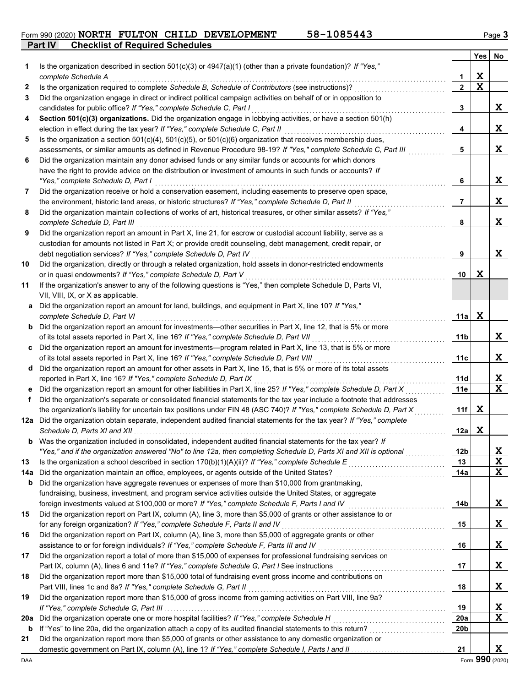**Part IV Checklist of Required Schedules** Form 990 (2020) **NORTH FULTON CHILD DEVELOPMENT** 58-1085443 Page 3

|     |                                                                                                                                                                               |                 | Yes         | No          |
|-----|-------------------------------------------------------------------------------------------------------------------------------------------------------------------------------|-----------------|-------------|-------------|
| 1   | Is the organization described in section $501(c)(3)$ or $4947(a)(1)$ (other than a private foundation)? If "Yes,"                                                             |                 |             |             |
|     | complete Schedule A                                                                                                                                                           | 1               | X           |             |
| 2   | Is the organization required to complete Schedule B, Schedule of Contributors (see instructions)?                                                                             | $\mathbf{2}$    | X           |             |
| 3   | Did the organization engage in direct or indirect political campaign activities on behalf of or in opposition to                                                              |                 |             |             |
|     | candidates for public office? If "Yes," complete Schedule C, Part I                                                                                                           | 3               |             | X           |
| 4   | Section 501(c)(3) organizations. Did the organization engage in lobbying activities, or have a section 501(h)                                                                 |                 |             |             |
|     | election in effect during the tax year? If "Yes," complete Schedule C, Part II                                                                                                | 4               |             | X           |
| 5   | Is the organization a section $501(c)(4)$ , $501(c)(5)$ , or $501(c)(6)$ organization that receives membership dues,                                                          |                 |             |             |
|     | assessments, or similar amounts as defined in Revenue Procedure 98-19? If "Yes," complete Schedule C, Part III                                                                | 5               |             | X           |
| 6   | Did the organization maintain any donor advised funds or any similar funds or accounts for which donors                                                                       |                 |             |             |
|     | have the right to provide advice on the distribution or investment of amounts in such funds or accounts? If                                                                   |                 |             |             |
|     | "Yes," complete Schedule D, Part I                                                                                                                                            | 6               |             | X           |
| 7   | Did the organization receive or hold a conservation easement, including easements to preserve open space,                                                                     |                 |             |             |
|     | the environment, historic land areas, or historic structures? If "Yes," complete Schedule D, Part II                                                                          | 7               |             | X           |
| 8   | Did the organization maintain collections of works of art, historical treasures, or other similar assets? If "Yes,"                                                           |                 |             |             |
|     | complete Schedule D, Part III                                                                                                                                                 | 8               |             | X           |
| 9   | Did the organization report an amount in Part X, line 21, for escrow or custodial account liability, serve as a                                                               |                 |             |             |
|     | custodian for amounts not listed in Part X; or provide credit counseling, debt management, credit repair, or                                                                  |                 |             |             |
|     | debt negotiation services? If "Yes," complete Schedule D, Part IV                                                                                                             | 9               |             | X           |
| 10  | Did the organization, directly or through a related organization, hold assets in donor-restricted endowments                                                                  |                 | $\mathbf x$ |             |
|     | or in quasi endowments? If "Yes," complete Schedule D, Part V<br>If the organization's answer to any of the following questions is "Yes," then complete Schedule D, Parts VI, | 10              |             |             |
| 11  | VII, VIII, IX, or X as applicable.                                                                                                                                            |                 |             |             |
|     | a Did the organization report an amount for land, buildings, and equipment in Part X, line 10? If "Yes,"                                                                      |                 |             |             |
|     | complete Schedule D, Part VI                                                                                                                                                  | 11a             | $\mathbf x$ |             |
|     | <b>b</b> Did the organization report an amount for investments-other securities in Part X, line 12, that is 5% or more                                                        |                 |             |             |
|     | of its total assets reported in Part X, line 16? If "Yes," complete Schedule D, Part VII                                                                                      | 11b             |             | X           |
| c   | Did the organization report an amount for investments—program related in Part X, line 13, that is 5% or more                                                                  |                 |             |             |
|     | of its total assets reported in Part X, line 16? If "Yes," complete Schedule D, Part VIII                                                                                     | 11с             |             | X           |
|     | d Did the organization report an amount for other assets in Part X, line 15, that is 5% or more of its total assets                                                           |                 |             |             |
|     | reported in Part X, line 16? If "Yes," complete Schedule D, Part IX                                                                                                           | 11d             |             | X           |
| е   | Did the organization report an amount for other liabilities in Part X, line 25? If "Yes," complete Schedule D, Part X                                                         | 11e             |             | $\mathbf X$ |
| f   | Did the organization's separate or consolidated financial statements for the tax year include a footnote that addresses                                                       |                 |             |             |
|     | the organization's liability for uncertain tax positions under FIN 48 (ASC 740)? If "Yes," complete Schedule D, Part X                                                        | 11f             | X           |             |
|     | 12a Did the organization obtain separate, independent audited financial statements for the tax year? If "Yes," complete                                                       |                 |             |             |
|     |                                                                                                                                                                               | 12a             | X           |             |
| b   | Was the organization included in consolidated, independent audited financial statements for the tax year? If                                                                  |                 |             |             |
|     | "Yes," and if the organization answered "No" to line 12a, then completing Schedule D, Parts XI and XII is optional                                                            | 12 <sub>b</sub> |             | X           |
| 13  |                                                                                                                                                                               | 13              |             | X           |
| 14a |                                                                                                                                                                               | 14a             |             | X           |
| b   | Did the organization have aggregate revenues or expenses of more than \$10,000 from grantmaking,                                                                              |                 |             |             |
|     | fundraising, business, investment, and program service activities outside the United States, or aggregate                                                                     |                 |             |             |
|     | foreign investments valued at \$100,000 or more? If "Yes," complete Schedule F, Parts I and IV                                                                                | 14b             |             | X           |
| 15  | Did the organization report on Part IX, column (A), line 3, more than \$5,000 of grants or other assistance to or                                                             |                 |             |             |
|     | for any foreign organization? If "Yes," complete Schedule F, Parts II and IV                                                                                                  | 15              |             | X           |
| 16  | Did the organization report on Part IX, column (A), line 3, more than \$5,000 of aggregate grants or other                                                                    |                 |             |             |
|     | assistance to or for foreign individuals? If "Yes," complete Schedule F, Parts III and IV                                                                                     | 16              |             | X           |
| 17  | Did the organization report a total of more than \$15,000 of expenses for professional fundraising services on                                                                |                 |             |             |
|     |                                                                                                                                                                               | 17              |             | X           |
| 18  | Did the organization report more than \$15,000 total of fundraising event gross income and contributions on                                                                   |                 |             |             |
|     | Part VIII, lines 1c and 8a? If "Yes," complete Schedule G, Part II                                                                                                            | 18              |             | X           |
| 19  | Did the organization report more than \$15,000 of gross income from gaming activities on Part VIII, line 9a?                                                                  |                 |             |             |
|     |                                                                                                                                                                               | 19              |             | X           |
| 20a | Did the organization operate one or more hospital facilities? If "Yes," complete Schedule H                                                                                   | <b>20a</b>      |             | X           |
| b   |                                                                                                                                                                               | 20b             |             |             |
| 21  | Did the organization report more than \$5,000 of grants or other assistance to any domestic organization or                                                                   |                 |             |             |
|     |                                                                                                                                                                               | 21              |             | X           |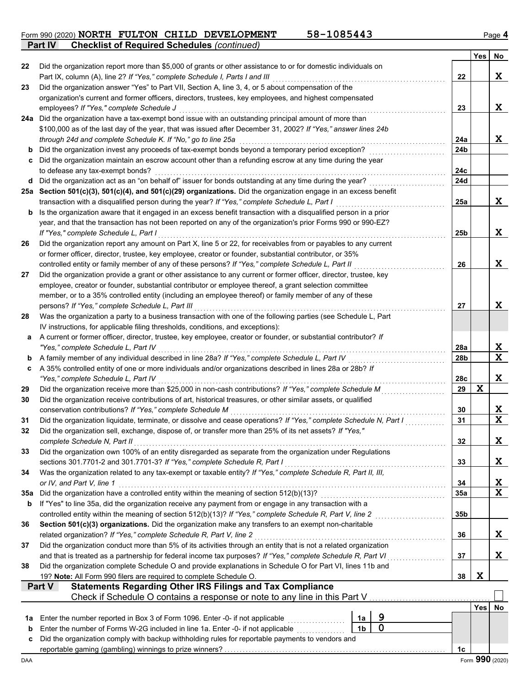Form 990 (2020) **NORTH FULTON CHILD DEVELOPMENT** 58-1085443 Page 4 **NORTH FULTON CHILD DEVELOPMENT 58-1085443**

**Part IV Checklist of Required Schedules** *(continued)*

|     |                                                                                                                                                                   |                |             |                        | <b>Yes</b>  | No              |
|-----|-------------------------------------------------------------------------------------------------------------------------------------------------------------------|----------------|-------------|------------------------|-------------|-----------------|
| 22  | Did the organization report more than \$5,000 of grants or other assistance to or for domestic individuals on                                                     |                |             |                        |             |                 |
|     | Part IX, column (A), line 2? If "Yes," complete Schedule I, Parts I and III                                                                                       |                |             | 22                     |             | X               |
| 23  | Did the organization answer "Yes" to Part VII, Section A, line 3, 4, or 5 about compensation of the                                                               |                |             |                        |             |                 |
|     | organization's current and former officers, directors, trustees, key employees, and highest compensated                                                           |                |             |                        |             |                 |
|     | employees? If "Yes," complete Schedule J                                                                                                                          |                |             | 23                     |             | X               |
|     | 24a Did the organization have a tax-exempt bond issue with an outstanding principal amount of more than                                                           |                |             |                        |             |                 |
|     | \$100,000 as of the last day of the year, that was issued after December 31, 2002? If "Yes," answer lines 24b                                                     |                |             |                        |             |                 |
|     | through 24d and complete Schedule K. If "No," go to line 25a<br>Did the organization invest any proceeds of tax-exempt bonds beyond a temporary period exception? |                |             | 24a<br>24 <sub>b</sub> |             | X               |
| b   | Did the organization maintain an escrow account other than a refunding escrow at any time during the year                                                         |                |             |                        |             |                 |
| c   | to defease any tax-exempt bonds?                                                                                                                                  |                |             | 24c                    |             |                 |
|     | d Did the organization act as an "on behalf of" issuer for bonds outstanding at any time during the year?                                                         |                |             | 24d                    |             |                 |
|     | 25a Section 501(c)(3), 501(c)(4), and 501(c)(29) organizations. Did the organization engage in an excess benefit                                                  |                |             |                        |             |                 |
|     | transaction with a disqualified person during the year? If "Yes," complete Schedule L, Part I                                                                     |                |             | 25a                    |             | X               |
|     | <b>b</b> Is the organization aware that it engaged in an excess benefit transaction with a disqualified person in a prior                                         |                |             |                        |             |                 |
|     | year, and that the transaction has not been reported on any of the organization's prior Forms 990 or 990-EZ?                                                      |                |             |                        |             |                 |
|     | If "Yes." complete Schedule L. Part I                                                                                                                             |                |             | 25 <sub>b</sub>        |             | X               |
| 26  | Did the organization report any amount on Part X, line 5 or 22, for receivables from or payables to any current                                                   |                |             |                        |             |                 |
|     | or former officer, director, trustee, key employee, creator or founder, substantial contributor, or 35%                                                           |                |             |                        |             |                 |
|     | controlled entity or family member of any of these persons? If "Yes," complete Schedule L, Part II                                                                |                |             | 26                     |             | X               |
| 27  | Did the organization provide a grant or other assistance to any current or former officer, director, trustee, key                                                 |                |             |                        |             |                 |
|     | employee, creator or founder, substantial contributor or employee thereof, a grant selection committee                                                            |                |             |                        |             |                 |
|     | member, or to a 35% controlled entity (including an employee thereof) or family member of any of these                                                            |                |             |                        |             |                 |
|     | persons? If "Yes," complete Schedule L, Part III                                                                                                                  |                |             | 27                     |             | X               |
| 28  | Was the organization a party to a business transaction with one of the following parties (see Schedule L, Part                                                    |                |             |                        |             |                 |
|     | IV instructions, for applicable filing thresholds, conditions, and exceptions):                                                                                   |                |             |                        |             |                 |
| a   | A current or former officer, director, trustee, key employee, creator or founder, or substantial contributor? If<br>"Yes," complete Schedule L, Part IV           |                |             | 28a                    |             | X               |
| b   | A family member of any individual described in line 28a? If "Yes," complete Schedule L, Part IV                                                                   |                |             | 28 <sub>b</sub>        |             | $\mathbf x$     |
| c   | A 35% controlled entity of one or more individuals and/or organizations described in lines 28a or 28b? If                                                         |                |             |                        |             |                 |
|     | "Yes," complete Schedule L, Part IV                                                                                                                               |                |             | 28c                    |             | X               |
| 29  | Did the organization receive more than \$25,000 in non-cash contributions? If "Yes," complete Schedule M                                                          |                |             | 29                     | $\mathbf x$ |                 |
| 30  | Did the organization receive contributions of art, historical treasures, or other similar assets, or qualified                                                    |                |             |                        |             |                 |
|     | conservation contributions? If "Yes," complete Schedule M                                                                                                         |                |             | 30                     |             | X               |
| 31  | Did the organization liquidate, terminate, or dissolve and cease operations? If "Yes," complete Schedule N, Part I                                                |                |             | 31                     |             | $\mathbf x$     |
| 32  | Did the organization sell, exchange, dispose of, or transfer more than 25% of its net assets? If "Yes,"                                                           |                |             |                        |             |                 |
|     | complete Schedule N, Part II                                                                                                                                      |                |             | 32                     |             | X               |
| 33  | Did the organization own 100% of an entity disregarded as separate from the organization under Regulations                                                        |                |             |                        |             |                 |
|     | sections 301.7701-2 and 301.7701-3? If "Yes," complete Schedule R, Part I                                                                                         |                |             | 33                     |             | X               |
| 34  | Was the organization related to any tax-exempt or taxable entity? If "Yes," complete Schedule R, Part II, III,                                                    |                |             |                        |             |                 |
|     | or IV, and Part V, line 1                                                                                                                                         |                |             | 34                     |             | X               |
| 35a | Did the organization have a controlled entity within the meaning of section 512(b)(13)?                                                                           |                |             | 35a                    |             | $\mathbf x$     |
| b   | If "Yes" to line 35a, did the organization receive any payment from or engage in any transaction with a                                                           |                |             |                        |             |                 |
|     | Section 501(c)(3) organizations. Did the organization make any transfers to an exempt non-charitable                                                              |                |             | 35b                    |             |                 |
| 36  | related organization? If "Yes," complete Schedule R, Part V, line 2                                                                                               |                |             | 36                     |             | X               |
| 37  | Did the organization conduct more than 5% of its activities through an entity that is not a related organization                                                  |                |             |                        |             |                 |
|     | and that is treated as a partnership for federal income tax purposes? If "Yes," complete Schedule R, Part VI                                                      |                |             | 37                     |             | X               |
| 38  | Did the organization complete Schedule O and provide explanations in Schedule O for Part VI, lines 11b and                                                        |                |             | .                      |             |                 |
|     | 19? Note: All Form 990 filers are required to complete Schedule O.                                                                                                |                |             | 38                     | X           |                 |
|     | <b>Statements Regarding Other IRS Filings and Tax Compliance</b><br><b>Part V</b>                                                                                 |                |             |                        |             |                 |
|     | Check if Schedule O contains a response or note to any line in this Part V                                                                                        |                |             |                        |             |                 |
|     |                                                                                                                                                                   |                |             |                        | <b>Yes</b>  | No              |
| 1a  | Enter the number reported in Box 3 of Form 1096. Enter -0- if not applicable                                                                                      | 1a             | 9           |                        |             |                 |
| b   | Enter the number of Forms W-2G included in line 1a. Enter -0- if not applicable [[[[[[[[[[[[[[[[[[[[[[[[[[[[[                                                     | 1 <sub>b</sub> | $\mathbf 0$ |                        |             |                 |
| c   | Did the organization comply with backup withholding rules for reportable payments to vendors and                                                                  |                |             |                        |             |                 |
|     |                                                                                                                                                                   |                |             | 1c                     |             |                 |
| DAA |                                                                                                                                                                   |                |             |                        |             | Form 990 (2020) |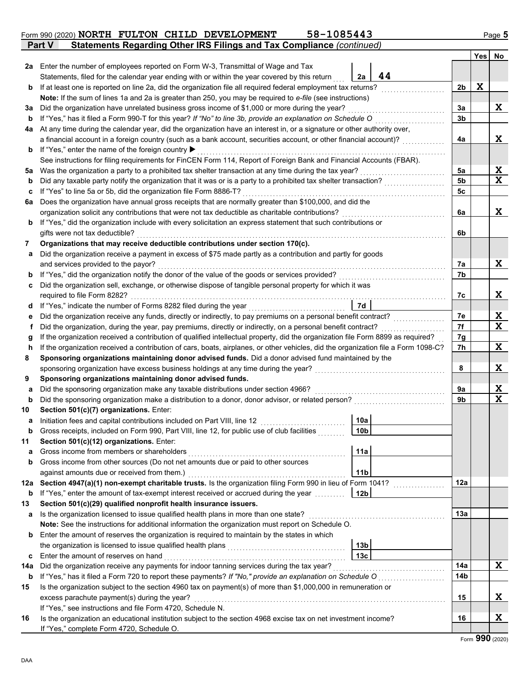| b   | If "Yes," has it filed a Form 990-T for this year? If "No" to line 3b, provide an explanation on Schedule O                        |                 |     |                  |
|-----|------------------------------------------------------------------------------------------------------------------------------------|-----------------|-----|------------------|
| 4a  | At any time during the calendar year, did the organization have an interest in, or a signature or other authority over,            |                 |     |                  |
|     | a financial account in a foreign country (such as a bank account, securities account, or other financial account)?                 |                 | 4a  | X                |
| b   | If "Yes," enter the name of the foreign country ▶                                                                                  |                 |     |                  |
|     | See instructions for filing requirements for FinCEN Form 114, Report of Foreign Bank and Financial Accounts (FBAR).                |                 |     |                  |
| 5a  | Was the organization a party to a prohibited tax shelter transaction at any time during the tax year?                              |                 | 5a  | X                |
| b   | Did any taxable party notify the organization that it was or is a party to a prohibited tax shelter transaction?                   |                 | 5b  | X                |
| c   | If "Yes" to line 5a or 5b, did the organization file Form 8886-T?                                                                  |                 | 5с  |                  |
| 6а  | Does the organization have annual gross receipts that are normally greater than \$100,000, and did the                             |                 |     |                  |
|     | organization solicit any contributions that were not tax deductible as charitable contributions?                                   |                 | 6a  | X                |
| b   | If "Yes," did the organization include with every solicitation an express statement that such contributions or                     |                 |     |                  |
|     | gifts were not tax deductible?                                                                                                     |                 | 6b  |                  |
| 7   | Organizations that may receive deductible contributions under section 170(c).                                                      |                 |     |                  |
| а   | Did the organization receive a payment in excess of \$75 made partly as a contribution and partly for goods                        |                 |     |                  |
|     | and services provided to the payor?                                                                                                |                 | 7а  | X                |
| b   |                                                                                                                                    |                 | 7b  |                  |
|     | Did the organization sell, exchange, or otherwise dispose of tangible personal property for which it was                           |                 |     |                  |
| c   | required to file Form 8282?                                                                                                        |                 | 7c  | X                |
|     |                                                                                                                                    | 7d              |     |                  |
| a   | If "Yes," indicate the number of Forms 8282 filed during the year                                                                  |                 |     |                  |
| е   | Did the organization receive any funds, directly or indirectly, to pay premiums on a personal benefit contract?                    |                 | 7е  | X<br>$\mathbf x$ |
| t   | Did the organization, during the year, pay premiums, directly or indirectly, on a personal benefit contract?                       |                 | 7f  |                  |
| g   | If the organization received a contribution of qualified intellectual property, did the organization file Form 8899 as required?   |                 | 7g  |                  |
| h   | If the organization received a contribution of cars, boats, airplanes, or other vehicles, did the organization file a Form 1098-C? |                 | 7h  | X                |
| 8   | Sponsoring organizations maintaining donor advised funds. Did a donor advised fund maintained by the                               |                 |     |                  |
|     | sponsoring organization have excess business holdings at any time during the year?                                                 |                 | 8   | X                |
| 9   | Sponsoring organizations maintaining donor advised funds.                                                                          |                 |     |                  |
| а   | Did the sponsoring organization make any taxable distributions under section 4966?                                                 |                 | 9а  | X                |
| b   | Did the sponsoring organization make a distribution to a donor, donor advisor, or related person?                                  |                 | 9b  | $\mathbf x$      |
| 10  | Section 501(c)(7) organizations. Enter:                                                                                            |                 |     |                  |
| а   | Initiation fees and capital contributions included on Part VIII, line 12                                                           | 10a             |     |                  |
| b   | Gross receipts, included on Form 990, Part VIII, line 12, for public use of club facilities                                        | 10 <sub>b</sub> |     |                  |
| 11  | Section 501(c)(12) organizations. Enter:                                                                                           |                 |     |                  |
| а   | Gross income from members or shareholders                                                                                          | 11a             |     |                  |
| b   | Gross income from other sources (Do not net amounts due or paid to other sources                                                   |                 |     |                  |
|     | against amounts due or received from them.)                                                                                        | 11 <sub>b</sub> |     |                  |
|     | 12a Section 4947(a)(1) non-exempt charitable trusts. Is the organization filing Form 990 in lieu of Form 1041?                     |                 | 12a |                  |
| b   | If "Yes," enter the amount of tax-exempt interest received or accrued during the year <i>minimal</i>                               | 12b             |     |                  |
|     | Section 501(c)(29) qualified nonprofit health insurance issuers.                                                                   |                 |     |                  |
| а   | Is the organization licensed to issue qualified health plans in more than one state?                                               |                 | 13а |                  |
|     | Note: See the instructions for additional information the organization must report on Schedule O.                                  |                 |     |                  |
| b   | Enter the amount of reserves the organization is required to maintain by the states in which                                       |                 |     |                  |
|     |                                                                                                                                    | 13b             |     |                  |
| c   | Enter the amount of reserves on hand                                                                                               | 13с             |     |                  |
| 14a | Did the organization receive any payments for indoor tanning services during the tax year?                                         |                 | 14a | X                |
| b   | If "Yes," has it filed a Form 720 to report these payments? If "No," provide an explanation on Schedule O                          |                 | 14b |                  |
| 15  | Is the organization subject to the section 4960 tax on payment(s) of more than \$1,000,000 in remuneration or                      |                 |     |                  |
|     |                                                                                                                                    |                 | 15  | X.               |
|     | excess parachute payment(s) during the year?                                                                                       |                 |     |                  |
|     | If "Yes," see instructions and file Form 4720, Schedule N.                                                                         |                 |     |                  |
| 16  | Is the organization an educational institution subject to the section 4968 excise tax on net investment income?                    |                 | 16  | X                |

| Form 990 (2020) NORTH FULTON CHILD DEVELOPMENT |  | 58-1085443 | Page <b>:</b> |
|------------------------------------------------|--|------------|---------------|

Statements, filed for the calendar year ending with or within the year covered by this return

**Note:** If the sum of lines 1a and 2a is greater than 250, you may be required to *e-file* (see instructions)

**b** If at least one is reported on line 2a, did the organization file all required federal employment tax returns? . . . . . . . . . . . . . . . . . . . . .

**3a** Did the organization have unrelated business gross income of \$1,000 or more during the year? . . . . . . . . . . . . . . . . . . . . . . . . . . . . . . . .

**2a** Enter the number of employees reported on Form W-3, Transmittal of Wage and Tax

|               |  | brm 990 (2020) NORTH FULTON CHILD DEVELOPMENT                         | 58-1085443 |  |
|---------------|--|-----------------------------------------------------------------------|------------|--|
| <b>Part V</b> |  | Statements Regarding Other IRS Filings and Tax Compliance (continued) |            |  |

**44**

**2a**

**X**

**Yes No**

**X**

**2b**

**3a**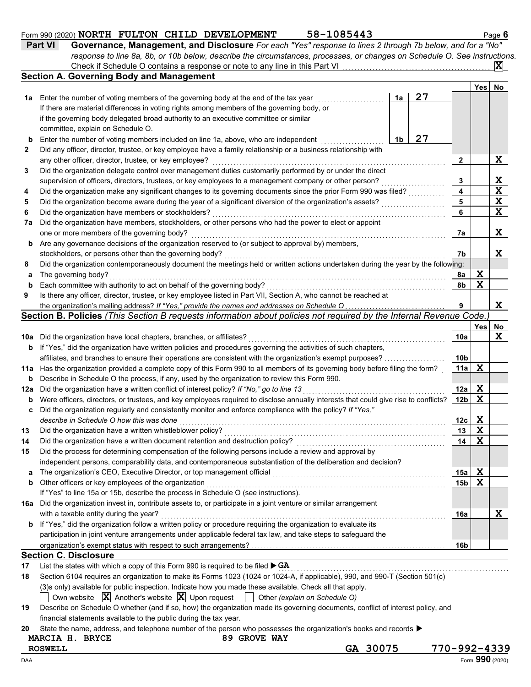|    | 58-1085443<br>Form 990 (2020) NORTH FULTON CHILD DEVELOPMENT                                                                 |    |    |      | Page 6 |
|----|------------------------------------------------------------------------------------------------------------------------------|----|----|------|--------|
|    | Governance, Management, and Disclosure For each "Yes" response to lines 2 through 7b below, and for a "No"<br><b>Part VI</b> |    |    |      |        |
|    | response to line 8a, 8b, or 10b below, describe the circumstances, processes, or changes on Schedule O. See instructions.    |    |    |      |        |
|    |                                                                                                                              |    |    |      |        |
|    | <b>Section A. Governing Body and Management</b>                                                                              |    |    |      |        |
|    |                                                                                                                              |    |    | Yes⊺ | No     |
| 1a | Enter the number of voting members of the governing body at the end of the tax year                                          | 1a | 27 |      |        |
|    | If there are material differences in voting rights among members of the governing body, or                                   |    |    |      |        |
|    | if the governing body delegated broad authority to an executive committee or similar                                         |    |    |      |        |
|    | committee, explain on Schedule O.                                                                                            |    |    |      |        |
| b  | Enter the number of voting members included on line 1a, above, who are independent                                           | 1b | 27 |      |        |
|    | Did any officer, director, trustee, or key employee have a family relationship or a business relationship with               |    |    |      |        |
|    | any other officer, director, trustee, or key employee?                                                                       |    |    |      | X      |
|    | Did the organization delegate control over management duties customarily performed by or under the direct                    |    |    |      |        |
|    | the contract of the contract of the contract of the contract of the contract of the contract of the contract of              |    |    |      |        |

| 3   | Did the organization delegate control over management duties customarily performed by or under the direct                           |                 |             |                         |
|-----|-------------------------------------------------------------------------------------------------------------------------------------|-----------------|-------------|-------------------------|
|     | supervision of officers, directors, trustees, or key employees to a management company or other person?                             | 3               |             | X                       |
| 4   | Did the organization make any significant changes to its governing documents since the prior Form 990 was filed?                    | 4               |             | $\overline{\mathbf{x}}$ |
| 5   | Did the organization become aware during the year of a significant diversion of the organization's assets?                          | 5               |             | $\overline{\mathbf{x}}$ |
| 6   | Did the organization have members or stockholders?                                                                                  | 6               |             | $\overline{\mathbf{x}}$ |
| 7a  | Did the organization have members, stockholders, or other persons who had the power to elect or appoint                             |                 |             |                         |
|     | one or more members of the governing body?                                                                                          | 7a              |             | X                       |
| b   | Are any governance decisions of the organization reserved to (or subject to approval by) members,                                   |                 |             |                         |
|     | stockholders, or persons other than the governing body?                                                                             | 7b              |             | X                       |
| 8   | Did the organization contemporaneously document the meetings held or written actions undertaken during the year by the following:   |                 |             |                         |
| a   | The governing body?                                                                                                                 | 8а              | X           |                         |
| b   | Each committee with authority to act on behalf of the governing body?                                                               | 8b              | $\mathbf x$ |                         |
| 9   | Is there any officer, director, trustee, or key employee listed in Part VII, Section A, who cannot be reached at                    |                 |             |                         |
|     | the organization's mailing address? If "Yes," provide the names and addresses on Schedule O                                         | 9               |             | X                       |
|     | Section B. Policies (This Section B requests information about policies not required by the Internal Revenue Code.)                 |                 |             |                         |
|     |                                                                                                                                     |                 | <b>Yes</b>  | No                      |
| 10a | Did the organization have local chapters, branches, or affiliates?                                                                  | 10a             |             | $\mathbf x$             |
|     | <b>b</b> If "Yes," did the organization have written policies and procedures governing the activities of such chapters,             |                 |             |                         |
|     | affiliates, and branches to ensure their operations are consistent with the organization's exempt purposes?                         | 10 <sub>b</sub> |             |                         |
|     | 11a Has the organization provided a complete copy of this Form 990 to all members of its governing body before filing the form?     | 11a             | X           |                         |
| b   | Describe in Schedule O the process, if any, used by the organization to review this Form 990.                                       |                 |             |                         |
| 12a | Did the organization have a written conflict of interest policy? If "No," go to line 13                                             | 12a             | X           |                         |
| b   | Were officers, directors, or trustees, and key employees required to disclose annually interests that could give rise to conflicts? | 12 <sub>b</sub> | X           |                         |
| c   | Did the organization regularly and consistently monitor and enforce compliance with the policy? If "Yes,"                           |                 |             |                         |
|     | describe in Schedule O how this was done                                                                                            | 12c             | X           |                         |
| 13  | Did the organization have a written whistleblower policy?                                                                           | 13              | X           |                         |
| 14  | Did the organization have a written document retention and destruction policy?                                                      | 14              | X           |                         |
| 15  | Did the process for determining compensation of the following persons include a review and approval by                              |                 |             |                         |
|     | independent persons, comparability data, and contemporaneous substantiation of the deliberation and decision?                       |                 |             |                         |
|     | The organization's CEO, Executive Director, or top management official                                                              | 15a             | X           |                         |
| b   | Other officers or key employees of the organization                                                                                 | 15 <sub>b</sub> | X           |                         |
|     | If "Yes" to line 15a or 15b, describe the process in Schedule O (see instructions).                                                 |                 |             |                         |
|     | 16a Did the organization invest in, contribute assets to, or participate in a joint venture or similar arrangement                  |                 |             |                         |
|     | with a taxable entity during the year?                                                                                              | 16a             |             | x                       |
|     | b If "Yes," did the organization follow a written policy or procedure requiring the organization to evaluate its                    |                 |             |                         |
|     | participation in joint venture arrangements under applicable federal tax law, and take steps to safeguard the                       |                 |             |                         |
|     |                                                                                                                                     | 16 <sub>b</sub> |             |                         |
|     | <b>Section C. Disclosure</b>                                                                                                        |                 |             |                         |

## **17** List the states with which a copy of this Form 990 is required to be filed . . . . . . . . . . . . . . . . . . . . . . . . . . . . . . . . . . . . . . . . . . . . . . . . . . . . . . . . . . . . . . . . . . . . . . . . . . . . **GA**

|    | MARCIA H. BRYCE<br>89 GROVE WAY                                                                                                       |
|----|---------------------------------------------------------------------------------------------------------------------------------------|
| 20 | State the name, address, and telephone number of the person who possesses the organization's books and records                        |
|    | financial statements available to the public during the tax year.                                                                     |
| 19 | Describe on Schedule O whether (and if so, how) the organization made its governing documents, conflict of interest policy, and       |
|    | ◯ Own website $ \mathbf{\overline{X}} $ Another's website $ \mathbf{\overline{X}} $ Upon request $\Box$ Other (explain on Schedule O) |
|    | (3)s only) available for public inspection. Indicate how you made these available. Check all that apply.                              |
| 18 | Section 6104 requires an organization to make its Forms 1023 (1024 or 1024-A, if applicable), 990, and 990-T (Section 501(c)          |
|    |                                                                                                                                       |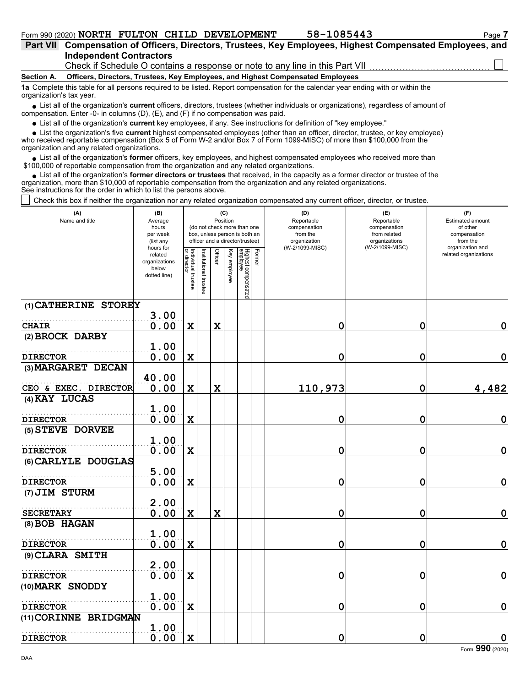| Part VII Compensation of Officers, Directors, Trustees, Key Employees, Highest Compensated Employees, and |
|-----------------------------------------------------------------------------------------------------------|
| <b>Independent Contractors</b>                                                                            |
| Check if Schedule O contains a response or note to any line in this Part VII                              |
|                                                                                                           |

#### **Section A. Officers, Directors, Trustees, Key Employees, and Highest Compensated Employees**

**1a** Complete this table for all persons required to be listed. Report compensation for the calendar year ending with or within the organization's tax year.

■ List all of the organization's **current** officers, directors, trustees (whether individuals or organizations), regardless of amount of compensation. Enter -0- in columns (D), (E), and (F) if no compensation was paid.

List all of the organization's **current** key employees, if any. See instructions for definition of "key employee."

■ List all of the organization's **current** key employees, if any. See instructions for definition of "key employee."<br>■ List the organization's five **current** highest compensated employees (other than an officer, director,

who received reportable compensation (Box 5 of Form W-2 and/or Box 7 of Form 1099-MISC) of more than \$100,000 from the organization and any related organizations.

• List all of the organization's **former** officers, key employees, and highest compensated employees who received more than<br>00,000 of reportable compensation from the organization and any related erganizations. \$100,000 of reportable compensation from the organization and any related organizations.

• List all of the organization's **former directors or trustees** that received, in the capacity as a former director or trustee of the anization more than \$10,000 of reportable compensation from the organization and any rel organization, more than \$10,000 of reportable compensation from the organization and any related organizations. See instructions for the order in which to list the persons above.

Check this box if neither the organization nor any related organization compensated any current officer, director, or trustee.

| (A)<br>Name and title                    | (B)<br>Average<br>hours<br>per week<br>(list any<br>hours for |                                   | (C)<br>Position<br>(do not check more than one<br>box, unless person is both an<br>officer and a director/trustee) |             |              |                                           | (D)<br>Reportable<br>compensation<br>from the<br>organization<br>(W-2/1099-MISC) | (E)<br>Reportable<br>compensation<br>from related<br>organizations<br>(W-2/1099-MISC) | (F)<br>Estimated amount<br>of other<br>compensation<br>from the<br>organization and |  |
|------------------------------------------|---------------------------------------------------------------|-----------------------------------|--------------------------------------------------------------------------------------------------------------------|-------------|--------------|-------------------------------------------|----------------------------------------------------------------------------------|---------------------------------------------------------------------------------------|-------------------------------------------------------------------------------------|--|
|                                          | related<br>organizations<br>below<br>dotted line)             | Individual trustee<br>or director | nstitutional trustee                                                                                               | Officer     | Key employee | Highest compensated<br>employee<br>Former |                                                                                  |                                                                                       | related organizations                                                               |  |
| (1) CATHERINE STOREY                     |                                                               |                                   |                                                                                                                    |             |              |                                           |                                                                                  |                                                                                       |                                                                                     |  |
| <b>CHAIR</b>                             | 3.00<br>0.00                                                  | $\mathbf x$                       |                                                                                                                    | $\mathbf x$ |              |                                           | 0                                                                                | 0                                                                                     | 0                                                                                   |  |
| (2) BROCK DARBY                          |                                                               |                                   |                                                                                                                    |             |              |                                           |                                                                                  |                                                                                       |                                                                                     |  |
| <b>DIRECTOR</b>                          | 1.00<br>0.00                                                  | $\mathbf x$                       |                                                                                                                    |             |              |                                           | 0                                                                                | 0                                                                                     | $\mathbf 0$                                                                         |  |
| (3) MARGARET DECAN                       |                                                               |                                   |                                                                                                                    |             |              |                                           |                                                                                  |                                                                                       |                                                                                     |  |
| CEO & EXEC. DIRECTOR                     | 40.00<br>0.00                                                 | $\mathbf x$                       |                                                                                                                    | X           |              |                                           | 110,973                                                                          | 0                                                                                     | 4,482                                                                               |  |
| (4) KAY LUCAS                            |                                                               |                                   |                                                                                                                    |             |              |                                           |                                                                                  |                                                                                       |                                                                                     |  |
| <b>DIRECTOR</b>                          | 1.00<br>0.00                                                  | X                                 |                                                                                                                    |             |              |                                           | 0                                                                                | 0                                                                                     | $\mathbf 0$                                                                         |  |
| (5) STEVE DORVEE                         |                                                               |                                   |                                                                                                                    |             |              |                                           |                                                                                  |                                                                                       |                                                                                     |  |
| <b>DIRECTOR</b>                          | 1.00<br>0.00                                                  | $\mathbf x$                       |                                                                                                                    |             |              |                                           | 0                                                                                | 0                                                                                     | $\mathbf 0$                                                                         |  |
| (6) CARLYLE DOUGLAS                      |                                                               |                                   |                                                                                                                    |             |              |                                           |                                                                                  |                                                                                       |                                                                                     |  |
| <b>DIRECTOR</b>                          | 5.00<br>0.00                                                  | $\mathbf x$                       |                                                                                                                    |             |              |                                           | 0                                                                                | 0                                                                                     | $\mathbf 0$                                                                         |  |
| (7) JIM STURM                            |                                                               |                                   |                                                                                                                    |             |              |                                           |                                                                                  |                                                                                       |                                                                                     |  |
| <b>SECRETARY</b>                         | 2.00<br>0.00                                                  | $\mathbf x$                       |                                                                                                                    | X           |              |                                           | 0                                                                                | 0                                                                                     | $\mathbf 0$                                                                         |  |
| (8) BOB HAGAN                            |                                                               |                                   |                                                                                                                    |             |              |                                           |                                                                                  |                                                                                       |                                                                                     |  |
| <b>DIRECTOR</b>                          | 1.00<br>0.00                                                  | $\mathbf x$                       |                                                                                                                    |             |              |                                           | 0                                                                                | 0                                                                                     | $\mathbf 0$                                                                         |  |
| (9) CLARA SMITH                          |                                                               |                                   |                                                                                                                    |             |              |                                           |                                                                                  |                                                                                       |                                                                                     |  |
| <b>DIRECTOR</b>                          | 2.00<br>0.00                                                  | $\mathbf x$                       |                                                                                                                    |             |              |                                           | 0                                                                                | 0                                                                                     | $\mathbf 0$                                                                         |  |
| (10) MARK SNODDY                         |                                                               |                                   |                                                                                                                    |             |              |                                           |                                                                                  |                                                                                       |                                                                                     |  |
|                                          | 1.00<br>0.00                                                  |                                   |                                                                                                                    |             |              |                                           | 0                                                                                | 0                                                                                     | $\mathbf 0$                                                                         |  |
| <b>DIRECTOR</b><br>(11) CORINNE BRIDGMAN |                                                               | X                                 |                                                                                                                    |             |              |                                           |                                                                                  |                                                                                       |                                                                                     |  |
| <b>DIRECTOR</b>                          | 1.00<br>0.00                                                  | X                                 |                                                                                                                    |             |              |                                           | 0                                                                                | 0                                                                                     | 0<br>$\overline{\phantom{a}}$                                                       |  |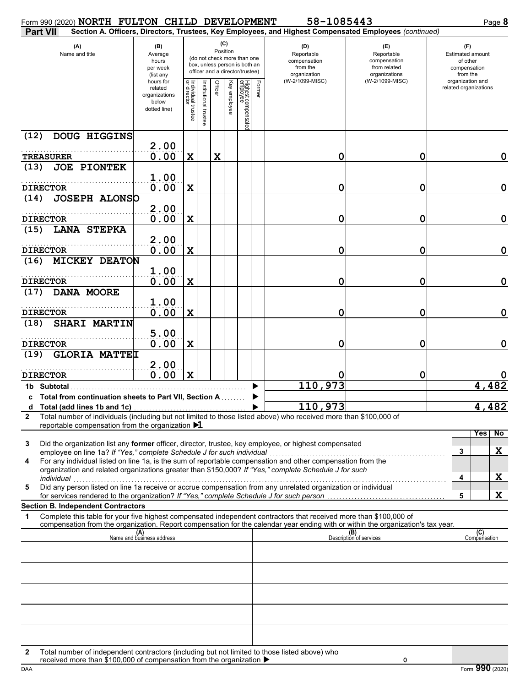| Form 990 (2020) NORTH FULTON CHILD DEVELOPMENT                                                                                                                                                                                                              |                                                                |                                   |                     |                 |              |                                                                                                 |        | 58-1085443                                                                                             |                                                                    |                                                                 |                     | Page 8      |
|-------------------------------------------------------------------------------------------------------------------------------------------------------------------------------------------------------------------------------------------------------------|----------------------------------------------------------------|-----------------------------------|---------------------|-----------------|--------------|-------------------------------------------------------------------------------------------------|--------|--------------------------------------------------------------------------------------------------------|--------------------------------------------------------------------|-----------------------------------------------------------------|---------------------|-------------|
| <b>Part VII</b>                                                                                                                                                                                                                                             |                                                                |                                   |                     |                 |              |                                                                                                 |        | Section A. Officers, Directors, Trustees, Key Employees, and Highest Compensated Employees (continued) |                                                                    |                                                                 |                     |             |
| (A)<br>Name and title                                                                                                                                                                                                                                       | (B)<br>Average<br>hours<br>per week<br>(list any               |                                   |                     | (C)<br>Position |              | (do not check more than one<br>box, unless person is both an<br>officer and a director/trustee) |        | (D)<br>Reportable<br>compensation<br>from the<br>organization                                          | (E)<br>Reportable<br>compensation<br>from related<br>organizations | (F)<br>Estimated amount<br>of other<br>compensation<br>from the |                     |             |
|                                                                                                                                                                                                                                                             | hours for<br>related<br>organizations<br>below<br>dotted line) | Individual trustee<br>or director | nstitutional truste | Officer         | Key employee | Highest compensat<br>employee<br>፸                                                              | Former | (W-2/1099-MISC)                                                                                        | (W-2/1099-MISC)                                                    | organization and<br>related organizations                       |                     |             |
| DOUG HIGGINS<br>(12)                                                                                                                                                                                                                                        | 2.00                                                           |                                   |                     |                 |              |                                                                                                 |        |                                                                                                        |                                                                    |                                                                 |                     |             |
| <b>TREASURER</b>                                                                                                                                                                                                                                            | 0.00                                                           | $\mathbf X$                       |                     | $\mathbf x$     |              |                                                                                                 |        | 0                                                                                                      | 0                                                                  |                                                                 |                     | 0           |
| (13)<br><b>JOE PIONTEK</b>                                                                                                                                                                                                                                  |                                                                |                                   |                     |                 |              |                                                                                                 |        |                                                                                                        |                                                                    |                                                                 |                     |             |
|                                                                                                                                                                                                                                                             | 1.00                                                           |                                   |                     |                 |              |                                                                                                 |        |                                                                                                        |                                                                    |                                                                 |                     |             |
| <b>DIRECTOR</b><br><b>JOSEPH ALONSO</b><br>(14)                                                                                                                                                                                                             | 0.00                                                           | $\mathbf X$                       |                     |                 |              |                                                                                                 |        | 0                                                                                                      | 0                                                                  |                                                                 |                     | $\mathbf 0$ |
| <b>DIRECTOR</b>                                                                                                                                                                                                                                             | 2.00<br>0.00                                                   | $\mathbf X$                       |                     |                 |              |                                                                                                 |        | 0                                                                                                      | 0                                                                  |                                                                 |                     | $\mathbf 0$ |
| <b>LANA STEPKA</b><br>(15)                                                                                                                                                                                                                                  |                                                                |                                   |                     |                 |              |                                                                                                 |        |                                                                                                        |                                                                    |                                                                 |                     |             |
|                                                                                                                                                                                                                                                             | 2.00                                                           |                                   |                     |                 |              |                                                                                                 |        |                                                                                                        |                                                                    |                                                                 |                     |             |
| <b>DIRECTOR</b>                                                                                                                                                                                                                                             | 0.00                                                           | $\mathbf X$                       |                     |                 |              |                                                                                                 |        | 0                                                                                                      | 0                                                                  |                                                                 |                     | $\mathbf 0$ |
| <b>MICKEY DEATON</b><br>(16)                                                                                                                                                                                                                                |                                                                |                                   |                     |                 |              |                                                                                                 |        |                                                                                                        |                                                                    |                                                                 |                     |             |
| <b>DIRECTOR</b>                                                                                                                                                                                                                                             | 1.00<br>0.00                                                   | $\mathbf X$                       |                     |                 |              |                                                                                                 |        | 0                                                                                                      | 0                                                                  |                                                                 |                     | $\mathbf 0$ |
| DANA MOORE<br>(17)                                                                                                                                                                                                                                          |                                                                |                                   |                     |                 |              |                                                                                                 |        |                                                                                                        |                                                                    |                                                                 |                     |             |
| <b>DIRECTOR</b>                                                                                                                                                                                                                                             | 1.00<br>0.00                                                   | $\mathbf X$                       |                     |                 |              |                                                                                                 |        | 0                                                                                                      | 0                                                                  |                                                                 |                     | $\mathbf 0$ |
| <b>SHARI MARTIN</b><br>(18)                                                                                                                                                                                                                                 |                                                                |                                   |                     |                 |              |                                                                                                 |        |                                                                                                        |                                                                    |                                                                 |                     |             |
| <b>DIRECTOR</b>                                                                                                                                                                                                                                             | 5.00<br>0.00                                                   | $\mathbf X$                       |                     |                 |              |                                                                                                 |        | 0                                                                                                      | 0                                                                  |                                                                 |                     | 0           |
| <b>GLORIA MATTEL</b><br>(19)                                                                                                                                                                                                                                |                                                                |                                   |                     |                 |              |                                                                                                 |        |                                                                                                        |                                                                    |                                                                 |                     |             |
|                                                                                                                                                                                                                                                             | 2.00                                                           |                                   |                     |                 |              |                                                                                                 |        |                                                                                                        |                                                                    |                                                                 |                     |             |
| <b>DIRECTOR</b>                                                                                                                                                                                                                                             | 0.00                                                           | $\mathbf x$                       |                     |                 |              |                                                                                                 |        |                                                                                                        | 0                                                                  |                                                                 |                     |             |
| 1b Subtotal                                                                                                                                                                                                                                                 |                                                                |                                   |                     |                 |              |                                                                                                 |        | 110,973                                                                                                |                                                                    |                                                                 | 4.                  | 482         |
| c Total from continuation sheets to Part VII, Section A                                                                                                                                                                                                     |                                                                |                                   |                     |                 |              |                                                                                                 |        | 110, 973                                                                                               |                                                                    |                                                                 |                     | 482         |
| Total number of individuals (including but not limited to those listed above) who received more than \$100,000 of<br>$\mathbf{2}$                                                                                                                           |                                                                |                                   |                     |                 |              |                                                                                                 |        |                                                                                                        |                                                                    |                                                                 |                     |             |
| reportable compensation from the organization $\blacktriangleright$ 1                                                                                                                                                                                       |                                                                |                                   |                     |                 |              |                                                                                                 |        |                                                                                                        |                                                                    |                                                                 | Yes                 | No          |
| Did the organization list any former officer, director, trustee, key employee, or highest compensated<br>3                                                                                                                                                  |                                                                |                                   |                     |                 |              |                                                                                                 |        |                                                                                                        |                                                                    |                                                                 |                     |             |
| employee on line 1a? If "Yes," complete Schedule J for such individual                                                                                                                                                                                      |                                                                |                                   |                     |                 |              |                                                                                                 |        |                                                                                                        |                                                                    | 3                                                               |                     | X           |
| For any individual listed on line 1a, is the sum of reportable compensation and other compensation from the<br>4<br>organization and related organizations greater than \$150,000? If "Yes," complete Schedule J for such<br>individual                     |                                                                |                                   |                     |                 |              |                                                                                                 |        |                                                                                                        |                                                                    | 4                                                               |                     | X           |
| Did any person listed on line 1a receive or accrue compensation from any unrelated organization or individual<br>5                                                                                                                                          |                                                                |                                   |                     |                 |              |                                                                                                 |        |                                                                                                        |                                                                    |                                                                 |                     |             |
| for services rendered to the organization? If "Yes," complete Schedule J for such person<br><b>Section B. Independent Contractors</b>                                                                                                                       |                                                                |                                   |                     |                 |              |                                                                                                 |        |                                                                                                        |                                                                    | 5                                                               |                     | X           |
| Complete this table for your five highest compensated independent contractors that received more than \$100,000 of<br>1<br>compensation from the organization. Report compensation for the calendar year ending with or within the organization's tax year. |                                                                |                                   |                     |                 |              |                                                                                                 |        |                                                                                                        |                                                                    |                                                                 |                     |             |
|                                                                                                                                                                                                                                                             | (A)<br>Name and business address                               |                                   |                     |                 |              |                                                                                                 |        |                                                                                                        | (B)<br>Description of services                                     |                                                                 | (C)<br>Compensation |             |
|                                                                                                                                                                                                                                                             |                                                                |                                   |                     |                 |              |                                                                                                 |        |                                                                                                        |                                                                    |                                                                 |                     |             |
|                                                                                                                                                                                                                                                             |                                                                |                                   |                     |                 |              |                                                                                                 |        |                                                                                                        |                                                                    |                                                                 |                     |             |
|                                                                                                                                                                                                                                                             |                                                                |                                   |                     |                 |              |                                                                                                 |        |                                                                                                        |                                                                    |                                                                 |                     |             |
|                                                                                                                                                                                                                                                             |                                                                |                                   |                     |                 |              |                                                                                                 |        |                                                                                                        |                                                                    |                                                                 |                     |             |
|                                                                                                                                                                                                                                                             |                                                                |                                   |                     |                 |              |                                                                                                 |        |                                                                                                        |                                                                    |                                                                 |                     |             |
| Total number of independent contractors (including but not limited to those listed above) who<br>2                                                                                                                                                          |                                                                |                                   |                     |                 |              |                                                                                                 |        |                                                                                                        |                                                                    |                                                                 |                     |             |
| received more than \$100,000 of compensation from the organization ▶                                                                                                                                                                                        |                                                                |                                   |                     |                 |              |                                                                                                 |        |                                                                                                        | 0                                                                  |                                                                 |                     |             |

|     | received more than \$100,000 of compensation from the organization ' |                      |
|-----|----------------------------------------------------------------------|----------------------|
| DAA |                                                                      | 00<br>(2020)<br>Forn |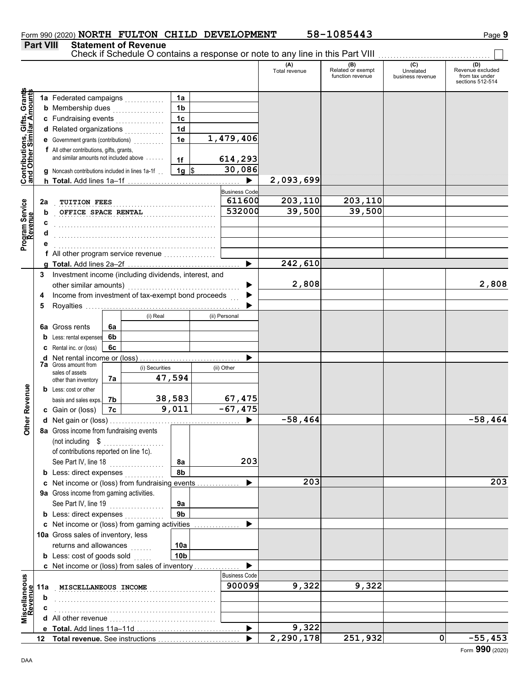### Form 990 (2020) **NORTH FULTON CHILD DEVELOPMENT** 58-1085443 Page 9

## **Part VIII Statement of Revenue**

Check if Schedule O contains a response or note to any line in this Part VIII ................................

| Contributions, Gifts, Grant <del>s</del><br>and Other Similar Amount <del>s</del><br>1a<br><b>b</b> Membership dues <i></i><br>1 <sub>b</sub><br>1 <sub>c</sub><br>c Fundraising events<br>1 <sub>d</sub><br>d Related organizations<br>1,479,406<br>1e<br>e Government grants (contributions)<br>f All other contributions, gifts, grants,<br>and similar amounts not included above<br>614,293<br>1f<br>30,086<br>$1g$ \$<br><b>q</b> Noncash contributions included in lines 1a-1f<br>2,093,699<br>▶<br><b>Business Code</b><br>203,110<br>203,110<br>611600<br>2a<br>TUITION FEES<br>532000<br>39,500<br>39,500<br>OFFICE SPACE RENTAL<br>b<br>f All other program service revenue<br>242,610<br>▶<br>Investment income (including dividends, interest, and<br>3<br>2,808<br>2,808<br>other similar amounts)<br>Income from investment of tax-exempt bond proceeds<br>4<br>$\mathbb{R}^2$<br>5<br>(i) Real<br>(ii) Personal<br><b>6a</b> Gross rents<br>6a<br>6b<br>Less: rental expenses<br>b<br>6с<br>Rental inc. or (loss)<br>Net rental income or (loss)<br>d<br><b>7a</b> Gross amount from<br>(i) Securities<br>(ii) Other<br>sales of assets<br>47,594<br>7a<br>other than inventory<br>Other Revenue<br><b>b</b> Less: cost or other<br>38,583<br>67,475<br>7b<br>basis and sales exps.<br>9,011<br>$-67,475$<br>7c<br>c Gain or (loss)<br>$-58,464$<br>$-58,464$<br>8a Gross income from fundraising events<br>(not including \$<br>of contributions reported on line 1c).<br>203<br>See Part IV, line 18<br>8a<br><u> 1999 - Johann Stoff, ameri</u> kan<br>8b<br><b>b</b> Less: direct expenses<br>203<br>c Net income or (loss) from fundraising events<br>▶<br>9a Gross income from gaming activities.<br>See Part IV, line 19<br>9a<br>.<br>9 <sub>b</sub><br><b>b</b> Less: direct expenses<br>c Net income or (loss) from gaming activities<br>10a Gross sales of inventory, less<br>returns and allowances<br>10a<br>.<br><b>b</b> Less: cost of goods sold<br>10 <sub>b</sub><br>c Net income or (loss) from sales of inventory<br><b>Business Code</b><br>Miscellaneous<br>Revenue<br>900099<br>9,322<br>9,322<br>MISCELLANEOUS INCOME<br>11a<br>b<br>9,322<br>▶<br>$\overline{2,290,178}$<br>251,932<br>0<br>12 |  |  |  |  |  |  | (A)<br>Total revenue | (B)<br>Related or exempt<br>function revenue | (C)<br>Unrelated<br>business revenue | (D)<br>Revenue excluded<br>from tax under |
|-----------------------------------------------------------------------------------------------------------------------------------------------------------------------------------------------------------------------------------------------------------------------------------------------------------------------------------------------------------------------------------------------------------------------------------------------------------------------------------------------------------------------------------------------------------------------------------------------------------------------------------------------------------------------------------------------------------------------------------------------------------------------------------------------------------------------------------------------------------------------------------------------------------------------------------------------------------------------------------------------------------------------------------------------------------------------------------------------------------------------------------------------------------------------------------------------------------------------------------------------------------------------------------------------------------------------------------------------------------------------------------------------------------------------------------------------------------------------------------------------------------------------------------------------------------------------------------------------------------------------------------------------------------------------------------------------------------------------------------------------------------------------------------------------------------------------------------------------------------------------------------------------------------------------------------------------------------------------------------------------------------------------------------------------------------------------------------------------------------------------------------------------------------------------------------------------------------------------------------------|--|--|--|--|--|--|----------------------|----------------------------------------------|--------------------------------------|-------------------------------------------|
|                                                                                                                                                                                                                                                                                                                                                                                                                                                                                                                                                                                                                                                                                                                                                                                                                                                                                                                                                                                                                                                                                                                                                                                                                                                                                                                                                                                                                                                                                                                                                                                                                                                                                                                                                                                                                                                                                                                                                                                                                                                                                                                                                                                                                                         |  |  |  |  |  |  |                      |                                              |                                      | sections 512-514                          |
| Program Service<br>Revenue                                                                                                                                                                                                                                                                                                                                                                                                                                                                                                                                                                                                                                                                                                                                                                                                                                                                                                                                                                                                                                                                                                                                                                                                                                                                                                                                                                                                                                                                                                                                                                                                                                                                                                                                                                                                                                                                                                                                                                                                                                                                                                                                                                                                              |  |  |  |  |  |  |                      |                                              |                                      |                                           |
|                                                                                                                                                                                                                                                                                                                                                                                                                                                                                                                                                                                                                                                                                                                                                                                                                                                                                                                                                                                                                                                                                                                                                                                                                                                                                                                                                                                                                                                                                                                                                                                                                                                                                                                                                                                                                                                                                                                                                                                                                                                                                                                                                                                                                                         |  |  |  |  |  |  |                      |                                              |                                      |                                           |
|                                                                                                                                                                                                                                                                                                                                                                                                                                                                                                                                                                                                                                                                                                                                                                                                                                                                                                                                                                                                                                                                                                                                                                                                                                                                                                                                                                                                                                                                                                                                                                                                                                                                                                                                                                                                                                                                                                                                                                                                                                                                                                                                                                                                                                         |  |  |  |  |  |  |                      |                                              |                                      |                                           |
|                                                                                                                                                                                                                                                                                                                                                                                                                                                                                                                                                                                                                                                                                                                                                                                                                                                                                                                                                                                                                                                                                                                                                                                                                                                                                                                                                                                                                                                                                                                                                                                                                                                                                                                                                                                                                                                                                                                                                                                                                                                                                                                                                                                                                                         |  |  |  |  |  |  |                      |                                              |                                      |                                           |
|                                                                                                                                                                                                                                                                                                                                                                                                                                                                                                                                                                                                                                                                                                                                                                                                                                                                                                                                                                                                                                                                                                                                                                                                                                                                                                                                                                                                                                                                                                                                                                                                                                                                                                                                                                                                                                                                                                                                                                                                                                                                                                                                                                                                                                         |  |  |  |  |  |  |                      |                                              |                                      |                                           |
|                                                                                                                                                                                                                                                                                                                                                                                                                                                                                                                                                                                                                                                                                                                                                                                                                                                                                                                                                                                                                                                                                                                                                                                                                                                                                                                                                                                                                                                                                                                                                                                                                                                                                                                                                                                                                                                                                                                                                                                                                                                                                                                                                                                                                                         |  |  |  |  |  |  |                      |                                              |                                      |                                           |
|                                                                                                                                                                                                                                                                                                                                                                                                                                                                                                                                                                                                                                                                                                                                                                                                                                                                                                                                                                                                                                                                                                                                                                                                                                                                                                                                                                                                                                                                                                                                                                                                                                                                                                                                                                                                                                                                                                                                                                                                                                                                                                                                                                                                                                         |  |  |  |  |  |  |                      |                                              |                                      |                                           |
|                                                                                                                                                                                                                                                                                                                                                                                                                                                                                                                                                                                                                                                                                                                                                                                                                                                                                                                                                                                                                                                                                                                                                                                                                                                                                                                                                                                                                                                                                                                                                                                                                                                                                                                                                                                                                                                                                                                                                                                                                                                                                                                                                                                                                                         |  |  |  |  |  |  |                      |                                              |                                      |                                           |
|                                                                                                                                                                                                                                                                                                                                                                                                                                                                                                                                                                                                                                                                                                                                                                                                                                                                                                                                                                                                                                                                                                                                                                                                                                                                                                                                                                                                                                                                                                                                                                                                                                                                                                                                                                                                                                                                                                                                                                                                                                                                                                                                                                                                                                         |  |  |  |  |  |  |                      |                                              |                                      |                                           |
|                                                                                                                                                                                                                                                                                                                                                                                                                                                                                                                                                                                                                                                                                                                                                                                                                                                                                                                                                                                                                                                                                                                                                                                                                                                                                                                                                                                                                                                                                                                                                                                                                                                                                                                                                                                                                                                                                                                                                                                                                                                                                                                                                                                                                                         |  |  |  |  |  |  |                      |                                              |                                      |                                           |
|                                                                                                                                                                                                                                                                                                                                                                                                                                                                                                                                                                                                                                                                                                                                                                                                                                                                                                                                                                                                                                                                                                                                                                                                                                                                                                                                                                                                                                                                                                                                                                                                                                                                                                                                                                                                                                                                                                                                                                                                                                                                                                                                                                                                                                         |  |  |  |  |  |  |                      |                                              |                                      |                                           |
|                                                                                                                                                                                                                                                                                                                                                                                                                                                                                                                                                                                                                                                                                                                                                                                                                                                                                                                                                                                                                                                                                                                                                                                                                                                                                                                                                                                                                                                                                                                                                                                                                                                                                                                                                                                                                                                                                                                                                                                                                                                                                                                                                                                                                                         |  |  |  |  |  |  |                      |                                              |                                      |                                           |
|                                                                                                                                                                                                                                                                                                                                                                                                                                                                                                                                                                                                                                                                                                                                                                                                                                                                                                                                                                                                                                                                                                                                                                                                                                                                                                                                                                                                                                                                                                                                                                                                                                                                                                                                                                                                                                                                                                                                                                                                                                                                                                                                                                                                                                         |  |  |  |  |  |  |                      |                                              |                                      |                                           |
|                                                                                                                                                                                                                                                                                                                                                                                                                                                                                                                                                                                                                                                                                                                                                                                                                                                                                                                                                                                                                                                                                                                                                                                                                                                                                                                                                                                                                                                                                                                                                                                                                                                                                                                                                                                                                                                                                                                                                                                                                                                                                                                                                                                                                                         |  |  |  |  |  |  |                      |                                              |                                      |                                           |
|                                                                                                                                                                                                                                                                                                                                                                                                                                                                                                                                                                                                                                                                                                                                                                                                                                                                                                                                                                                                                                                                                                                                                                                                                                                                                                                                                                                                                                                                                                                                                                                                                                                                                                                                                                                                                                                                                                                                                                                                                                                                                                                                                                                                                                         |  |  |  |  |  |  |                      |                                              |                                      |                                           |
|                                                                                                                                                                                                                                                                                                                                                                                                                                                                                                                                                                                                                                                                                                                                                                                                                                                                                                                                                                                                                                                                                                                                                                                                                                                                                                                                                                                                                                                                                                                                                                                                                                                                                                                                                                                                                                                                                                                                                                                                                                                                                                                                                                                                                                         |  |  |  |  |  |  |                      |                                              |                                      |                                           |
|                                                                                                                                                                                                                                                                                                                                                                                                                                                                                                                                                                                                                                                                                                                                                                                                                                                                                                                                                                                                                                                                                                                                                                                                                                                                                                                                                                                                                                                                                                                                                                                                                                                                                                                                                                                                                                                                                                                                                                                                                                                                                                                                                                                                                                         |  |  |  |  |  |  |                      |                                              |                                      |                                           |
|                                                                                                                                                                                                                                                                                                                                                                                                                                                                                                                                                                                                                                                                                                                                                                                                                                                                                                                                                                                                                                                                                                                                                                                                                                                                                                                                                                                                                                                                                                                                                                                                                                                                                                                                                                                                                                                                                                                                                                                                                                                                                                                                                                                                                                         |  |  |  |  |  |  |                      |                                              |                                      |                                           |
|                                                                                                                                                                                                                                                                                                                                                                                                                                                                                                                                                                                                                                                                                                                                                                                                                                                                                                                                                                                                                                                                                                                                                                                                                                                                                                                                                                                                                                                                                                                                                                                                                                                                                                                                                                                                                                                                                                                                                                                                                                                                                                                                                                                                                                         |  |  |  |  |  |  |                      |                                              |                                      |                                           |
|                                                                                                                                                                                                                                                                                                                                                                                                                                                                                                                                                                                                                                                                                                                                                                                                                                                                                                                                                                                                                                                                                                                                                                                                                                                                                                                                                                                                                                                                                                                                                                                                                                                                                                                                                                                                                                                                                                                                                                                                                                                                                                                                                                                                                                         |  |  |  |  |  |  |                      |                                              |                                      |                                           |
|                                                                                                                                                                                                                                                                                                                                                                                                                                                                                                                                                                                                                                                                                                                                                                                                                                                                                                                                                                                                                                                                                                                                                                                                                                                                                                                                                                                                                                                                                                                                                                                                                                                                                                                                                                                                                                                                                                                                                                                                                                                                                                                                                                                                                                         |  |  |  |  |  |  |                      |                                              |                                      |                                           |
|                                                                                                                                                                                                                                                                                                                                                                                                                                                                                                                                                                                                                                                                                                                                                                                                                                                                                                                                                                                                                                                                                                                                                                                                                                                                                                                                                                                                                                                                                                                                                                                                                                                                                                                                                                                                                                                                                                                                                                                                                                                                                                                                                                                                                                         |  |  |  |  |  |  |                      |                                              |                                      |                                           |
|                                                                                                                                                                                                                                                                                                                                                                                                                                                                                                                                                                                                                                                                                                                                                                                                                                                                                                                                                                                                                                                                                                                                                                                                                                                                                                                                                                                                                                                                                                                                                                                                                                                                                                                                                                                                                                                                                                                                                                                                                                                                                                                                                                                                                                         |  |  |  |  |  |  |                      |                                              |                                      |                                           |
|                                                                                                                                                                                                                                                                                                                                                                                                                                                                                                                                                                                                                                                                                                                                                                                                                                                                                                                                                                                                                                                                                                                                                                                                                                                                                                                                                                                                                                                                                                                                                                                                                                                                                                                                                                                                                                                                                                                                                                                                                                                                                                                                                                                                                                         |  |  |  |  |  |  |                      |                                              |                                      |                                           |
|                                                                                                                                                                                                                                                                                                                                                                                                                                                                                                                                                                                                                                                                                                                                                                                                                                                                                                                                                                                                                                                                                                                                                                                                                                                                                                                                                                                                                                                                                                                                                                                                                                                                                                                                                                                                                                                                                                                                                                                                                                                                                                                                                                                                                                         |  |  |  |  |  |  |                      |                                              |                                      |                                           |
|                                                                                                                                                                                                                                                                                                                                                                                                                                                                                                                                                                                                                                                                                                                                                                                                                                                                                                                                                                                                                                                                                                                                                                                                                                                                                                                                                                                                                                                                                                                                                                                                                                                                                                                                                                                                                                                                                                                                                                                                                                                                                                                                                                                                                                         |  |  |  |  |  |  |                      |                                              |                                      |                                           |
|                                                                                                                                                                                                                                                                                                                                                                                                                                                                                                                                                                                                                                                                                                                                                                                                                                                                                                                                                                                                                                                                                                                                                                                                                                                                                                                                                                                                                                                                                                                                                                                                                                                                                                                                                                                                                                                                                                                                                                                                                                                                                                                                                                                                                                         |  |  |  |  |  |  |                      |                                              |                                      |                                           |
|                                                                                                                                                                                                                                                                                                                                                                                                                                                                                                                                                                                                                                                                                                                                                                                                                                                                                                                                                                                                                                                                                                                                                                                                                                                                                                                                                                                                                                                                                                                                                                                                                                                                                                                                                                                                                                                                                                                                                                                                                                                                                                                                                                                                                                         |  |  |  |  |  |  |                      |                                              |                                      |                                           |
|                                                                                                                                                                                                                                                                                                                                                                                                                                                                                                                                                                                                                                                                                                                                                                                                                                                                                                                                                                                                                                                                                                                                                                                                                                                                                                                                                                                                                                                                                                                                                                                                                                                                                                                                                                                                                                                                                                                                                                                                                                                                                                                                                                                                                                         |  |  |  |  |  |  |                      |                                              |                                      |                                           |
|                                                                                                                                                                                                                                                                                                                                                                                                                                                                                                                                                                                                                                                                                                                                                                                                                                                                                                                                                                                                                                                                                                                                                                                                                                                                                                                                                                                                                                                                                                                                                                                                                                                                                                                                                                                                                                                                                                                                                                                                                                                                                                                                                                                                                                         |  |  |  |  |  |  |                      |                                              |                                      |                                           |
|                                                                                                                                                                                                                                                                                                                                                                                                                                                                                                                                                                                                                                                                                                                                                                                                                                                                                                                                                                                                                                                                                                                                                                                                                                                                                                                                                                                                                                                                                                                                                                                                                                                                                                                                                                                                                                                                                                                                                                                                                                                                                                                                                                                                                                         |  |  |  |  |  |  |                      |                                              |                                      |                                           |
|                                                                                                                                                                                                                                                                                                                                                                                                                                                                                                                                                                                                                                                                                                                                                                                                                                                                                                                                                                                                                                                                                                                                                                                                                                                                                                                                                                                                                                                                                                                                                                                                                                                                                                                                                                                                                                                                                                                                                                                                                                                                                                                                                                                                                                         |  |  |  |  |  |  |                      |                                              |                                      |                                           |
|                                                                                                                                                                                                                                                                                                                                                                                                                                                                                                                                                                                                                                                                                                                                                                                                                                                                                                                                                                                                                                                                                                                                                                                                                                                                                                                                                                                                                                                                                                                                                                                                                                                                                                                                                                                                                                                                                                                                                                                                                                                                                                                                                                                                                                         |  |  |  |  |  |  |                      |                                              |                                      |                                           |
|                                                                                                                                                                                                                                                                                                                                                                                                                                                                                                                                                                                                                                                                                                                                                                                                                                                                                                                                                                                                                                                                                                                                                                                                                                                                                                                                                                                                                                                                                                                                                                                                                                                                                                                                                                                                                                                                                                                                                                                                                                                                                                                                                                                                                                         |  |  |  |  |  |  |                      |                                              |                                      |                                           |
|                                                                                                                                                                                                                                                                                                                                                                                                                                                                                                                                                                                                                                                                                                                                                                                                                                                                                                                                                                                                                                                                                                                                                                                                                                                                                                                                                                                                                                                                                                                                                                                                                                                                                                                                                                                                                                                                                                                                                                                                                                                                                                                                                                                                                                         |  |  |  |  |  |  |                      |                                              |                                      |                                           |
|                                                                                                                                                                                                                                                                                                                                                                                                                                                                                                                                                                                                                                                                                                                                                                                                                                                                                                                                                                                                                                                                                                                                                                                                                                                                                                                                                                                                                                                                                                                                                                                                                                                                                                                                                                                                                                                                                                                                                                                                                                                                                                                                                                                                                                         |  |  |  |  |  |  |                      |                                              |                                      |                                           |
|                                                                                                                                                                                                                                                                                                                                                                                                                                                                                                                                                                                                                                                                                                                                                                                                                                                                                                                                                                                                                                                                                                                                                                                                                                                                                                                                                                                                                                                                                                                                                                                                                                                                                                                                                                                                                                                                                                                                                                                                                                                                                                                                                                                                                                         |  |  |  |  |  |  |                      |                                              |                                      | 203                                       |
|                                                                                                                                                                                                                                                                                                                                                                                                                                                                                                                                                                                                                                                                                                                                                                                                                                                                                                                                                                                                                                                                                                                                                                                                                                                                                                                                                                                                                                                                                                                                                                                                                                                                                                                                                                                                                                                                                                                                                                                                                                                                                                                                                                                                                                         |  |  |  |  |  |  |                      |                                              |                                      |                                           |
|                                                                                                                                                                                                                                                                                                                                                                                                                                                                                                                                                                                                                                                                                                                                                                                                                                                                                                                                                                                                                                                                                                                                                                                                                                                                                                                                                                                                                                                                                                                                                                                                                                                                                                                                                                                                                                                                                                                                                                                                                                                                                                                                                                                                                                         |  |  |  |  |  |  |                      |                                              |                                      |                                           |
|                                                                                                                                                                                                                                                                                                                                                                                                                                                                                                                                                                                                                                                                                                                                                                                                                                                                                                                                                                                                                                                                                                                                                                                                                                                                                                                                                                                                                                                                                                                                                                                                                                                                                                                                                                                                                                                                                                                                                                                                                                                                                                                                                                                                                                         |  |  |  |  |  |  |                      |                                              |                                      |                                           |
|                                                                                                                                                                                                                                                                                                                                                                                                                                                                                                                                                                                                                                                                                                                                                                                                                                                                                                                                                                                                                                                                                                                                                                                                                                                                                                                                                                                                                                                                                                                                                                                                                                                                                                                                                                                                                                                                                                                                                                                                                                                                                                                                                                                                                                         |  |  |  |  |  |  |                      |                                              |                                      |                                           |
|                                                                                                                                                                                                                                                                                                                                                                                                                                                                                                                                                                                                                                                                                                                                                                                                                                                                                                                                                                                                                                                                                                                                                                                                                                                                                                                                                                                                                                                                                                                                                                                                                                                                                                                                                                                                                                                                                                                                                                                                                                                                                                                                                                                                                                         |  |  |  |  |  |  |                      |                                              |                                      |                                           |
|                                                                                                                                                                                                                                                                                                                                                                                                                                                                                                                                                                                                                                                                                                                                                                                                                                                                                                                                                                                                                                                                                                                                                                                                                                                                                                                                                                                                                                                                                                                                                                                                                                                                                                                                                                                                                                                                                                                                                                                                                                                                                                                                                                                                                                         |  |  |  |  |  |  |                      |                                              |                                      |                                           |
|                                                                                                                                                                                                                                                                                                                                                                                                                                                                                                                                                                                                                                                                                                                                                                                                                                                                                                                                                                                                                                                                                                                                                                                                                                                                                                                                                                                                                                                                                                                                                                                                                                                                                                                                                                                                                                                                                                                                                                                                                                                                                                                                                                                                                                         |  |  |  |  |  |  |                      |                                              |                                      |                                           |
|                                                                                                                                                                                                                                                                                                                                                                                                                                                                                                                                                                                                                                                                                                                                                                                                                                                                                                                                                                                                                                                                                                                                                                                                                                                                                                                                                                                                                                                                                                                                                                                                                                                                                                                                                                                                                                                                                                                                                                                                                                                                                                                                                                                                                                         |  |  |  |  |  |  |                      |                                              |                                      |                                           |
|                                                                                                                                                                                                                                                                                                                                                                                                                                                                                                                                                                                                                                                                                                                                                                                                                                                                                                                                                                                                                                                                                                                                                                                                                                                                                                                                                                                                                                                                                                                                                                                                                                                                                                                                                                                                                                                                                                                                                                                                                                                                                                                                                                                                                                         |  |  |  |  |  |  |                      |                                              |                                      |                                           |
|                                                                                                                                                                                                                                                                                                                                                                                                                                                                                                                                                                                                                                                                                                                                                                                                                                                                                                                                                                                                                                                                                                                                                                                                                                                                                                                                                                                                                                                                                                                                                                                                                                                                                                                                                                                                                                                                                                                                                                                                                                                                                                                                                                                                                                         |  |  |  |  |  |  |                      |                                              |                                      |                                           |
|                                                                                                                                                                                                                                                                                                                                                                                                                                                                                                                                                                                                                                                                                                                                                                                                                                                                                                                                                                                                                                                                                                                                                                                                                                                                                                                                                                                                                                                                                                                                                                                                                                                                                                                                                                                                                                                                                                                                                                                                                                                                                                                                                                                                                                         |  |  |  |  |  |  |                      |                                              |                                      |                                           |
|                                                                                                                                                                                                                                                                                                                                                                                                                                                                                                                                                                                                                                                                                                                                                                                                                                                                                                                                                                                                                                                                                                                                                                                                                                                                                                                                                                                                                                                                                                                                                                                                                                                                                                                                                                                                                                                                                                                                                                                                                                                                                                                                                                                                                                         |  |  |  |  |  |  |                      |                                              |                                      |                                           |
|                                                                                                                                                                                                                                                                                                                                                                                                                                                                                                                                                                                                                                                                                                                                                                                                                                                                                                                                                                                                                                                                                                                                                                                                                                                                                                                                                                                                                                                                                                                                                                                                                                                                                                                                                                                                                                                                                                                                                                                                                                                                                                                                                                                                                                         |  |  |  |  |  |  |                      |                                              |                                      |                                           |
|                                                                                                                                                                                                                                                                                                                                                                                                                                                                                                                                                                                                                                                                                                                                                                                                                                                                                                                                                                                                                                                                                                                                                                                                                                                                                                                                                                                                                                                                                                                                                                                                                                                                                                                                                                                                                                                                                                                                                                                                                                                                                                                                                                                                                                         |  |  |  |  |  |  |                      |                                              |                                      |                                           |
| nnn                                                                                                                                                                                                                                                                                                                                                                                                                                                                                                                                                                                                                                                                                                                                                                                                                                                                                                                                                                                                                                                                                                                                                                                                                                                                                                                                                                                                                                                                                                                                                                                                                                                                                                                                                                                                                                                                                                                                                                                                                                                                                                                                                                                                                                     |  |  |  |  |  |  |                      |                                              |                                      | $-55,453$                                 |

DAA

Form **990** (2020)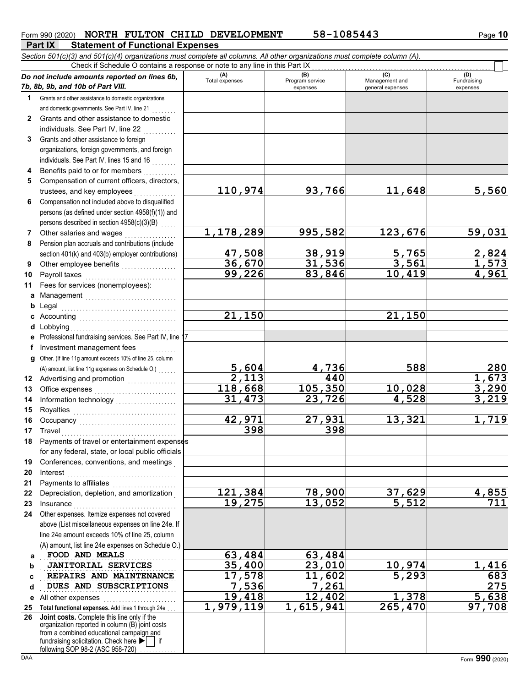### Form 990 (2020) **NORTH FULTON CHILD DEVELOPMENT** 58-1085443 Page 10

**Part IX Statement of Functional Expenses** *Section 501(c)(3) and 501(c)(4) organizations must complete all columns. All other organizations must complete column (A).*

|              | Check if Schedule O contains a response or note to any line in this Part IX                                                                                                                                                                        |                              |                                    |                                           |                                |  |  |  |  |  |  |  |
|--------------|----------------------------------------------------------------------------------------------------------------------------------------------------------------------------------------------------------------------------------------------------|------------------------------|------------------------------------|-------------------------------------------|--------------------------------|--|--|--|--|--|--|--|
|              | Do not include amounts reported on lines 6b,<br>7b, 8b, 9b, and 10b of Part VIII.                                                                                                                                                                  | (A)<br><b>Total expenses</b> | (B)<br>Program service<br>expenses | (C)<br>Management and<br>general expenses | (D)<br>Fundraising<br>expenses |  |  |  |  |  |  |  |
| 1            | Grants and other assistance to domestic organizations                                                                                                                                                                                              |                              |                                    |                                           |                                |  |  |  |  |  |  |  |
|              | and domestic governments. See Part IV, line 21                                                                                                                                                                                                     |                              |                                    |                                           |                                |  |  |  |  |  |  |  |
| $\mathbf{2}$ | Grants and other assistance to domestic                                                                                                                                                                                                            |                              |                                    |                                           |                                |  |  |  |  |  |  |  |
|              | individuals. See Part IV, line 22                                                                                                                                                                                                                  |                              |                                    |                                           |                                |  |  |  |  |  |  |  |
| 3            | Grants and other assistance to foreign                                                                                                                                                                                                             |                              |                                    |                                           |                                |  |  |  |  |  |  |  |
|              | organizations, foreign governments, and foreign                                                                                                                                                                                                    |                              |                                    |                                           |                                |  |  |  |  |  |  |  |
|              | individuals. See Part IV, lines 15 and 16                                                                                                                                                                                                          |                              |                                    |                                           |                                |  |  |  |  |  |  |  |
| 4            | Benefits paid to or for members                                                                                                                                                                                                                    |                              |                                    |                                           |                                |  |  |  |  |  |  |  |
| 5            | Compensation of current officers, directors,                                                                                                                                                                                                       |                              |                                    |                                           |                                |  |  |  |  |  |  |  |
|              | trustees, and key employees                                                                                                                                                                                                                        | 110,974                      | 93,766                             | 11,648                                    | 5,560                          |  |  |  |  |  |  |  |
| 6            | Compensation not included above to disqualified                                                                                                                                                                                                    |                              |                                    |                                           |                                |  |  |  |  |  |  |  |
|              | persons (as defined under section 4958(f)(1)) and                                                                                                                                                                                                  |                              |                                    |                                           |                                |  |  |  |  |  |  |  |
|              | persons described in section 4958(c)(3)(B)                                                                                                                                                                                                         |                              |                                    |                                           |                                |  |  |  |  |  |  |  |
| 7            | Other salaries and wages                                                                                                                                                                                                                           | 1,178,289                    | 995,582                            | 123,676                                   | 59,031                         |  |  |  |  |  |  |  |
| 8            | Pension plan accruals and contributions (include                                                                                                                                                                                                   |                              |                                    |                                           |                                |  |  |  |  |  |  |  |
|              | section 401(k) and 403(b) employer contributions)                                                                                                                                                                                                  | <u>47,508</u>                | <u>38,919<br/>31,536</u>           | $\frac{5,765}{3,561}$                     |                                |  |  |  |  |  |  |  |
| 9            |                                                                                                                                                                                                                                                    | 36,670                       |                                    |                                           | $\frac{2,824}{1,573}$<br>4,961 |  |  |  |  |  |  |  |
| 10           | Payroll taxes                                                                                                                                                                                                                                      | 99,226                       | 83,846                             | 10,419                                    |                                |  |  |  |  |  |  |  |
| 11           | Fees for services (nonemployees):                                                                                                                                                                                                                  |                              |                                    |                                           |                                |  |  |  |  |  |  |  |
| а            | Management                                                                                                                                                                                                                                         |                              |                                    |                                           |                                |  |  |  |  |  |  |  |
| b            | Legal                                                                                                                                                                                                                                              |                              |                                    |                                           |                                |  |  |  |  |  |  |  |
| c            |                                                                                                                                                                                                                                                    | 21,150                       |                                    | 21,150                                    |                                |  |  |  |  |  |  |  |
| d            | Lobbying                                                                                                                                                                                                                                           |                              |                                    |                                           |                                |  |  |  |  |  |  |  |
|              | Professional fundraising services. See Part IV, line 17                                                                                                                                                                                            |                              |                                    |                                           |                                |  |  |  |  |  |  |  |
| f            | Investment management fees<br>.                                                                                                                                                                                                                    |                              |                                    |                                           |                                |  |  |  |  |  |  |  |
| a            | Other. (If line 11g amount exceeds 10% of line 25, column                                                                                                                                                                                          | 5,604                        | 4,736                              | 588                                       | 280                            |  |  |  |  |  |  |  |
|              | (A) amount, list line 11g expenses on Schedule O.)                                                                                                                                                                                                 | 2,113                        | 440                                |                                           | 1,673                          |  |  |  |  |  |  |  |
| 13           | Office expenses                                                                                                                                                                                                                                    | 118,668                      | 105,350                            | 10,028                                    | 3,290                          |  |  |  |  |  |  |  |
| 14           | Information technology<br>                                                                                                                                                                                                                         | 31,473                       | 23,726                             | 4,528                                     | $\frac{1}{2}$ , 219            |  |  |  |  |  |  |  |
| 15           |                                                                                                                                                                                                                                                    |                              |                                    |                                           |                                |  |  |  |  |  |  |  |
| 16           |                                                                                                                                                                                                                                                    | 42,971                       | 27,931                             | 13,321                                    | 1,719                          |  |  |  |  |  |  |  |
| 17           | Travel                                                                                                                                                                                                                                             | 398                          | 398                                |                                           |                                |  |  |  |  |  |  |  |
| 18           | Payments of travel or entertainment expenses                                                                                                                                                                                                       |                              |                                    |                                           |                                |  |  |  |  |  |  |  |
|              | for any federal, state, or local public officials                                                                                                                                                                                                  |                              |                                    |                                           |                                |  |  |  |  |  |  |  |
| 19           | Conferences, conventions, and meetings                                                                                                                                                                                                             |                              |                                    |                                           |                                |  |  |  |  |  |  |  |
| 20           | Interest                                                                                                                                                                                                                                           |                              |                                    |                                           |                                |  |  |  |  |  |  |  |
| 21           | Payments to affiliates                                                                                                                                                                                                                             |                              |                                    |                                           |                                |  |  |  |  |  |  |  |
| 22           | Depreciation, depletion, and amortization                                                                                                                                                                                                          | 121,384                      | 78,900                             | 37,629                                    | 4,855                          |  |  |  |  |  |  |  |
| 23           | Insurance                                                                                                                                                                                                                                          | 19,275                       | 13,052                             | $\overline{5,512}$                        | 711                            |  |  |  |  |  |  |  |
| 24           | Other expenses. Itemize expenses not covered                                                                                                                                                                                                       |                              |                                    |                                           |                                |  |  |  |  |  |  |  |
|              | above (List miscellaneous expenses on line 24e. If                                                                                                                                                                                                 |                              |                                    |                                           |                                |  |  |  |  |  |  |  |
|              | line 24e amount exceeds 10% of line 25, column                                                                                                                                                                                                     |                              |                                    |                                           |                                |  |  |  |  |  |  |  |
|              | (A) amount, list line 24e expenses on Schedule O.)                                                                                                                                                                                                 |                              |                                    |                                           |                                |  |  |  |  |  |  |  |
| a            | FOOD AND MEALS                                                                                                                                                                                                                                     | 63,484                       | 63,484                             |                                           |                                |  |  |  |  |  |  |  |
| b            | <b>JANITORIAL SERVICES</b>                                                                                                                                                                                                                         | 35,400                       | 23,010                             | 10,974                                    | 1,416                          |  |  |  |  |  |  |  |
| C            | REPAIRS AND MAINTENANCE                                                                                                                                                                                                                            | 17,578                       | 11,602                             | 5,293                                     | 683                            |  |  |  |  |  |  |  |
| d            | DUES AND SUBSCRIPTIONS                                                                                                                                                                                                                             | 7,536                        | 7,261                              |                                           | 275                            |  |  |  |  |  |  |  |
|              | e All other expenses                                                                                                                                                                                                                               | 19,418                       | $\overline{12}$ , 402              | 1,378                                     | 5,638                          |  |  |  |  |  |  |  |
| 25           | Total functional expenses. Add lines 1 through 24e                                                                                                                                                                                                 | 1,979,119                    | 1,615,941                          | 265,470                                   | 97,708                         |  |  |  |  |  |  |  |
| 26           | Joint costs. Complete this line only if the<br>organization reported in column (B) joint costs<br>from a combined educational campaign and<br>fundraising solicitation. Check here $\blacktriangleright$   if<br>following SOP 98-2 (ASC 958-720). |                              |                                    |                                           |                                |  |  |  |  |  |  |  |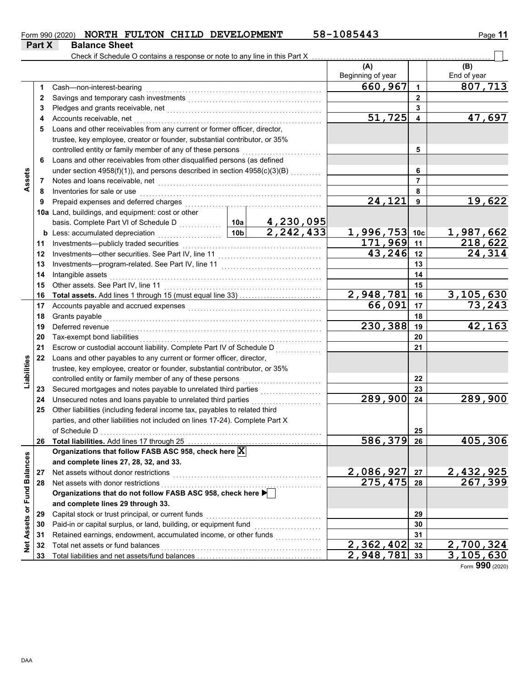|               |                      |  | Form 990 (2020) NORTH FULTON CHILD DEVELOPMENT | 58-1085443 | Page 11 |
|---------------|----------------------|--|------------------------------------------------|------------|---------|
| <b>Part X</b> | <b>Balance Sheet</b> |  |                                                |            |         |

|                   |    | Check if Schedule O contains a response or note to any line in this Part X   |                 |                                       |                           |                 |                      |
|-------------------|----|------------------------------------------------------------------------------|-----------------|---------------------------------------|---------------------------|-----------------|----------------------|
|                   |    |                                                                              |                 |                                       | (A)<br>Beginning of year  |                 | (B)<br>End of year   |
|                   | 1  | Cash-non-interest-bearing                                                    |                 |                                       | 660, 967                  | 1               | 807,713              |
|                   | 2  |                                                                              |                 |                                       |                           | $\mathbf{2}$    |                      |
|                   | 3  |                                                                              |                 |                                       |                           | 3               |                      |
|                   | 4  | Accounts receivable, net                                                     |                 |                                       | 51,725                    | 4               | 47,697               |
|                   | 5  | Loans and other receivables from any current or former officer, director,    |                 |                                       |                           |                 |                      |
|                   |    | trustee, key employee, creator or founder, substantial contributor, or 35%   |                 |                                       |                           |                 |                      |
|                   |    | controlled entity or family member of any of these persons                   |                 |                                       |                           | 5               |                      |
|                   | 6  | Loans and other receivables from other disqualified persons (as defined      |                 |                                       |                           |                 |                      |
|                   |    | under section 4958(f)(1)), and persons described in section 4958(c)(3)(B)    |                 |                                       |                           | 6               |                      |
| Assets            | 7  | Notes and loans receivable, net                                              |                 |                                       |                           | $\overline{7}$  |                      |
|                   | 8  | Inventories for sale or use                                                  |                 |                                       |                           | 8               |                      |
|                   | 9  | Prepaid expenses and deferred charges                                        |                 |                                       | $\overline{24}$ , 121     | 9               | 19,622               |
|                   |    | 10a Land, buildings, and equipment: cost or other                            |                 |                                       |                           |                 |                      |
|                   |    |                                                                              |                 | $\frac{4,230,095}{2,242,433}$         |                           |                 |                      |
|                   |    | <b>b</b> Less: accumulated depreciation                                      | 10 <sub>b</sub> |                                       | 1,996,753                 | 10 <sub>c</sub> | 1,987,662            |
|                   | 11 | Investments-publicly traded securities                                       |                 |                                       | 171,969                   | 11              | 218,622              |
|                   | 12 |                                                                              |                 |                                       | 43,246                    | 12              | 24,314               |
|                   | 13 |                                                                              |                 |                                       |                           | 13              |                      |
|                   | 14 | Intangible assets                                                            |                 |                                       |                           | 14              |                      |
|                   | 15 | Other assets. See Part IV, line 11                                           |                 |                                       |                           | 15              |                      |
|                   | 16 | Total assets. Add lines 1 through 15 (must equal line 33)                    |                 |                                       | 2,948,781                 | 16              | 3,105,630            |
|                   | 17 |                                                                              |                 |                                       | 66,091                    | 17              | 73,243               |
|                   | 18 | Grants payable                                                               |                 |                                       |                           | 18              |                      |
|                   | 19 | Deferred revenue                                                             | 230,388         | 19                                    | 42,163                    |                 |                      |
|                   | 20 | Tax-exempt bond liabilities                                                  |                 |                                       |                           | 20              |                      |
|                   | 21 | Escrow or custodial account liability. Complete Part IV of Schedule D        |                 |                                       |                           | 21              |                      |
|                   | 22 | Loans and other payables to any current or former officer, director,         |                 |                                       |                           |                 |                      |
| Liabilities       |    | trustee, key employee, creator or founder, substantial contributor, or 35%   |                 |                                       |                           |                 |                      |
|                   |    | controlled entity or family member of any of these persons                   |                 | <u> 1986 - Johann Stoff, martin a</u> |                           | 22              |                      |
|                   | 23 |                                                                              |                 |                                       |                           | 23              |                      |
|                   | 24 | Unsecured notes and loans payable to unrelated third parties                 |                 | .                                     | $\overline{289,900}$      | 24              | 289,900              |
|                   | 25 | Other liabilities (including federal income tax, payables to related third   |                 |                                       |                           |                 |                      |
|                   |    | parties, and other liabilities not included on lines 17-24). Complete Part X |                 |                                       |                           |                 |                      |
|                   |    | of Schedule D                                                                |                 |                                       |                           | 25              |                      |
|                   |    | 26 Total liabilities. Add lines 17 through 25                                |                 |                                       | 586,379                   | 26              | 405,306              |
|                   |    | Organizations that follow FASB ASC 958, check here X                         |                 |                                       |                           |                 |                      |
| <b>Balances</b>   |    | and complete lines 27, 28, 32, and 33.                                       |                 |                                       |                           |                 |                      |
|                   | 27 | Net assets without donor restrictions                                        |                 |                                       | 2,086,927                 | 27              | 2,432,925<br>267,399 |
|                   | 28 | Net assets with donor restrictions                                           |                 |                                       | 275,475                   | 28              |                      |
| or Fund           |    | Organizations that do not follow FASB ASC 958, check here                    |                 |                                       |                           |                 |                      |
|                   |    | and complete lines 29 through 33.                                            |                 |                                       |                           |                 |                      |
|                   | 29 | Capital stock or trust principal, or current funds                           |                 |                                       |                           | 29              |                      |
|                   | 30 | Paid-in or capital surplus, or land, building, or equipment fund             |                 |                                       |                           | 30              |                      |
|                   | 31 | Retained earnings, endowment, accumulated income, or other funds             |                 |                                       |                           | 31              |                      |
| <b>Net Assets</b> | 32 | Total net assets or fund balances                                            |                 |                                       | $\overline{2}$ , 362, 402 | 32              | 2,700,324            |
|                   | 33 |                                                                              |                 |                                       | 2,948,781                 | 33              | 3,105,630            |

Form **990** (2020)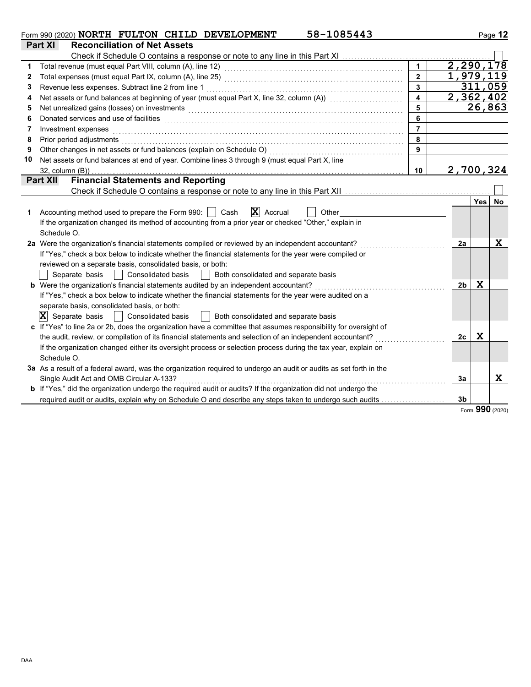|    | 58-1085443<br>Form 990 (2020) NORTH FULTON CHILD DEVELOPMENT                                                                                                                                                                   |                         |                |             | Page 12   |
|----|--------------------------------------------------------------------------------------------------------------------------------------------------------------------------------------------------------------------------------|-------------------------|----------------|-------------|-----------|
|    | <b>Reconciliation of Net Assets</b><br>Part XI                                                                                                                                                                                 |                         |                |             |           |
|    |                                                                                                                                                                                                                                |                         |                |             |           |
| 1  |                                                                                                                                                                                                                                | $\blacktriangleleft$    |                |             | 2,290,178 |
| 2  |                                                                                                                                                                                                                                | $\overline{2}$          |                |             | 1,979,119 |
| 3  |                                                                                                                                                                                                                                | $\overline{\mathbf{3}}$ |                |             | 311,059   |
| 4  | Net assets or fund balances at beginning of year (must equal Part X, line 32, column (A)) [[[[[[[[[[[[[[[[[[[                                                                                                                  | $\overline{\mathbf{4}}$ |                |             | 2,362,402 |
| 5  | Net unrealized gains (losses) on investments [11] with the content of the content of the content of the content of the content of the content of the content of the content of the content of the content of the content of th | 5                       |                |             | 26,863    |
| 6  | Donated services and use of facilities <b>constructs</b> and the service of the service of the services and use of facilities                                                                                                  | 6                       |                |             |           |
| 7  | Investment expenses                                                                                                                                                                                                            | $\overline{7}$          |                |             |           |
| 8  | Prior period adjustments                                                                                                                                                                                                       | 8                       |                |             |           |
| 9  | Other changes in net assets or fund balances (explain on Schedule O)                                                                                                                                                           | 9                       |                |             |           |
| 10 | Net assets or fund balances at end of year. Combine lines 3 through 9 (must equal Part X, line                                                                                                                                 |                         |                |             |           |
|    | 32, column (B))                                                                                                                                                                                                                | 10                      |                |             | 2,700,324 |
|    | <b>Financial Statements and Reporting</b><br><b>Part XII</b>                                                                                                                                                                   |                         |                |             |           |
|    |                                                                                                                                                                                                                                |                         |                |             |           |
|    |                                                                                                                                                                                                                                |                         |                | Yes         | No        |
| 1  | $\mathbf{X}$ Accrual<br>Accounting method used to prepare the Form 990:  <br>Cash<br>Other                                                                                                                                     |                         |                |             |           |
|    | If the organization changed its method of accounting from a prior year or checked "Other," explain in                                                                                                                          |                         |                |             |           |
|    | Schedule O.                                                                                                                                                                                                                    |                         |                |             |           |
|    | 2a Were the organization's financial statements compiled or reviewed by an independent accountant?                                                                                                                             |                         | 2a             |             | x         |
|    | If "Yes," check a box below to indicate whether the financial statements for the year were compiled or                                                                                                                         |                         |                |             |           |
|    | reviewed on a separate basis, consolidated basis, or both:                                                                                                                                                                     |                         |                |             |           |
|    | <b>Consolidated basis</b><br>Both consolidated and separate basis<br>Separate basis<br>$\Box$                                                                                                                                  |                         |                |             |           |
|    | <b>b</b> Were the organization's financial statements audited by an independent accountant?                                                                                                                                    |                         | 2b             | X           |           |
|    | If "Yes," check a box below to indicate whether the financial statements for the year were audited on a                                                                                                                        |                         |                |             |           |
|    | separate basis, consolidated basis, or both:                                                                                                                                                                                   |                         |                |             |           |
|    | $ \mathbf{X} $ Separate basis<br><b>Consolidated basis</b><br>  Both consolidated and separate basis                                                                                                                           |                         |                |             |           |
|    | c If "Yes" to line 2a or 2b, does the organization have a committee that assumes responsibility for oversight of                                                                                                               |                         |                |             |           |
|    | the audit, review, or compilation of its financial statements and selection of an independent accountant?                                                                                                                      |                         | 2c             | $\mathbf x$ |           |
|    | If the organization changed either its oversight process or selection process during the tax year, explain on                                                                                                                  |                         |                |             |           |
|    | Schedule O.                                                                                                                                                                                                                    |                         |                |             |           |
|    | 3a As a result of a federal award, was the organization required to undergo an audit or audits as set forth in the                                                                                                             |                         |                |             |           |
|    | Single Audit Act and OMB Circular A-133?                                                                                                                                                                                       |                         | За             |             | X         |
|    | <b>b</b> If "Yes," did the organization undergo the required audit or audits? If the organization did not undergo the                                                                                                          |                         |                |             |           |
|    | required audit or audits, explain why on Schedule O and describe any steps taken to undergo such audits                                                                                                                        |                         | 3 <sub>b</sub> |             |           |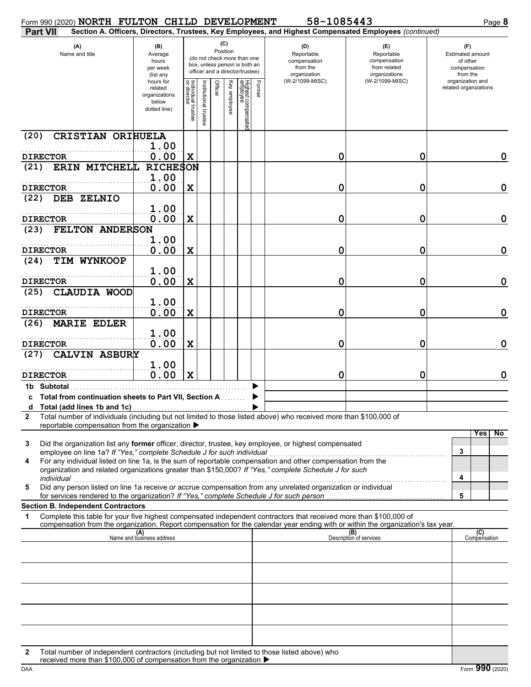| Form 990 (2020) NORTH FULTON CHILD DEVELOPMENT                                                     |                                                                |                                   |                      |          |              |                                                                                                 |        | 58-1085443                                                                                                                                                                                                                                             |                                                                    | Page 8                                                          |
|----------------------------------------------------------------------------------------------------|----------------------------------------------------------------|-----------------------------------|----------------------|----------|--------------|-------------------------------------------------------------------------------------------------|--------|--------------------------------------------------------------------------------------------------------------------------------------------------------------------------------------------------------------------------------------------------------|--------------------------------------------------------------------|-----------------------------------------------------------------|
| <b>Part VII</b>                                                                                    |                                                                |                                   |                      |          |              |                                                                                                 |        | Section A. Officers, Directors, Trustees, Key Employees, and Highest Compensated Employees (continued)                                                                                                                                                 |                                                                    |                                                                 |
| (A)<br>Name and title                                                                              | (B)<br>Average<br>hours<br>per week<br>(list any               |                                   |                      | Position | (C)          | (do not check more than one<br>box, unless person is both an<br>officer and a director/trustee) |        | (D)<br>Reportable<br>compensation<br>from the<br>organization                                                                                                                                                                                          | (E)<br>Reportable<br>compensation<br>from related<br>organizations | (F)<br>Estimated amount<br>of other<br>compensation<br>from the |
|                                                                                                    | hours for<br>related<br>organizations<br>below<br>dotted line) | Individual trustee<br>or director | institutional truste | Officer  | Key employee | Highest compensate<br>employee                                                                  | Former | (W-2/1099-MISC)                                                                                                                                                                                                                                        | (W-2/1099-MISC)                                                    | organization and<br>related organizations                       |
| CRISTIAN ORIHUELA<br>(20)<br><b>DIRECTOR</b>                                                       | 1.00<br>0.00                                                   |                                   |                      |          |              |                                                                                                 |        | 0                                                                                                                                                                                                                                                      | 0                                                                  | $\mathbf 0$                                                     |
| ERIN MITCHELL<br>(21)                                                                              | <b>RICHESON</b><br>1.00                                        | X                                 |                      |          |              |                                                                                                 |        |                                                                                                                                                                                                                                                        |                                                                    |                                                                 |
| <b>DIRECTOR</b><br>DEB ZELNIO<br>(22)                                                              | 0.00                                                           | $\mathbf X$                       |                      |          |              |                                                                                                 |        | 0                                                                                                                                                                                                                                                      | 0                                                                  | $\mathbf 0$                                                     |
| <b>DIRECTOR</b>                                                                                    | 1.00<br>0.00                                                   | $\mathbf x$                       |                      |          |              |                                                                                                 |        | 0                                                                                                                                                                                                                                                      | 0                                                                  | $\mathbf 0$                                                     |
| FELTON ANDERSON<br>(23)                                                                            | 1.00                                                           |                                   |                      |          |              |                                                                                                 |        |                                                                                                                                                                                                                                                        |                                                                    |                                                                 |
| <b>DIRECTOR</b><br>TIM WYNKOOP<br>(24)                                                             | 0.00<br>1.00                                                   | $\mathbf x$                       |                      |          |              |                                                                                                 |        | 0                                                                                                                                                                                                                                                      | 0                                                                  | $\mathbf 0$                                                     |
| <b>DIRECTOR</b><br>CLAUDIA WOOD<br>(25)                                                            | 0.00                                                           | $\mathbf x$                       |                      |          |              |                                                                                                 |        | 0                                                                                                                                                                                                                                                      | 0                                                                  | $\mathbf 0$                                                     |
| <b>DIRECTOR</b>                                                                                    | 1.00<br>0.00                                                   | $\mathbf X$                       |                      |          |              |                                                                                                 |        | 0                                                                                                                                                                                                                                                      | 0                                                                  | $\mathbf 0$                                                     |
| <b>MARIE EDLER</b><br>(26)<br><b>DIRECTOR</b>                                                      | 1.00<br>0.00                                                   |                                   |                      |          |              |                                                                                                 |        | 0                                                                                                                                                                                                                                                      | 0                                                                  | $\mathbf 0$                                                     |
| <b>CALVIN ASBURY</b><br>(27)                                                                       | 1.00                                                           | $\mathbf X$                       |                      |          |              |                                                                                                 |        |                                                                                                                                                                                                                                                        |                                                                    |                                                                 |
| <b>DIRECTOR</b><br>1b Subtotal                                                                     | 0.00                                                           | $\mathbf x$                       |                      |          |              |                                                                                                 |        | 0                                                                                                                                                                                                                                                      | 0                                                                  | $\mathbf 0$                                                     |
| c Total from continuation sheets to Part VII, Section A                                            |                                                                |                                   |                      |          |              |                                                                                                 |        |                                                                                                                                                                                                                                                        |                                                                    |                                                                 |
| $\mathbf{2}$<br>reportable compensation from the organization ▶                                    |                                                                |                                   |                      |          |              |                                                                                                 |        | Total number of individuals (including but not limited to those listed above) who received more than \$100,000 of                                                                                                                                      |                                                                    | N <sub>o</sub><br>Yes                                           |
| 3<br>employee on line 1a? If "Yes," complete Schedule J for such individual                        |                                                                |                                   |                      |          |              |                                                                                                 |        | Did the organization list any former officer, director, trustee, key employee, or highest compensated                                                                                                                                                  |                                                                    | 3                                                               |
| 4<br>individual                                                                                    |                                                                |                                   |                      |          |              |                                                                                                 |        | For any individual listed on line 1a, is the sum of reportable compensation and other compensation from the<br>organization and related organizations greater than \$150,000? If "Yes," complete Schedule J for such                                   |                                                                    | 4                                                               |
| 5<br>for services rendered to the organization? If "Yes," complete Schedule J for such person      |                                                                |                                   |                      |          |              |                                                                                                 |        | Did any person listed on line 1a receive or accrue compensation from any unrelated organization or individual                                                                                                                                          |                                                                    | 5                                                               |
| <b>Section B. Independent Contractors</b><br>1                                                     |                                                                |                                   |                      |          |              |                                                                                                 |        | Complete this table for your five highest compensated independent contractors that received more than \$100,000 of<br>compensation from the organization. Report compensation for the calendar year ending with or within the organization's tax year. |                                                                    |                                                                 |
|                                                                                                    | (A)<br>Name and business address                               |                                   |                      |          |              |                                                                                                 |        |                                                                                                                                                                                                                                                        | (B)<br>Description of services                                     | (C)<br>Compensation                                             |
|                                                                                                    |                                                                |                                   |                      |          |              |                                                                                                 |        |                                                                                                                                                                                                                                                        |                                                                    |                                                                 |
|                                                                                                    |                                                                |                                   |                      |          |              |                                                                                                 |        |                                                                                                                                                                                                                                                        |                                                                    |                                                                 |
|                                                                                                    |                                                                |                                   |                      |          |              |                                                                                                 |        |                                                                                                                                                                                                                                                        |                                                                    |                                                                 |
|                                                                                                    |                                                                |                                   |                      |          |              |                                                                                                 |        |                                                                                                                                                                                                                                                        |                                                                    |                                                                 |
| Total number of independent contractors (including but not limited to those listed above) who<br>2 |                                                                |                                   |                      |          |              |                                                                                                 |        |                                                                                                                                                                                                                                                        |                                                                    |                                                                 |

| received more than \$100,000 of compensation from the organization $\blacktriangleright$ |
|------------------------------------------------------------------------------------------|
|------------------------------------------------------------------------------------------|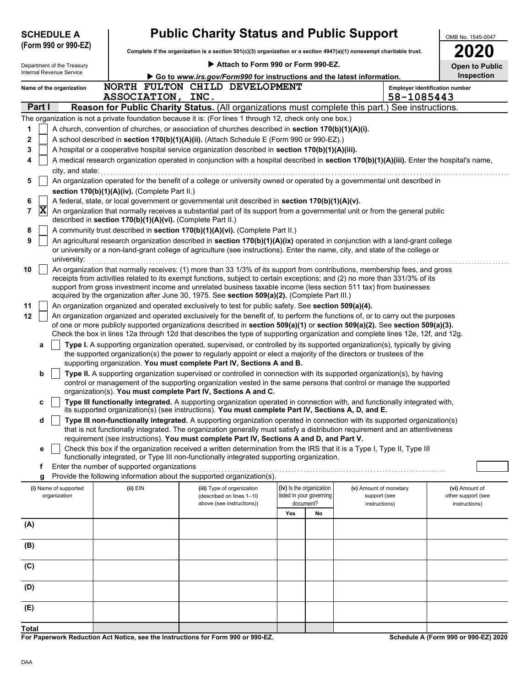| <b>Public Charity Status and Public Support</b><br><b>SCHEDULE A</b><br>OMB No. 1545-0047<br>(Form 990 or 990-EZ)<br>Complete if the organization is a section 501(c)(3) organization or a section 4947(a)(1) nonexempt charitable trust. |                                                                                                  |                                                                                                                                                                                                                                                                 |     |                                                      |                                        |                                       |                                      |  |  |  |  |
|-------------------------------------------------------------------------------------------------------------------------------------------------------------------------------------------------------------------------------------------|--------------------------------------------------------------------------------------------------|-----------------------------------------------------------------------------------------------------------------------------------------------------------------------------------------------------------------------------------------------------------------|-----|------------------------------------------------------|----------------------------------------|---------------------------------------|--------------------------------------|--|--|--|--|
| Attach to Form 990 or Form 990-EZ.<br>Department of the Treasury<br><b>Open to Public</b>                                                                                                                                                 |                                                                                                  |                                                                                                                                                                                                                                                                 |     |                                                      |                                        |                                       |                                      |  |  |  |  |
| Internal Revenue Service                                                                                                                                                                                                                  |                                                                                                  | Inspection                                                                                                                                                                                                                                                      |     |                                                      |                                        |                                       |                                      |  |  |  |  |
| Name of the organization                                                                                                                                                                                                                  |                                                                                                  | Go to www.irs.gov/Form990 for instructions and the latest information.<br>NORTH FULTON CHILD DEVELOPMENT                                                                                                                                                        |     |                                                      |                                        | <b>Employer identification number</b> |                                      |  |  |  |  |
|                                                                                                                                                                                                                                           | ASSOCIATION, INC.                                                                                |                                                                                                                                                                                                                                                                 |     |                                                      |                                        | 58-1085443                            |                                      |  |  |  |  |
| Part I                                                                                                                                                                                                                                    | Reason for Public Charity Status. (All organizations must complete this part.) See instructions. |                                                                                                                                                                                                                                                                 |     |                                                      |                                        |                                       |                                      |  |  |  |  |
|                                                                                                                                                                                                                                           |                                                                                                  | The organization is not a private foundation because it is: (For lines 1 through 12, check only one box.)                                                                                                                                                       |     |                                                      |                                        |                                       |                                      |  |  |  |  |
| 1                                                                                                                                                                                                                                         |                                                                                                  | A church, convention of churches, or association of churches described in section 170(b)(1)(A)(i).                                                                                                                                                              |     |                                                      |                                        |                                       |                                      |  |  |  |  |
| 2                                                                                                                                                                                                                                         |                                                                                                  | A school described in section 170(b)(1)(A)(ii). (Attach Schedule E (Form 990 or 990-EZ).)                                                                                                                                                                       |     |                                                      |                                        |                                       |                                      |  |  |  |  |
| 3<br>4                                                                                                                                                                                                                                    |                                                                                                  | A hospital or a cooperative hospital service organization described in section 170(b)(1)(A)(iii).<br>A medical research organization operated in conjunction with a hospital described in section 170(b)(1)(A)(iii). Enter the hospital's name,                 |     |                                                      |                                        |                                       |                                      |  |  |  |  |
| city, and state:                                                                                                                                                                                                                          |                                                                                                  |                                                                                                                                                                                                                                                                 |     |                                                      |                                        |                                       |                                      |  |  |  |  |
| 5                                                                                                                                                                                                                                         |                                                                                                  | An organization operated for the benefit of a college or university owned or operated by a governmental unit described in                                                                                                                                       |     |                                                      |                                        |                                       |                                      |  |  |  |  |
|                                                                                                                                                                                                                                           | section 170(b)(1)(A)(iv). (Complete Part II.)                                                    |                                                                                                                                                                                                                                                                 |     |                                                      |                                        |                                       |                                      |  |  |  |  |
| 6                                                                                                                                                                                                                                         |                                                                                                  | A federal, state, or local government or governmental unit described in section 170(b)(1)(A)(v).                                                                                                                                                                |     |                                                      |                                        |                                       |                                      |  |  |  |  |
| X<br>7                                                                                                                                                                                                                                    | described in section 170(b)(1)(A)(vi). (Complete Part II.)                                       | An organization that normally receives a substantial part of its support from a governmental unit or from the general public                                                                                                                                    |     |                                                      |                                        |                                       |                                      |  |  |  |  |
| 8                                                                                                                                                                                                                                         |                                                                                                  | A community trust described in section 170(b)(1)(A)(vi). (Complete Part II.)                                                                                                                                                                                    |     |                                                      |                                        |                                       |                                      |  |  |  |  |
| 9                                                                                                                                                                                                                                         |                                                                                                  | An agricultural research organization described in section 170(b)(1)(A)(ix) operated in conjunction with a land-grant college                                                                                                                                   |     |                                                      |                                        |                                       |                                      |  |  |  |  |
| university:                                                                                                                                                                                                                               |                                                                                                  | or university or a non-land-grant college of agriculture (see instructions). Enter the name, city, and state of the college or                                                                                                                                  |     |                                                      |                                        |                                       |                                      |  |  |  |  |
| 10                                                                                                                                                                                                                                        |                                                                                                  | An organization that normally receives: (1) more than 33 1/3% of its support from contributions, membership fees, and gross<br>receipts from activities related to its exempt functions, subject to certain exceptions; and (2) no more than 331/3% of its      |     |                                                      |                                        |                                       |                                      |  |  |  |  |
|                                                                                                                                                                                                                                           |                                                                                                  | support from gross investment income and unrelated business taxable income (less section 511 tax) from businesses                                                                                                                                               |     |                                                      |                                        |                                       |                                      |  |  |  |  |
|                                                                                                                                                                                                                                           |                                                                                                  | acquired by the organization after June 30, 1975. See section 509(a)(2). (Complete Part III.)                                                                                                                                                                   |     |                                                      |                                        |                                       |                                      |  |  |  |  |
| 11                                                                                                                                                                                                                                        |                                                                                                  | An organization organized and operated exclusively to test for public safety. See section 509(a)(4).                                                                                                                                                            |     |                                                      |                                        |                                       |                                      |  |  |  |  |
| 12                                                                                                                                                                                                                                        |                                                                                                  | An organization organized and operated exclusively for the benefit of, to perform the functions of, or to carry out the purposes<br>of one or more publicly supported organizations described in section 509(a)(1) or section 509(a)(2). See section 509(a)(3). |     |                                                      |                                        |                                       |                                      |  |  |  |  |
|                                                                                                                                                                                                                                           |                                                                                                  | Check the box in lines 12a through 12d that describes the type of supporting organization and complete lines 12e, 12f, and 12g.                                                                                                                                 |     |                                                      |                                        |                                       |                                      |  |  |  |  |
| а                                                                                                                                                                                                                                         |                                                                                                  | Type I. A supporting organization operated, supervised, or controlled by its supported organization(s), typically by giving<br>the supported organization(s) the power to regularly appoint or elect a majority of the directors or trustees of the             |     |                                                      |                                        |                                       |                                      |  |  |  |  |
| b                                                                                                                                                                                                                                         |                                                                                                  | supporting organization. You must complete Part IV, Sections A and B.<br>Type II. A supporting organization supervised or controlled in connection with its supported organization(s), by having                                                                |     |                                                      |                                        |                                       |                                      |  |  |  |  |
|                                                                                                                                                                                                                                           |                                                                                                  | control or management of the supporting organization vested in the same persons that control or manage the supported                                                                                                                                            |     |                                                      |                                        |                                       |                                      |  |  |  |  |
|                                                                                                                                                                                                                                           |                                                                                                  | organization(s). You must complete Part IV, Sections A and C.                                                                                                                                                                                                   |     |                                                      |                                        |                                       |                                      |  |  |  |  |
| C                                                                                                                                                                                                                                         |                                                                                                  | Type III functionally integrated. A supporting organization operated in connection with, and functionally integrated with,<br>its supported organization(s) (see instructions). You must complete Part IV, Sections A, D, and E.                                |     |                                                      |                                        |                                       |                                      |  |  |  |  |
| d                                                                                                                                                                                                                                         |                                                                                                  | Type III non-functionally integrated. A supporting organization operated in connection with its supported organization(s)<br>that is not functionally integrated. The organization generally must satisfy a distribution requirement and an attentiveness       |     |                                                      |                                        |                                       |                                      |  |  |  |  |
| е                                                                                                                                                                                                                                         |                                                                                                  | requirement (see instructions). You must complete Part IV, Sections A and D, and Part V.<br>Check this box if the organization received a written determination from the IRS that it is a Type I, Type II, Type III                                             |     |                                                      |                                        |                                       |                                      |  |  |  |  |
|                                                                                                                                                                                                                                           |                                                                                                  | functionally integrated, or Type III non-functionally integrated supporting organization.                                                                                                                                                                       |     |                                                      |                                        |                                       |                                      |  |  |  |  |
| Ť.                                                                                                                                                                                                                                        | Enter the number of supported organizations                                                      |                                                                                                                                                                                                                                                                 |     |                                                      |                                        |                                       |                                      |  |  |  |  |
| g                                                                                                                                                                                                                                         |                                                                                                  | Provide the following information about the supported organization(s).                                                                                                                                                                                          |     |                                                      |                                        |                                       |                                      |  |  |  |  |
| (i) Name of supported<br>organization                                                                                                                                                                                                     | (ii) EIN                                                                                         | (iii) Type of organization<br>(described on lines 1-10                                                                                                                                                                                                          |     | (iv) Is the organization<br>listed in your governing | (v) Amount of monetary<br>support (see |                                       | (vi) Amount of<br>other support (see |  |  |  |  |
|                                                                                                                                                                                                                                           |                                                                                                  | above (see instructions))                                                                                                                                                                                                                                       |     | document?                                            | instructions)                          |                                       | instructions)                        |  |  |  |  |
|                                                                                                                                                                                                                                           |                                                                                                  |                                                                                                                                                                                                                                                                 | Yes | No                                                   |                                        |                                       |                                      |  |  |  |  |
| (A)                                                                                                                                                                                                                                       |                                                                                                  |                                                                                                                                                                                                                                                                 |     |                                                      |                                        |                                       |                                      |  |  |  |  |
| (B)                                                                                                                                                                                                                                       |                                                                                                  |                                                                                                                                                                                                                                                                 |     |                                                      |                                        |                                       |                                      |  |  |  |  |
| (C)                                                                                                                                                                                                                                       |                                                                                                  |                                                                                                                                                                                                                                                                 |     |                                                      |                                        |                                       |                                      |  |  |  |  |
|                                                                                                                                                                                                                                           |                                                                                                  |                                                                                                                                                                                                                                                                 |     |                                                      |                                        |                                       |                                      |  |  |  |  |
| (D)                                                                                                                                                                                                                                       |                                                                                                  |                                                                                                                                                                                                                                                                 |     |                                                      |                                        |                                       |                                      |  |  |  |  |
| (E)                                                                                                                                                                                                                                       |                                                                                                  |                                                                                                                                                                                                                                                                 |     |                                                      |                                        |                                       |                                      |  |  |  |  |
| Total                                                                                                                                                                                                                                     |                                                                                                  |                                                                                                                                                                                                                                                                 |     |                                                      |                                        |                                       |                                      |  |  |  |  |

**For Paperwork Reduction Act Notice, see the Instructions for Form 990 or 990-EZ.**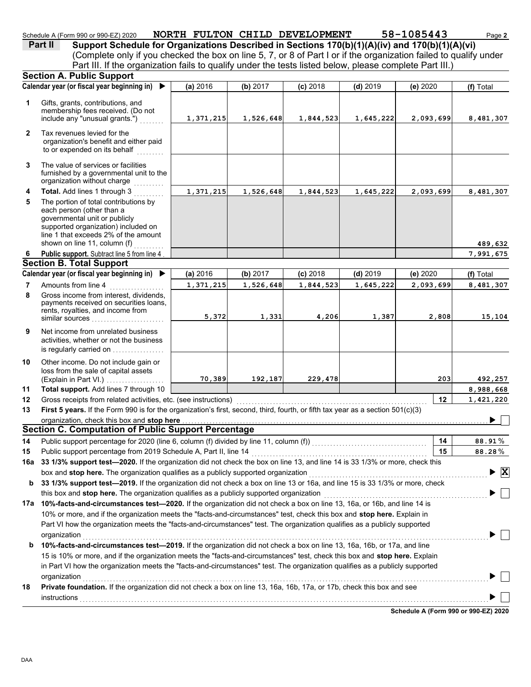| Schedule A (Form 990 or 990-EZ) 2020 |  | NORTH FULTON CHILD DEVELOPMENT | 58-1085443 | Page 2 |
|--------------------------------------|--|--------------------------------|------------|--------|
|                                      |  |                                |            |        |

**Part II Support Schedule for Organizations Described in Sections 170(b)(1)(A)(iv) and 170(b)(1)(A)(vi)**

(Complete only if you checked the box on line 5, 7, or 8 of Part I or if the organization failed to qualify under Part III. If the organization fails to qualify under the tests listed below, please complete Part III.)

|              | <b>Section A. Public Support</b>                                                                                                                                                                                                                                                                         |           |           |            |            |                                      |                              |
|--------------|----------------------------------------------------------------------------------------------------------------------------------------------------------------------------------------------------------------------------------------------------------------------------------------------------------|-----------|-----------|------------|------------|--------------------------------------|------------------------------|
|              | Calendar year (or fiscal year beginning in)<br>▶                                                                                                                                                                                                                                                         | (a) 2016  | (b) 2017  | $(c)$ 2018 | $(d)$ 2019 | (e) 2020                             | (f) Total                    |
| 1            | Gifts, grants, contributions, and<br>membership fees received. (Do not<br>include any "unusual grants.")                                                                                                                                                                                                 | 1,371,215 | 1,526,648 | 1,844,523  | 1,645,222  | 2,093,699                            | 8,481,307                    |
| $\mathbf{2}$ | Tax revenues levied for the<br>organization's benefit and either paid<br>to or expended on its behalf                                                                                                                                                                                                    |           |           |            |            |                                      |                              |
| 3            | The value of services or facilities<br>furnished by a governmental unit to the<br>organization without charge                                                                                                                                                                                            |           |           |            |            |                                      |                              |
| 4            | Total. Add lines 1 through 3                                                                                                                                                                                                                                                                             | 1,371,215 | 1,526,648 | 1,844,523  | 1,645,222  | 2,093,699                            | 8,481,307                    |
| 5            | The portion of total contributions by<br>each person (other than a<br>governmental unit or publicly<br>supported organization) included on<br>line 1 that exceeds 2% of the amount<br>shown on line 11, column (f)                                                                                       |           |           |            |            |                                      | 489,632                      |
| 6            | Public support. Subtract line 5 from line 4                                                                                                                                                                                                                                                              |           |           |            |            |                                      | 7,991,675                    |
|              | <b>Section B. Total Support</b>                                                                                                                                                                                                                                                                          |           |           |            |            |                                      |                              |
|              | Calendar year (or fiscal year beginning in)<br>▶                                                                                                                                                                                                                                                         | (a) 2016  | (b) 2017  | $(c)$ 2018 | $(d)$ 2019 | (e) 2020                             | (f) Total                    |
| 7            | Amounts from line 4                                                                                                                                                                                                                                                                                      | 1,371,215 | 1,526,648 | 1,844,523  | 1,645,222  | 2,093,699                            | 8,481,307                    |
| 8            | Gross income from interest, dividends,<br>payments received on securities loans,<br>rents, royalties, and income from<br>similar sources                                                                                                                                                                 | 5,372     | 1,331     | 4,206      | 1,387      | 2,808                                | 15,104                       |
| 9            | Net income from unrelated business<br>activities, whether or not the business<br>is regularly carried on                                                                                                                                                                                                 |           |           |            |            |                                      |                              |
| 10           | Other income. Do not include gain or<br>loss from the sale of capital assets<br>(Explain in Part VI.)                                                                                                                                                                                                    | 70,389    | 192,187   | 229,478    |            | 203                                  | 492,257                      |
| 11           | Total support. Add lines 7 through 10                                                                                                                                                                                                                                                                    |           |           |            |            |                                      | 8,988,668                    |
| 12           | Gross receipts from related activities, etc. (see instructions)                                                                                                                                                                                                                                          |           |           |            |            | 12                                   | 1,421,220                    |
| 13           | First 5 years. If the Form 990 is for the organization's first, second, third, fourth, or fifth tax year as a section 501(c)(3)                                                                                                                                                                          |           |           |            |            |                                      |                              |
|              | organization, check this box and stop here                                                                                                                                                                                                                                                               |           |           |            |            |                                      |                              |
|              | <b>Section C. Computation of Public Support Percentage</b>                                                                                                                                                                                                                                               |           |           |            |            |                                      |                              |
| 14           |                                                                                                                                                                                                                                                                                                          |           |           |            |            | 14                                   | 88.91%                       |
| 15           | Public support percentage from 2019 Schedule A, Part II, line 14<br>1. Fublic support percentage from 2019 Scriedule A, Part II, line 14 <b>Conserved Conserved Conserved Conserved Conserved Conserved Conserved Conserved Conserved Conserved Conserved Conserved Conserved Conserved Conserved Co</b> |           |           |            |            | 15                                   | 88.28%                       |
|              |                                                                                                                                                                                                                                                                                                          |           |           |            |            |                                      |                              |
|              | box and stop here. The organization qualifies as a publicly supported organization                                                                                                                                                                                                                       |           |           |            |            |                                      | $\overline{\mathbf{x}}$<br>▶ |
| b            | 33 1/3% support test-2019. If the organization did not check a box on line 13 or 16a, and line 15 is 33 1/3% or more, check<br>this box and stop here. The organization qualifies as a publicly supported organization                                                                                   |           |           |            |            |                                      |                              |
|              | 17a 10%-facts-and-circumstances test-2020. If the organization did not check a box on line 13, 16a, or 16b, and line 14 is                                                                                                                                                                               |           |           |            |            |                                      |                              |
|              | 10% or more, and if the organization meets the "facts-and-circumstances" test, check this box and stop here. Explain in                                                                                                                                                                                  |           |           |            |            |                                      |                              |
|              | Part VI how the organization meets the "facts-and-circumstances" test. The organization qualifies as a publicly supported<br>organization                                                                                                                                                                |           |           |            |            |                                      |                              |
| b            | 10%-facts-and-circumstances test-2019. If the organization did not check a box on line 13, 16a, 16b, or 17a, and line                                                                                                                                                                                    |           |           |            |            |                                      |                              |
|              | 15 is 10% or more, and if the organization meets the "facts-and-circumstances" test, check this box and stop here. Explain                                                                                                                                                                               |           |           |            |            |                                      |                              |
|              | in Part VI how the organization meets the "facts-and-circumstances" test. The organization qualifies as a publicly supported                                                                                                                                                                             |           |           |            |            |                                      |                              |
|              | organization                                                                                                                                                                                                                                                                                             |           |           |            |            |                                      |                              |
| 18           | Private foundation. If the organization did not check a box on line 13, 16a, 16b, 17a, or 17b, check this box and see<br>instructions                                                                                                                                                                    |           |           |            |            |                                      |                              |
|              |                                                                                                                                                                                                                                                                                                          |           |           |            |            | Schedule A (Form 990 or 990-EZ) 2020 |                              |
|              |                                                                                                                                                                                                                                                                                                          |           |           |            |            |                                      |                              |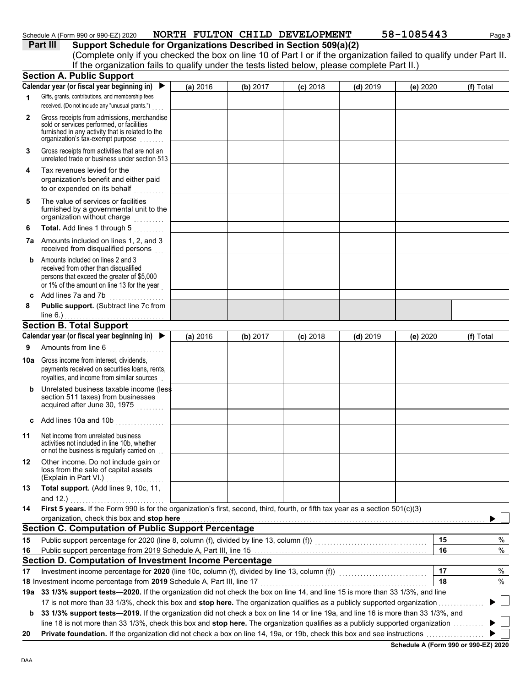### Schedule A (Form 990 or 990-EZ) 2020 **NORTH FULTON CHILD DEVELOPMENT** 58-1085443 Page 3

**Part III** Support Schedule for Organizations Described in Section 509(a)(2) (Complete only if you checked the box on line 10 of Part I or if the organization failed to qualify under Part II. If the organization fails to qualify under the tests listed below, please complete Part II.)

|     | <b>Section A. Public Support</b>                                                                                                                                                  |          |          |            |            |          |           |
|-----|-----------------------------------------------------------------------------------------------------------------------------------------------------------------------------------|----------|----------|------------|------------|----------|-----------|
|     | Calendar year (or fiscal year beginning in)                                                                                                                                       | (a) 2016 | (b) 2017 | $(c)$ 2018 | $(d)$ 2019 | (e) 2020 | (f) Total |
| 1   | Gifts, grants, contributions, and membership fees<br>received. (Do not include any "unusual grants.")                                                                             |          |          |            |            |          |           |
| 2   | Gross receipts from admissions, merchandise<br>sold or services performed, or facilities<br>furnished in any activity that is related to the<br>organization's tax-exempt purpose |          |          |            |            |          |           |
| 3   | Gross receipts from activities that are not an<br>unrelated trade or business under section 513                                                                                   |          |          |            |            |          |           |
| 4   | Tax revenues levied for the<br>organization's benefit and either paid<br>to or expended on its behalf                                                                             |          |          |            |            |          |           |
| 5   | The value of services or facilities<br>furnished by a governmental unit to the<br>organization without charge<br>.                                                                |          |          |            |            |          |           |
| 6   | Total. Add lines 1 through 5<br>a a a a a a a a .                                                                                                                                 |          |          |            |            |          |           |
| 7a  | Amounts included on lines 1, 2, and 3<br>received from disqualified persons                                                                                                       |          |          |            |            |          |           |
| b   | Amounts included on lines 2 and 3<br>received from other than disqualified<br>persons that exceed the greater of \$5,000<br>or 1% of the amount on line 13 for the year           |          |          |            |            |          |           |
| c   | Add lines 7a and 7b                                                                                                                                                               |          |          |            |            |          |           |
| 8   | Public support. (Subtract line 7c from                                                                                                                                            |          |          |            |            |          |           |
|     | line $6.$ )<br><b>Section B. Total Support</b>                                                                                                                                    |          |          |            |            |          |           |
|     | Calendar year (or fiscal year beginning in)                                                                                                                                       | (a) 2016 | (b) 2017 | $(c)$ 2018 | $(d)$ 2019 | (e) 2020 | (f) Total |
| 9   | Amounts from line 6                                                                                                                                                               |          |          |            |            |          |           |
|     | .                                                                                                                                                                                 |          |          |            |            |          |           |
| 10a | Gross income from interest, dividends,<br>payments received on securities loans, rents,<br>royalties, and income from similar sources                                             |          |          |            |            |          |           |
| b   | Unrelated business taxable income (less<br>section 511 taxes) from businesses<br>acquired after June 30, 1975                                                                     |          |          |            |            |          |           |
| c   | Add lines 10a and 10b                                                                                                                                                             |          |          |            |            |          |           |
| 11  | Net income from unrelated business<br>activities not included in line 10b, whether<br>or not the business is regularly carried on                                                 |          |          |            |            |          |           |
| 12  | Other income. Do not include gain or<br>loss from the sale of capital assets<br>(Explain in Part VI.)                                                                             |          |          |            |            |          |           |
| 13  | Total support. (Add lines 9, 10c, 11,<br>and 12.)                                                                                                                                 |          |          |            |            |          |           |
| 14  | First 5 years. If the Form 990 is for the organization's first, second, third, fourth, or fifth tax year as a section 501(c)(3)                                                   |          |          |            |            |          |           |
|     | organization, check this box and stop here                                                                                                                                        |          |          |            |            |          |           |
|     | <b>Section C. Computation of Public Support Percentage</b>                                                                                                                        |          |          |            |            |          |           |
| 15  | Public support percentage for 2020 (line 8, column (f), divided by line 13, column (f)) [[[[[[[[[[[[[[[[[[[[[                                                                     |          |          |            |            | 15       | %         |
| 16  |                                                                                                                                                                                   |          |          |            |            | 16       | $\%$      |
|     | Section D. Computation of Investment Income Percentage                                                                                                                            |          |          |            |            |          |           |
| 17  | Investment income percentage for 2020 (line 10c, column (f), divided by line 13, column (f)) [[[[[[[[[[[[[[[[                                                                     |          |          |            |            | 17       | %         |
|     | 18 Investment income percentage from 2019 Schedule A, Part III, line 17                                                                                                           |          |          |            |            | 18       | $\%$      |
|     | 19a 33 1/3% support tests-2020. If the organization did not check the box on line 14, and line 15 is more than 33 1/3%, and line                                                  |          |          |            |            |          |           |
|     | 17 is not more than 33 1/3%, check this box and stop here. The organization qualifies as a publicly supported organization.                                                       |          |          |            |            |          |           |
| b   | 33 1/3% support tests-2019. If the organization did not check a box on line 14 or line 19a, and line 16 is more than 33 1/3%, and                                                 |          |          |            |            |          |           |
|     | line 18 is not more than 33 1/3%, check this box and stop here. The organization qualifies as a publicly supported organization                                                   |          |          |            |            |          |           |
| 20  |                                                                                                                                                                                   |          |          |            |            |          |           |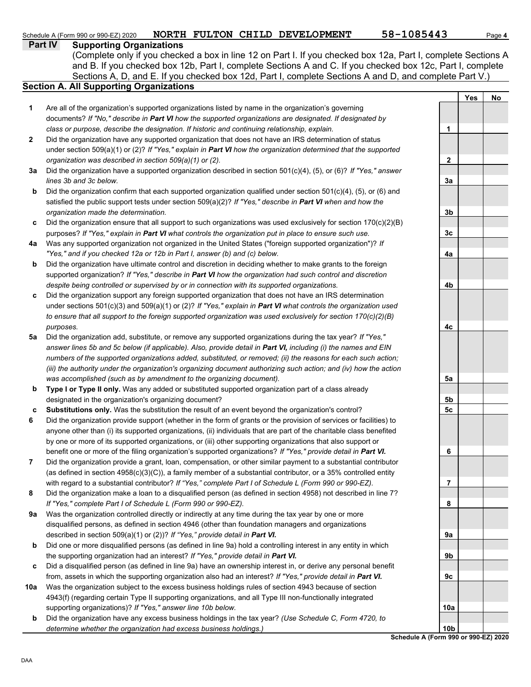## Schedule A (Form 990 or 990-EZ) 2020 **NORTH FULTON CHILD DEVELOPMENT** 58-1085443 Page 4

**Part IV Supporting Organizations**

Sections A, D, and E. If you checked box 12d, Part I, complete Sections A and D, and complete Part V.) (Complete only if you checked a box in line 12 on Part I. If you checked box 12a, Part I, complete Sections A and B. If you checked box 12b, Part I, complete Sections A and C. If you checked box 12c, Part I, complete

## **Section A. All Supporting Organizations**

- Are all of the organization's supported organizations listed by name in the organization's governing documents? *If "No," describe in Part VI how the supported organizations are designated. If designated by class or purpose, describe the designation. If historic and continuing relationship, explain.* **1**
- Did the organization have any supported organization that does not have an IRS determination of status under section 509(a)(1) or (2)? *If "Yes," explain in Part VI how the organization determined that the supported organization was described in section 509(a)(1) or (2).* **2**
- **3a** Did the organization have a supported organization described in section 501(c)(4), (5), or (6)? *If "Yes," answer lines 3b and 3c below.*
- **b** Did the organization confirm that each supported organization qualified under section 501(c)(4), (5), or (6) and satisfied the public support tests under section 509(a)(2)? *If "Yes," describe in Part VI when and how the organization made the determination.*
- **c** Did the organization ensure that all support to such organizations was used exclusively for section 170(c)(2)(B) purposes? *If "Yes," explain in Part VI what controls the organization put in place to ensure such use.*
- **4a** Was any supported organization not organized in the United States ("foreign supported organization")? *If "Yes," and if you checked 12a or 12b in Part I, answer (b) and (c) below.*
- **b** Did the organization have ultimate control and discretion in deciding whether to make grants to the foreign supported organization? *If "Yes," describe in Part VI how the organization had such control and discretion despite being controlled or supervised by or in connection with its supported organizations.*
- **c** Did the organization support any foreign supported organization that does not have an IRS determination under sections 501(c)(3) and 509(a)(1) or (2)? *If "Yes," explain in Part VI what controls the organization used to ensure that all support to the foreign supported organization was used exclusively for section 170(c)(2)(B) purposes.*
- **5a** Did the organization add, substitute, or remove any supported organizations during the tax year? *If "Yes," answer lines 5b and 5c below (if applicable). Also, provide detail in Part VI, including (i) the names and EIN numbers of the supported organizations added, substituted, or removed; (ii) the reasons for each such action; (iii) the authority under the organization's organizing document authorizing such action; and (iv) how the action was accomplished (such as by amendment to the organizing document).*
- **b Type I or Type II only.** Was any added or substituted supported organization part of a class already designated in the organization's organizing document?
- **c Substitutions only.** Was the substitution the result of an event beyond the organization's control?
- **6** Did the organization provide support (whether in the form of grants or the provision of services or facilities) to anyone other than (i) its supported organizations, (ii) individuals that are part of the charitable class benefited by one or more of its supported organizations, or (iii) other supporting organizations that also support or benefit one or more of the filing organization's supported organizations? *If "Yes," provide detail in Part VI.*
- **7** Did the organization provide a grant, loan, compensation, or other similar payment to a substantial contributor (as defined in section 4958(c)(3)(C)), a family member of a substantial contributor, or a 35% controlled entity with regard to a substantial contributor? *If "Yes," complete Part I of Schedule L (Form 990 or 990-EZ).*
- **8** Did the organization make a loan to a disqualified person (as defined in section 4958) not described in line 7? *If "Yes," complete Part I of Schedule L (Form 990 or 990-EZ).*
- **9a** Was the organization controlled directly or indirectly at any time during the tax year by one or more disqualified persons, as defined in section 4946 (other than foundation managers and organizations described in section 509(a)(1) or (2))? *If "Yes," provide detail in Part VI.*
- **b** Did one or more disqualified persons (as defined in line 9a) hold a controlling interest in any entity in which the supporting organization had an interest? *If "Yes," provide detail in Part VI.*
- **c** Did a disqualified person (as defined in line 9a) have an ownership interest in, or derive any personal benefit from, assets in which the supporting organization also had an interest? *If "Yes," provide detail in Part VI.*
- **10a** Was the organization subject to the excess business holdings rules of section 4943 because of section 4943(f) (regarding certain Type II supporting organizations, and all Type III non-functionally integrated supporting organizations)? *If "Yes," answer line 10b below.*
- **b** Did the organization have any excess business holdings in the tax year? *(Use Schedule C, Form 4720, to determine whether the organization had excess business holdings.)*

**Yes No 1 2 3a 3b 3c 4a 4b 4c 5a 5b 5c 6 7 8 9a 9b 9c 10a 10b**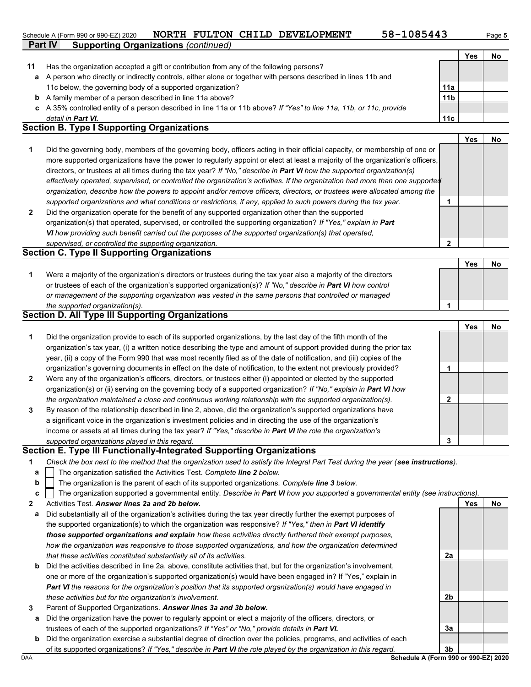#### **Part IV Supporting Organizations** *(continued)* Schedule A (Form 990 or 990-EZ) 2020 **NORTH FULTON CHILD DEVELOPMENT** 58-1085443 Page 5

**2**

|    |                                                                                                                            |                 | Yes | No        |
|----|----------------------------------------------------------------------------------------------------------------------------|-----------------|-----|-----------|
| 11 | Has the organization accepted a gift or contribution from any of the following persons?                                    |                 |     |           |
| а  | A person who directly or indirectly controls, either alone or together with persons described in lines 11b and             |                 |     |           |
|    | 11c below, the governing body of a supported organization?                                                                 | 11a             |     |           |
| b  | A family member of a person described in line 11a above?                                                                   | 11 <sub>b</sub> |     |           |
|    | c A 35% controlled entity of a person described in line 11a or 11b above? If "Yes" to line 11a, 11b, or 11c, provide       |                 |     |           |
|    | detail in <b>Part VI.</b>                                                                                                  | 11c             |     |           |
|    | <b>Section B. Type I Supporting Organizations</b>                                                                          |                 |     |           |
|    |                                                                                                                            |                 | Yes | <b>No</b> |
|    | Did the governing body, members of the governing body, officers acting in their official capacity, or membership of one or |                 |     |           |

- **2** *supported organizations and what conditions or restrictions, if any, applied to such powers during the tax year. organization, describe how the powers to appoint and/or remove officers, directors, or trustees were allocated among the effectively operated, supervised, or controlled the organization's activities. If the organization had more than one supported* directors, or trustees at all times during the tax year? *If "No," describe in Part VI how the supported organization(s)* more supported organizations have the power to regularly appoint or elect at least a majority of the organization's officers, **1**
- Did the organization operate for the benefit of any supported organization other than the supported organization(s) that operated, supervised, or controlled the supporting organization? *If "Yes," explain in Part VI how providing such benefit carried out the purposes of the supported organization(s) that operated, supervised, or controlled the supporting organization.*

### **Section C. Type II Supporting Organizations**

|                                                                                                                  | Yes | <b>No</b> |
|------------------------------------------------------------------------------------------------------------------|-----|-----------|
| Were a majority of the organization's directors or trustees during the tax year also a majority of the directors |     |           |
| or trustees of each of the organization's supported organization(s)? If "No," describe in Part VI how control    |     |           |
| or management of the supporting organization was vested in the same persons that controlled or managed           |     |           |
| the supported organization(s).                                                                                   |     |           |

#### **Section D. All Type III Supporting Organizations**

|                |                                                                                                                        |   | Yes | No |
|----------------|------------------------------------------------------------------------------------------------------------------------|---|-----|----|
| 1              | Did the organization provide to each of its supported organizations, by the last day of the fifth month of the         |   |     |    |
|                | organization's tax year, (i) a written notice describing the type and amount of support provided during the prior tax  |   |     |    |
|                | year, (ii) a copy of the Form 990 that was most recently filed as of the date of notification, and (iii) copies of the |   |     |    |
|                | organization's governing documents in effect on the date of notification, to the extent not previously provided?       |   |     |    |
| $\overline{2}$ | Were any of the organization's officers, directors, or trustees either (i) appointed or elected by the supported       |   |     |    |
|                | organization(s) or (ii) serving on the governing body of a supported organization? If "No," explain in Part VI how     |   |     |    |
|                | the organization maintained a close and continuous working relationship with the supported organization(s).            | 2 |     |    |
| 3              | By reason of the relationship described in line 2, above, did the organization's supported organizations have          |   |     |    |
|                | a significant voice in the organization's investment policies and in directing the use of the organization's           |   |     |    |
|                | income or assets at all times during the tax year? If "Yes," describe in Part VI the role the organization's           |   |     |    |
|                | supported organizations played in this regard.                                                                         | 3 |     |    |

#### **Section E. Type III Functionally-Integrated Supporting Organizations**

| Check the box next to the method that the organization used to satisfy the Integral Part Test during the year (see instructions). |  |
|-----------------------------------------------------------------------------------------------------------------------------------|--|

- The organization satisfied the Activities Test. *Complete line 2 below.* **a**
- The organization is the parent of each of its supported organizations. *Complete line 3 below.* **b**

- **2** Activities Test. *Answer lines 2a and 2b below.*
- **a** Did substantially all of the organization's activities during the tax year directly further the exempt purposes of the supported organization(s) to which the organization was responsive? *If "Yes," then in Part VI identify those supported organizations and explain how these activities directly furthered their exempt purposes,*  how the organization was responsive to those supported organizations, and how the organization determined *that these activities constituted substantially all of its activities.*
- **b** Did the activities described in line 2a, above, constitute activities that, but for the organization's involvement, one or more of the organization's supported organization(s) would have been engaged in? If "Yes," explain in *Part VI the reasons for the organization's position that its supported organization(s) would have engaged in these activities but for the organization's involvement.*
- **3** Parent of Supported Organizations. *Answer lines 3a and 3b below.*
	- **a** Did the organization have the power to regularly appoint or elect a majority of the officers, directors, or trustees of each of the supported organizations? *If "Yes" or "No," provide details in Part VI.*
- DAA **Schedule A (Form 990 or 990-EZ) 2020 b** Did the organization exercise a substantial degree of direction over the policies, programs, and activities of each of its supported organizations? *If "Yes," describe in Part VI the role played by the organization in this regard.*

**2a**

**2b**

**3a**

**Yes No**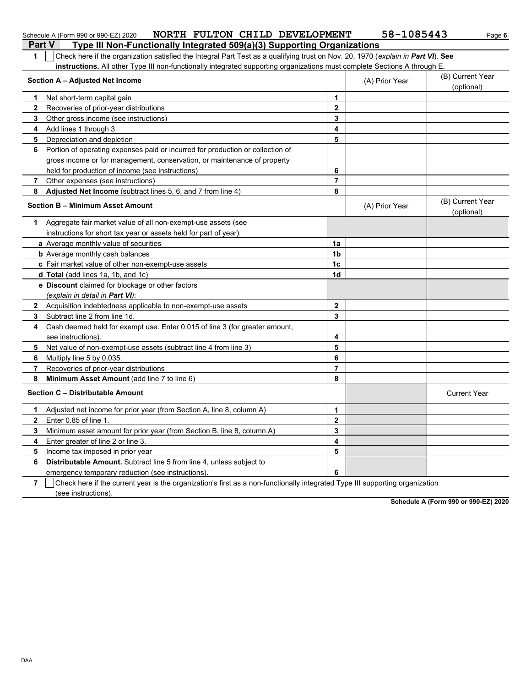|                | NORTH FULTON CHILD DEVELOPMENT<br>Schedule A (Form 990 or 990-EZ) 2020                                                           |                         | 58-1085443     | Page 6                         |
|----------------|----------------------------------------------------------------------------------------------------------------------------------|-------------------------|----------------|--------------------------------|
|                | <b>Part V</b><br>Type III Non-Functionally Integrated 509(a)(3) Supporting Organizations                                         |                         |                |                                |
| 1              | Check here if the organization satisfied the Integral Part Test as a qualifying trust on Nov. 20, 1970 (explain in Part VI). See |                         |                |                                |
|                | instructions. All other Type III non-functionally integrated supporting organizations must complete Sections A through E.        |                         |                |                                |
|                | Section A - Adjusted Net Income                                                                                                  |                         | (A) Prior Year | (B) Current Year<br>(optional) |
| 1              | Net short-term capital gain                                                                                                      | 1                       |                |                                |
| 2              | Recoveries of prior-year distributions                                                                                           | $\mathbf 2$             |                |                                |
| 3              | Other gross income (see instructions)                                                                                            | 3                       |                |                                |
| 4              | Add lines 1 through 3.                                                                                                           | 4                       |                |                                |
| 5              | Depreciation and depletion                                                                                                       | 5                       |                |                                |
| 6              | Portion of operating expenses paid or incurred for production or collection of                                                   |                         |                |                                |
|                | gross income or for management, conservation, or maintenance of property                                                         |                         |                |                                |
|                | held for production of income (see instructions)                                                                                 | 6                       |                |                                |
| 7              | Other expenses (see instructions)                                                                                                | $\overline{7}$          |                |                                |
| 8              | Adjusted Net Income (subtract lines 5, 6, and 7 from line 4)                                                                     | 8                       |                |                                |
|                | <b>Section B - Minimum Asset Amount</b>                                                                                          |                         | (A) Prior Year | (B) Current Year<br>(optional) |
|                | 1 Aggregate fair market value of all non-exempt-use assets (see                                                                  |                         |                |                                |
|                | instructions for short tax year or assets held for part of year):                                                                |                         |                |                                |
|                | a Average monthly value of securities                                                                                            | 1a                      |                |                                |
|                | <b>b</b> Average monthly cash balances                                                                                           | 1 <sub>b</sub>          |                |                                |
|                | c Fair market value of other non-exempt-use assets                                                                               | 1 <sub>c</sub>          |                |                                |
|                | d Total (add lines 1a, 1b, and 1c)                                                                                               | 1d                      |                |                                |
|                | e Discount claimed for blockage or other factors                                                                                 |                         |                |                                |
|                | (explain in detail in Part VI):                                                                                                  |                         |                |                                |
| 2              | Acquisition indebtedness applicable to non-exempt-use assets                                                                     | $\overline{2}$          |                |                                |
| 3              | Subtract line 2 from line 1d.                                                                                                    | 3                       |                |                                |
| 4              | Cash deemed held for exempt use. Enter 0.015 of line 3 (for greater amount,                                                      |                         |                |                                |
|                | see instructions).                                                                                                               | 4                       |                |                                |
| 5              | Net value of non-exempt-use assets (subtract line 4 from line 3)                                                                 | 5                       |                |                                |
| 6              | Multiply line 5 by 0.035.                                                                                                        | 6                       |                |                                |
| 7              | Recoveries of prior-year distributions                                                                                           | $\overline{7}$          |                |                                |
| 8              | Minimum Asset Amount (add line 7 to line 6)                                                                                      | 8                       |                |                                |
|                | Section C - Distributable Amount                                                                                                 |                         |                | <b>Current Year</b>            |
| 1.             | Adjusted net income for prior year (from Section A, line 8, column A)                                                            | 1                       |                |                                |
| $\overline{2}$ | Enter 0.85 of line 1.                                                                                                            | $\overline{\mathbf{2}}$ |                |                                |
| 3              | Minimum asset amount for prior year (from Section B, line 8, column A)                                                           | 3                       |                |                                |
| 4              | Enter greater of line 2 or line 3.                                                                                               | 4                       |                |                                |
| 5              | Income tax imposed in prior year                                                                                                 | 5                       |                |                                |
| 6              | Distributable Amount. Subtract line 5 from line 4, unless subject to                                                             |                         |                |                                |
|                | emergency temporary reduction (see instructions).                                                                                | 6                       |                |                                |
| $\overline{7}$ | Check here if the current year is the organization's first as a non-functionally integrated Type III supporting organization     |                         |                |                                |

(see instructions).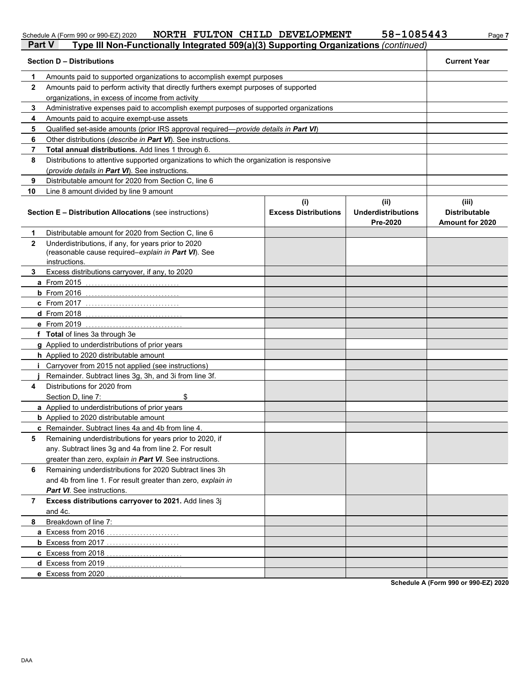#### Schedule A (Form 990 or 990-EZ) 2020 **NORTH F'ULT'ON CHI LD DEVELOPMENT 58-I 08544***3 Pa***ge 7 NORTH FULTON CHILD DEVELOPMENT 58-1085443**

| <b>Part V</b> | Type III Non-Functionally Integrated 509(a)(3) Supporting Organizations (continued)                                         |                                    |                                               |                                                         |  |  |
|---------------|-----------------------------------------------------------------------------------------------------------------------------|------------------------------------|-----------------------------------------------|---------------------------------------------------------|--|--|
|               | <b>Section D - Distributions</b>                                                                                            |                                    |                                               | <b>Current Year</b>                                     |  |  |
| 1             | Amounts paid to supported organizations to accomplish exempt purposes                                                       |                                    |                                               |                                                         |  |  |
| $\mathbf{2}$  | Amounts paid to perform activity that directly furthers exempt purposes of supported                                        |                                    |                                               |                                                         |  |  |
|               | organizations, in excess of income from activity                                                                            |                                    |                                               |                                                         |  |  |
| 3             | Administrative expenses paid to accomplish exempt purposes of supported organizations                                       |                                    |                                               |                                                         |  |  |
| 4             | Amounts paid to acquire exempt-use assets                                                                                   |                                    |                                               |                                                         |  |  |
| 5             | Qualified set-aside amounts (prior IRS approval required-provide details in Part VI)                                        |                                    |                                               |                                                         |  |  |
| 6             | Other distributions (describe in Part VI). See instructions.                                                                |                                    |                                               |                                                         |  |  |
| 7             | Total annual distributions. Add lines 1 through 6.                                                                          |                                    |                                               |                                                         |  |  |
| 8             | Distributions to attentive supported organizations to which the organization is responsive                                  |                                    |                                               |                                                         |  |  |
|               | (provide details in Part VI). See instructions.                                                                             |                                    |                                               |                                                         |  |  |
| 9             | Distributable amount for 2020 from Section C, line 6                                                                        |                                    |                                               |                                                         |  |  |
| 10            | Line 8 amount divided by line 9 amount                                                                                      |                                    |                                               |                                                         |  |  |
|               | <b>Section E - Distribution Allocations (see instructions)</b>                                                              | (i)<br><b>Excess Distributions</b> | (ii)<br><b>Underdistributions</b><br>Pre-2020 | (iii)<br><b>Distributable</b><br><b>Amount for 2020</b> |  |  |
| 1             | Distributable amount for 2020 from Section C, line 6                                                                        |                                    |                                               |                                                         |  |  |
| $\mathbf{2}$  | Underdistributions, if any, for years prior to 2020<br>(reasonable cause required-explain in Part VI). See<br>instructions. |                                    |                                               |                                                         |  |  |
| 3.            | Excess distributions carryover, if any, to 2020                                                                             |                                    |                                               |                                                         |  |  |
|               | <b>a</b> From 2015                                                                                                          |                                    |                                               |                                                         |  |  |
|               | $b$ From 2016                                                                                                               |                                    |                                               |                                                         |  |  |
|               | <b>c</b> From 2017                                                                                                          |                                    |                                               |                                                         |  |  |
|               | <b>d</b> From 2018                                                                                                          |                                    |                                               |                                                         |  |  |
|               | <b>e</b> From 2019                                                                                                          |                                    |                                               |                                                         |  |  |
|               | f Total of lines 3a through 3e                                                                                              |                                    |                                               |                                                         |  |  |
|               | g Applied to underdistributions of prior years                                                                              |                                    |                                               |                                                         |  |  |
|               | h Applied to 2020 distributable amount                                                                                      |                                    |                                               |                                                         |  |  |
|               | <i>i</i> Carryover from 2015 not applied (see instructions)                                                                 |                                    |                                               |                                                         |  |  |
|               | Remainder. Subtract lines 3g, 3h, and 3i from line 3f.                                                                      |                                    |                                               |                                                         |  |  |
| 4             | Distributions for 2020 from                                                                                                 |                                    |                                               |                                                         |  |  |
|               | \$<br>Section D, line 7:                                                                                                    |                                    |                                               |                                                         |  |  |
|               | a Applied to underdistributions of prior years                                                                              |                                    |                                               |                                                         |  |  |
|               | <b>b</b> Applied to 2020 distributable amount                                                                               |                                    |                                               |                                                         |  |  |
|               | c Remainder. Subtract lines 4a and 4b from line 4.                                                                          |                                    |                                               |                                                         |  |  |
| 5             | Remaining underdistributions for years prior to 2020, if                                                                    |                                    |                                               |                                                         |  |  |
|               | any. Subtract lines 3g and 4a from line 2. For result                                                                       |                                    |                                               |                                                         |  |  |
|               | greater than zero, explain in Part VI. See instructions.                                                                    |                                    |                                               |                                                         |  |  |
| 6             | Remaining underdistributions for 2020 Subtract lines 3h                                                                     |                                    |                                               |                                                         |  |  |
|               | and 4b from line 1. For result greater than zero, explain in                                                                |                                    |                                               |                                                         |  |  |
|               | Part VI. See instructions.                                                                                                  |                                    |                                               |                                                         |  |  |
| 7             | Excess distributions carryover to 2021. Add lines 3j<br>and 4c.                                                             |                                    |                                               |                                                         |  |  |
| 8             | Breakdown of line 7:                                                                                                        |                                    |                                               |                                                         |  |  |
|               | a Excess from 2016<br><u>.</u>                                                                                              |                                    |                                               |                                                         |  |  |
|               | <b>b</b> Excess from 2017                                                                                                   |                                    |                                               |                                                         |  |  |
|               | c Excess from 2018<br>.                                                                                                     |                                    |                                               |                                                         |  |  |
|               | d Excess from 2019                                                                                                          |                                    |                                               |                                                         |  |  |
|               | e Excess from 2020                                                                                                          |                                    |                                               |                                                         |  |  |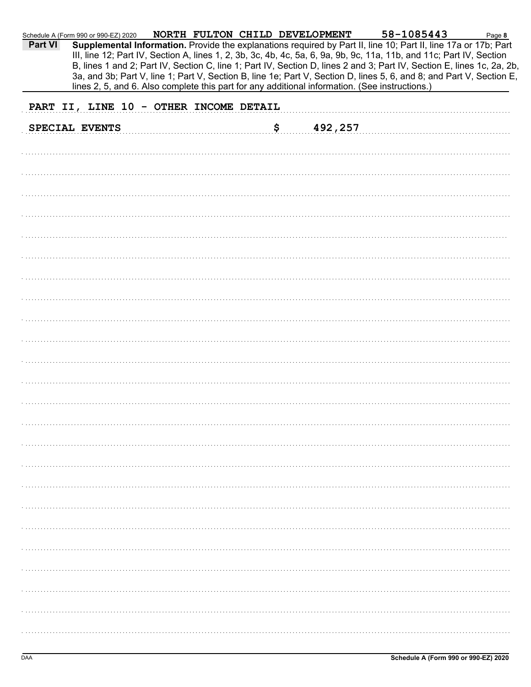| Part VI | Schedule A (Form 990 or 990-EZ) 2020<br>Supplemental Information. Provide the explanations required by Part II, line 10; Part II, line 17a or 17b; Part<br>III, line 12; Part IV, Section A, lines 1, 2, 3b, 3c, 4b, 4c, 5a, 6, 9a, 9b, 9c, 11a, 11b, and 11c; Part IV, Section<br>B, lines 1 and 2; Part IV, Section C, line 1; Part IV, Section D, lines 2 and 3; Part IV, Section E, lines 1c, 2a, 2b,<br>3a, and 3b; Part V, line 1; Part V, Section B, line 1e; Part V, Section D, lines 5, 6, and 8; and Part V, Section E,<br>lines 2, 5, and 6. Also complete this part for any additional information. (See instructions.) | NORTH FULTON CHILD DEVELOPMENT |               | 58-1085443 | Page 8 |
|---------|-------------------------------------------------------------------------------------------------------------------------------------------------------------------------------------------------------------------------------------------------------------------------------------------------------------------------------------------------------------------------------------------------------------------------------------------------------------------------------------------------------------------------------------------------------------------------------------------------------------------------------------|--------------------------------|---------------|------------|--------|
|         |                                                                                                                                                                                                                                                                                                                                                                                                                                                                                                                                                                                                                                     |                                |               |            |        |
|         | PART II, LINE 10 - OTHER INCOME DETAIL                                                                                                                                                                                                                                                                                                                                                                                                                                                                                                                                                                                              |                                |               |            |        |
|         | SPECIAL EVENTS                                                                                                                                                                                                                                                                                                                                                                                                                                                                                                                                                                                                                      |                                | 492,257<br>\$ |            |        |
|         |                                                                                                                                                                                                                                                                                                                                                                                                                                                                                                                                                                                                                                     |                                |               |            |        |
|         |                                                                                                                                                                                                                                                                                                                                                                                                                                                                                                                                                                                                                                     |                                |               |            |        |
|         |                                                                                                                                                                                                                                                                                                                                                                                                                                                                                                                                                                                                                                     |                                |               |            |        |
|         |                                                                                                                                                                                                                                                                                                                                                                                                                                                                                                                                                                                                                                     |                                |               |            |        |
|         |                                                                                                                                                                                                                                                                                                                                                                                                                                                                                                                                                                                                                                     |                                |               |            |        |
|         |                                                                                                                                                                                                                                                                                                                                                                                                                                                                                                                                                                                                                                     |                                |               |            |        |
|         |                                                                                                                                                                                                                                                                                                                                                                                                                                                                                                                                                                                                                                     |                                |               |            |        |
|         |                                                                                                                                                                                                                                                                                                                                                                                                                                                                                                                                                                                                                                     |                                |               |            |        |
|         |                                                                                                                                                                                                                                                                                                                                                                                                                                                                                                                                                                                                                                     |                                |               |            |        |
|         |                                                                                                                                                                                                                                                                                                                                                                                                                                                                                                                                                                                                                                     |                                |               |            |        |
|         |                                                                                                                                                                                                                                                                                                                                                                                                                                                                                                                                                                                                                                     |                                |               |            |        |
|         |                                                                                                                                                                                                                                                                                                                                                                                                                                                                                                                                                                                                                                     |                                |               |            |        |
|         |                                                                                                                                                                                                                                                                                                                                                                                                                                                                                                                                                                                                                                     |                                |               |            |        |
|         |                                                                                                                                                                                                                                                                                                                                                                                                                                                                                                                                                                                                                                     |                                |               |            |        |
|         |                                                                                                                                                                                                                                                                                                                                                                                                                                                                                                                                                                                                                                     |                                |               |            |        |
|         |                                                                                                                                                                                                                                                                                                                                                                                                                                                                                                                                                                                                                                     |                                |               |            |        |
|         |                                                                                                                                                                                                                                                                                                                                                                                                                                                                                                                                                                                                                                     |                                |               |            |        |
|         |                                                                                                                                                                                                                                                                                                                                                                                                                                                                                                                                                                                                                                     |                                |               |            |        |
|         |                                                                                                                                                                                                                                                                                                                                                                                                                                                                                                                                                                                                                                     |                                |               |            |        |
|         |                                                                                                                                                                                                                                                                                                                                                                                                                                                                                                                                                                                                                                     |                                |               |            |        |
|         |                                                                                                                                                                                                                                                                                                                                                                                                                                                                                                                                                                                                                                     |                                |               |            |        |
|         |                                                                                                                                                                                                                                                                                                                                                                                                                                                                                                                                                                                                                                     |                                |               |            |        |
|         |                                                                                                                                                                                                                                                                                                                                                                                                                                                                                                                                                                                                                                     |                                |               |            |        |
|         |                                                                                                                                                                                                                                                                                                                                                                                                                                                                                                                                                                                                                                     |                                |               |            |        |
|         |                                                                                                                                                                                                                                                                                                                                                                                                                                                                                                                                                                                                                                     |                                |               |            |        |
|         |                                                                                                                                                                                                                                                                                                                                                                                                                                                                                                                                                                                                                                     |                                |               |            |        |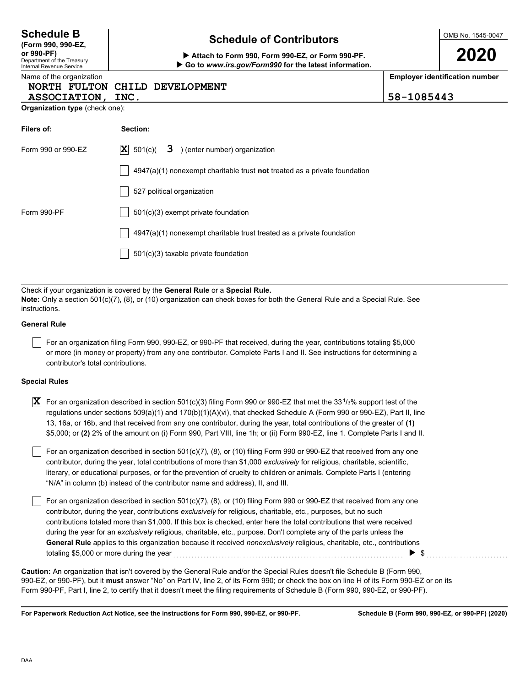|            | T or arr organization described in section 50 (C)(7), (0), Or (TO) filli<br>contributor, during the year, contributions exclusively for religious,<br>contributions totaled more than \$1,000. If this box is checked, ente<br>during the year for an exclusively religious, charitable, etc., purpos<br>General Rule applies to this organization because it received non |  |  |
|------------|----------------------------------------------------------------------------------------------------------------------------------------------------------------------------------------------------------------------------------------------------------------------------------------------------------------------------------------------------------------------------|--|--|
|            | <b>Caution:</b> An organization that isn't covered by the General Rule and/or th<br>990-EZ, or 990-PF), but it must answer "No" on Part IV, line 2, of its Form<br>Form 990-PF, Part I, line 2, to certify that it doesn't meet the filing requirer                                                                                                                        |  |  |
|            | For Paperwork Reduction Act Notice, see the instructions for Form 990, 990-                                                                                                                                                                                                                                                                                                |  |  |
| <b>DAA</b> |                                                                                                                                                                                                                                                                                                                                                                            |  |  |
|            |                                                                                                                                                                                                                                                                                                                                                                            |  |  |

| <b>NORTH FULTON</b> | CHILD DEVELOPMENT                                                                  |            |  |  |  |  |  |  |  |
|---------------------|------------------------------------------------------------------------------------|------------|--|--|--|--|--|--|--|
| ASSOCIATION, INC.   |                                                                                    | 58-1085443 |  |  |  |  |  |  |  |
|                     | <b>Organization type (check one):</b>                                              |            |  |  |  |  |  |  |  |
| Filers of:          | Section:                                                                           |            |  |  |  |  |  |  |  |
| Form 990 or 990-EZ  | $ \mathbf{X} $ 501(c)(<br>) (enter number) organization<br>3                       |            |  |  |  |  |  |  |  |
|                     | $4947(a)(1)$ nonexempt charitable trust <b>not</b> treated as a private foundation |            |  |  |  |  |  |  |  |
|                     | 527 political organization                                                         |            |  |  |  |  |  |  |  |
| Form 990-PF         | 501(c)(3) exempt private foundation                                                |            |  |  |  |  |  |  |  |
|                     | 4947(a)(1) nonexempt charitable trust treated as a private foundation              |            |  |  |  |  |  |  |  |
|                     | 501(c)(3) taxable private foundation                                               |            |  |  |  |  |  |  |  |

Check if your organization is covered by the **General Rule** or a **Special Rule. Note:** Only a section 501(c)(7), (8), or (10) organization can check boxes for both the General Rule and a Special Rule. See instructions.

### **General Rule**

For an organization filing Form 990, 990-EZ, or 990-PF that received, during the year, contributions totaling \$5,000 or more (in money or property) from any one contributor. Complete Parts I and II. See instructions for determining a contributor's total contributions.

#### **Special Rules**

| $\boxed{\mathbf{X}}$ For an organization described in section 501(c)(3) filing Form 990 or 990-EZ that met the 33 <sup>1</sup> /3% support test of the |
|--------------------------------------------------------------------------------------------------------------------------------------------------------|
| regulations under sections 509(a)(1) and 170(b)(1)(A)(vi), that checked Schedule A (Form 990 or 990-EZ), Part II, line                                 |
| 13, 16a, or 16b, and that received from any one contributor, during the year, total contributions of the greater of (1)                                |
| \$5,000; or (2) 2% of the amount on (i) Form 990, Part VIII, line 1h; or (ii) Form 990-EZ, line 1. Complete Parts I and II.                            |

literary, or educational purposes, or for the prevention of cruelty to children or animals. Complete Parts I (entering For an organization described in section 501(c)(7), (8), or (10) filing Form 990 or 990-EZ that received from any one contributor, during the year, total contributions of more than \$1,000 *exclusively* for religious, charitable, scientific, "N/A" in column (b) instead of the contributor name and address), II, and III.

For an organization described in section 501(c)(7), (8), or (10) filing Form 990 or 990-EZ that received from any one charitable, etc., purposes, but no such er here the total contributions that were received se. Don't complete any of the parts unless the *dexclusively* religious, charitable, etc., contributions totaling \$5,000 or more during the year . . . . . . . . . . . . . . . . . . . . . . . . . . . . . . . . . . . . . . . . . . . . . . . . . . . . . . . . . . . . . . . . . . . . . . . . . . . . \$ . . . . . . . . . . . . . . . . . . . . . . . . . . .

n 990; or check the box on line H of its Form 990-EZ or on its ments of Schedule B (Form 990, 990-EZ, or 990-PF). re Special Rules doesn't file Schedule B (Form 990,

**FZ, or 990-PF.** 

# **Schedule of Contributors Schedule B**

**or 990-PF) Attach to Form 990, Form 990-EZ, or Form 990-PF. Go to** *www.irs.gov/Form990* **for the latest information.** OMB No. 1545-0047

**2020**

**Employer identification number**

**Schedule B (Form 990, 990-EZ, or 990-PF) (2020)**

**(Form 990, 990-EZ,**

Department of the Treasury Internal Revenue Service Name of the organization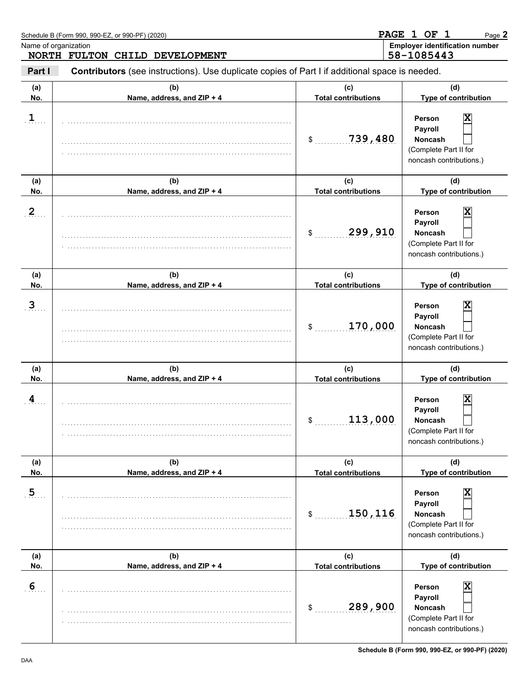|                      | Schedule B (Form 990, 990-EZ, or 990-PF) (2020)                                                |                                   | PAGE 1 OF 1<br>Page 2                                                                        |
|----------------------|------------------------------------------------------------------------------------------------|-----------------------------------|----------------------------------------------------------------------------------------------|
| Name of organization | NORTH FULTON CHILD DEVELOPMENT                                                                 |                                   | <b>Employer identification number</b><br>58-1085443                                          |
| Part I               | Contributors (see instructions). Use duplicate copies of Part I if additional space is needed. |                                   |                                                                                              |
| (a)<br>No.           | (b)<br>Name, address, and ZIP + 4                                                              | (C)<br><b>Total contributions</b> | (d)<br>Type of contribution                                                                  |
| $\mathbf{1}$         |                                                                                                | 739,480<br>\$                     | Person<br>х<br>Payroll<br><b>Noncash</b><br>(Complete Part II for<br>noncash contributions.) |
| (a)<br>No.           | (b)<br>Name, address, and ZIP + 4                                                              | (c)<br><b>Total contributions</b> | (d)<br>Type of contribution                                                                  |
| $\overline{2}$       |                                                                                                | 299,910<br>\$                     | Person<br>х<br>Payroll<br><b>Noncash</b><br>(Complete Part II for<br>noncash contributions.) |
| (a)<br>No.           | (b)<br>Name, address, and ZIP + 4                                                              | (c)<br><b>Total contributions</b> | (d)<br>Type of contribution                                                                  |
| $\overline{3}$       |                                                                                                | 170,000<br>\$                     | Person<br>х<br>Payroll<br><b>Noncash</b><br>(Complete Part II for<br>noncash contributions.) |
| (a)<br>No.           | (b)<br>Name, address, and ZIP + 4                                                              | (c)<br><b>Total contributions</b> | (d)<br>Type of contribution                                                                  |
| 4                    |                                                                                                | 113,000<br>P,                     | x<br>Person<br>Payroll<br>Noncash<br>(Complete Part II for<br>noncash contributions.)        |
| (a)<br>No.           | (b)<br>Name, address, and ZIP + 4                                                              | (c)<br><b>Total contributions</b> | (d)<br>Type of contribution                                                                  |
| $\overline{5}$       |                                                                                                | 150,116<br>\$                     | x<br>Person<br>Payroll<br><b>Noncash</b><br>(Complete Part II for<br>noncash contributions.) |
| (a)<br>No.           | (b)<br>Name, address, and ZIP + 4                                                              | (c)<br><b>Total contributions</b> | (d)<br>Type of contribution                                                                  |
| 6                    |                                                                                                | 289,900<br>\$                     | x<br>Person<br>Payroll<br><b>Noncash</b><br>(Complete Part II for<br>noncash contributions.) |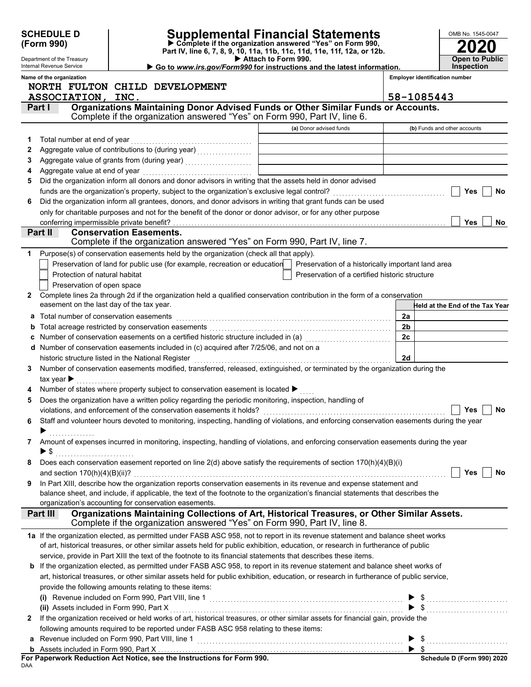|   | <b>SCHEDULE D</b><br>(Form 990)                                                                                                                                                                                                           |                                |  |                                                                           |  | Supplemental Financial Statements<br>Complete if the organization answered "Yes" on Form 990,                                                                             |                |                                       | OMB No. 1545-0047               |
|---|-------------------------------------------------------------------------------------------------------------------------------------------------------------------------------------------------------------------------------------------|--------------------------------|--|---------------------------------------------------------------------------|--|---------------------------------------------------------------------------------------------------------------------------------------------------------------------------|----------------|---------------------------------------|---------------------------------|
|   | Part IV, line 6, 7, 8, 9, 10, 11a, 11b, 11c, 11d, 11e, 11f, 12a, or 12b.<br>Attach to Form 990.<br>Department of the Treasury<br>Internal Revenue Service<br>Go to www.irs.gov/Form990 for instructions and the latest information.       |                                |  |                                                                           |  | <b>Open to Public</b><br><b>Inspection</b>                                                                                                                                |                |                                       |                                 |
|   | Name of the organization                                                                                                                                                                                                                  |                                |  |                                                                           |  |                                                                                                                                                                           |                | <b>Employer identification number</b> |                                 |
|   | NORTH FULTON CHILD DEVELOPMENT                                                                                                                                                                                                            |                                |  |                                                                           |  |                                                                                                                                                                           |                |                                       |                                 |
|   | ASSOCIATION, INC.                                                                                                                                                                                                                         |                                |  |                                                                           |  |                                                                                                                                                                           |                | 58-1085443                            |                                 |
|   | Part I                                                                                                                                                                                                                                    |                                |  |                                                                           |  | Organizations Maintaining Donor Advised Funds or Other Similar Funds or Accounts.<br>Complete if the organization answered "Yes" on Form 990, Part IV, line 6.            |                |                                       |                                 |
|   |                                                                                                                                                                                                                                           |                                |  |                                                                           |  | (a) Donor advised funds                                                                                                                                                   |                | (b) Funds and other accounts          |                                 |
| 1 |                                                                                                                                                                                                                                           |                                |  |                                                                           |  |                                                                                                                                                                           |                |                                       |                                 |
| 2 |                                                                                                                                                                                                                                           |                                |  |                                                                           |  |                                                                                                                                                                           |                |                                       |                                 |
| 3 |                                                                                                                                                                                                                                           |                                |  |                                                                           |  |                                                                                                                                                                           |                |                                       |                                 |
| 4 |                                                                                                                                                                                                                                           |                                |  |                                                                           |  |                                                                                                                                                                           |                |                                       |                                 |
| 5 | Did the organization inform all donors and donor advisors in writing that the assets held in donor advised                                                                                                                                |                                |  |                                                                           |  |                                                                                                                                                                           |                |                                       |                                 |
|   |                                                                                                                                                                                                                                           |                                |  |                                                                           |  |                                                                                                                                                                           |                |                                       | Yes<br><b>No</b>                |
| 6 | Did the organization inform all grantees, donors, and donor advisors in writing that grant funds can be used                                                                                                                              |                                |  |                                                                           |  |                                                                                                                                                                           |                |                                       |                                 |
|   | only for charitable purposes and not for the benefit of the donor or donor advisor, or for any other purpose                                                                                                                              |                                |  |                                                                           |  |                                                                                                                                                                           |                |                                       |                                 |
|   | conferring impermissible private benefit?                                                                                                                                                                                                 |                                |  |                                                                           |  |                                                                                                                                                                           |                |                                       | <b>Yes</b><br>No                |
|   | Part II                                                                                                                                                                                                                                   | <b>Conservation Easements.</b> |  |                                                                           |  |                                                                                                                                                                           |                |                                       |                                 |
|   |                                                                                                                                                                                                                                           |                                |  |                                                                           |  | Complete if the organization answered "Yes" on Form 990, Part IV, line 7.                                                                                                 |                |                                       |                                 |
| 1 | Purpose(s) of conservation easements held by the organization (check all that apply).                                                                                                                                                     |                                |  |                                                                           |  |                                                                                                                                                                           |                |                                       |                                 |
|   | Protection of natural habitat                                                                                                                                                                                                             |                                |  | Preservation of land for public use (for example, recreation or education |  | Preservation of a historically important land area<br>Preservation of a certified historic structure                                                                      |                |                                       |                                 |
|   | Preservation of open space                                                                                                                                                                                                                |                                |  |                                                                           |  |                                                                                                                                                                           |                |                                       |                                 |
| 2 | Complete lines 2a through 2d if the organization held a qualified conservation contribution in the form of a conservation                                                                                                                 |                                |  |                                                                           |  |                                                                                                                                                                           |                |                                       |                                 |
|   | easement on the last day of the tax year.                                                                                                                                                                                                 |                                |  |                                                                           |  |                                                                                                                                                                           |                |                                       | Held at the End of the Tax Year |
| а | Total number of conservation easements                                                                                                                                                                                                    |                                |  |                                                                           |  |                                                                                                                                                                           | 2a             |                                       |                                 |
| b |                                                                                                                                                                                                                                           |                                |  |                                                                           |  |                                                                                                                                                                           | 2 <sub>b</sub> |                                       |                                 |
| C |                                                                                                                                                                                                                                           |                                |  |                                                                           |  |                                                                                                                                                                           | 2c             |                                       |                                 |
|   | d Number of conservation easements included in (c) acquired after 7/25/06, and not on a                                                                                                                                                   |                                |  |                                                                           |  |                                                                                                                                                                           |                |                                       |                                 |
|   | historic structure listed in the National Register                                                                                                                                                                                        |                                |  |                                                                           |  |                                                                                                                                                                           | 2d             |                                       |                                 |
| 3 | Number of conservation easements modified, transferred, released, extinguished, or terminated by the organization during the                                                                                                              |                                |  |                                                                           |  |                                                                                                                                                                           |                |                                       |                                 |
|   | tax year $\blacktriangleright$                                                                                                                                                                                                            |                                |  |                                                                           |  |                                                                                                                                                                           |                |                                       |                                 |
|   | Number of states where property subject to conservation easement is located ▶                                                                                                                                                             |                                |  |                                                                           |  |                                                                                                                                                                           |                |                                       |                                 |
| 5 | Does the organization have a written policy regarding the periodic monitoring, inspection, handling of                                                                                                                                    |                                |  |                                                                           |  |                                                                                                                                                                           |                |                                       |                                 |
|   |                                                                                                                                                                                                                                           |                                |  |                                                                           |  |                                                                                                                                                                           |                |                                       | Yes<br>No                       |
| 6 | Staff and volunteer hours devoted to monitoring, inspecting, handling of violations, and enforcing conservation easements during the year                                                                                                 |                                |  |                                                                           |  |                                                                                                                                                                           |                |                                       |                                 |
|   |                                                                                                                                                                                                                                           |                                |  |                                                                           |  |                                                                                                                                                                           |                |                                       |                                 |
| 7 | Amount of expenses incurred in monitoring, inspecting, handling of violations, and enforcing conservation easements during the year                                                                                                       |                                |  |                                                                           |  |                                                                                                                                                                           |                |                                       |                                 |
| 8 | $\blacktriangleright$ \$<br>Does each conservation easement reported on line $2(d)$ above satisfy the requirements of section $170(h)(4)(B)(i)$                                                                                           |                                |  |                                                                           |  |                                                                                                                                                                           |                |                                       |                                 |
|   |                                                                                                                                                                                                                                           |                                |  |                                                                           |  |                                                                                                                                                                           |                |                                       | Yes<br>No                       |
| 9 | In Part XIII, describe how the organization reports conservation easements in its revenue and expense statement and                                                                                                                       |                                |  |                                                                           |  |                                                                                                                                                                           |                |                                       |                                 |
|   | balance sheet, and include, if applicable, the text of the footnote to the organization's financial statements that describes the                                                                                                         |                                |  |                                                                           |  |                                                                                                                                                                           |                |                                       |                                 |
|   | organization's accounting for conservation easements.                                                                                                                                                                                     |                                |  |                                                                           |  |                                                                                                                                                                           |                |                                       |                                 |
|   | Part III                                                                                                                                                                                                                                  |                                |  |                                                                           |  | Organizations Maintaining Collections of Art, Historical Treasures, or Other Similar Assets.<br>Complete if the organization answered "Yes" on Form 990, Part IV, line 8. |                |                                       |                                 |
|   | 1a If the organization elected, as permitted under FASB ASC 958, not to report in its revenue statement and balance sheet works                                                                                                           |                                |  |                                                                           |  |                                                                                                                                                                           |                |                                       |                                 |
|   | of art, historical treasures, or other similar assets held for public exhibition, education, or research in furtherance of public                                                                                                         |                                |  |                                                                           |  |                                                                                                                                                                           |                |                                       |                                 |
|   | service, provide in Part XIII the text of the footnote to its financial statements that describes these items.                                                                                                                            |                                |  |                                                                           |  |                                                                                                                                                                           |                |                                       |                                 |
|   | b If the organization elected, as permitted under FASB ASC 958, to report in its revenue statement and balance sheet works of                                                                                                             |                                |  |                                                                           |  |                                                                                                                                                                           |                |                                       |                                 |
|   | art, historical treasures, or other similar assets held for public exhibition, education, or research in furtherance of public service,                                                                                                   |                                |  |                                                                           |  |                                                                                                                                                                           |                |                                       |                                 |
|   |                                                                                                                                                                                                                                           |                                |  |                                                                           |  |                                                                                                                                                                           |                |                                       |                                 |
|   |                                                                                                                                                                                                                                           |                                |  |                                                                           |  |                                                                                                                                                                           |                |                                       |                                 |
|   | provide the following amounts relating to these nems.<br>(i) Revenue included on Form 990, Part VIII, line 1<br>$\begin{array}{ccc}\n\bullet & \text{``} & \bullet & \text{``} \\ \bullet & \text{``} & \bullet & \text{``}\n\end{array}$ |                                |  |                                                                           |  |                                                                                                                                                                           |                |                                       |                                 |
| 2 | If the organization received or held works of art, historical treasures, or other similar assets for financial gain, provide the                                                                                                          |                                |  |                                                                           |  |                                                                                                                                                                           |                |                                       |                                 |
|   | following amounts required to be reported under FASB ASC 958 relating to these items:                                                                                                                                                     |                                |  |                                                                           |  |                                                                                                                                                                           |                |                                       |                                 |
| a |                                                                                                                                                                                                                                           |                                |  |                                                                           |  |                                                                                                                                                                           |                |                                       | $\triangleright$ \$             |
|   |                                                                                                                                                                                                                                           |                                |  |                                                                           |  |                                                                                                                                                                           |                |                                       |                                 |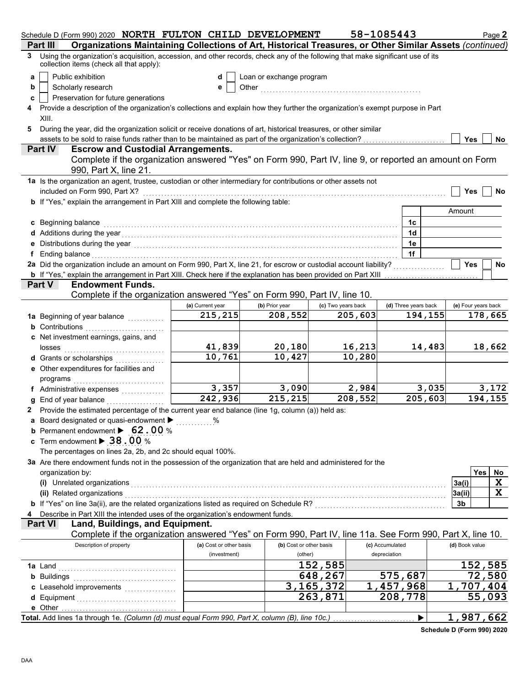| Schedule D (Form 990) 2020 NORTH FULTON CHILD DEVELOPMENT                                                                                                                                                                           |                         |                          |                           | 58-1085443           | Page 2              |
|-------------------------------------------------------------------------------------------------------------------------------------------------------------------------------------------------------------------------------------|-------------------------|--------------------------|---------------------------|----------------------|---------------------|
| Organizations Maintaining Collections of Art, Historical Treasures, or Other Similar Assets (continued)<br>Part III                                                                                                                 |                         |                          |                           |                      |                     |
| Using the organization's acquisition, accession, and other records, check any of the following that make significant use of its<br>3<br>collection items (check all that apply):                                                    |                         |                          |                           |                      |                     |
| Public exhibition<br>a                                                                                                                                                                                                              | d                       | Loan or exchange program |                           |                      |                     |
| Scholarly research<br>b                                                                                                                                                                                                             | е                       |                          |                           |                      |                     |
| Preservation for future generations<br>c                                                                                                                                                                                            |                         |                          |                           |                      |                     |
| Provide a description of the organization's collections and explain how they further the organization's exempt purpose in Part                                                                                                      |                         |                          |                           |                      |                     |
| XIII.                                                                                                                                                                                                                               |                         |                          |                           |                      |                     |
| During the year, did the organization solicit or receive donations of art, historical treasures, or other similar<br>5                                                                                                              |                         |                          |                           |                      |                     |
| assets to be sold to raise funds rather than to be maintained as part of the organization's collection?                                                                                                                             |                         |                          |                           |                      | <b>Yes</b><br>No.   |
| <b>Escrow and Custodial Arrangements.</b><br><b>Part IV</b>                                                                                                                                                                         |                         |                          |                           |                      |                     |
| Complete if the organization answered "Yes" on Form 990, Part IV, line 9, or reported an amount on Form<br>990, Part X, line 21.                                                                                                    |                         |                          |                           |                      |                     |
| 1a Is the organization an agent, trustee, custodian or other intermediary for contributions or other assets not                                                                                                                     |                         |                          |                           |                      |                     |
| included on Form 990, Part X?                                                                                                                                                                                                       |                         |                          |                           |                      | Yes<br>No           |
| b If "Yes," explain the arrangement in Part XIII and complete the following table:                                                                                                                                                  |                         |                          |                           |                      |                     |
|                                                                                                                                                                                                                                     |                         |                          |                           |                      | Amount              |
| c Beginning balance                                                                                                                                                                                                                 |                         |                          |                           | 1c                   |                     |
| d Additions during the year contact the set of the set of the set of the set of the set of the set of the set of the set of the set of the set of the set of the set of the set of the set of the set of the set of the set of      |                         |                          |                           | 1d                   |                     |
|                                                                                                                                                                                                                                     |                         |                          |                           | 1e                   |                     |
| f Ending balance encourance and a series of the series of the series of the series of the series of the series of the series of the series of the series of the series of the series of the series of the series of the series      |                         |                          |                           | 1f                   |                     |
| 2a Did the organization include an amount on Form 990, Part X, line 21, for escrow or custodial account liability?                                                                                                                  |                         |                          |                           |                      | <b>Yes</b><br>No    |
| <b>b</b> If "Yes," explain the arrangement in Part XIII. Check here if the explanation has been provided on Part XIII                                                                                                               |                         |                          |                           |                      |                     |
| <b>Endowment Funds.</b><br><b>Part V</b>                                                                                                                                                                                            |                         |                          |                           |                      |                     |
| Complete if the organization answered "Yes" on Form 990, Part IV, line 10.                                                                                                                                                          |                         |                          |                           |                      |                     |
|                                                                                                                                                                                                                                     | (a) Current year        | (b) Prior year           | (c) Two years back        | (d) Three years back | (e) Four years back |
| 1a Beginning of year balance <i>minimizing</i>                                                                                                                                                                                      | 215,215                 | 208,552                  | 205,603                   | 194,155              | 178,665             |
| <b>b</b> Contributions <b>contributions</b>                                                                                                                                                                                         |                         |                          |                           |                      |                     |
| c Net investment earnings, gains, and                                                                                                                                                                                               |                         |                          |                           |                      |                     |
| losses                                                                                                                                                                                                                              | 41,839                  | 20,180                   | 16,213                    | 14,483               | 18,662              |
| <b>d</b> Grants or scholarships<br>.                                                                                                                                                                                                | 10,761                  | 10,427                   | 10,280                    |                      |                     |
| e Other expenditures for facilities and                                                                                                                                                                                             |                         |                          |                           |                      |                     |
|                                                                                                                                                                                                                                     |                         |                          |                           |                      |                     |
| f Administrative expenses                                                                                                                                                                                                           | 3,357                   | 3,090                    | 2,984                     | 3,035                | 3,172               |
| <b>g</b> End of year balance $\ldots$                                                                                                                                                                                               | 242,936                 | 215, 215                 | 208,552                   | 205,603              | 194,155             |
| 2 Provide the estimated percentage of the current year end balance (line 1g, column (a)) held as:                                                                                                                                   |                         |                          |                           |                      |                     |
| a Board designated or quasi-endowment $\blacktriangleright$                                                                                                                                                                         |                         |                          |                           |                      |                     |
| <b>b</b> Permanent endowment $\triangleright$ 62.00 %                                                                                                                                                                               |                         |                          |                           |                      |                     |
| c Term endowment $\blacktriangleright$ 38.00 %                                                                                                                                                                                      |                         |                          |                           |                      |                     |
| The percentages on lines 2a, 2b, and 2c should equal 100%.                                                                                                                                                                          |                         |                          |                           |                      |                     |
| 3a Are there endowment funds not in the possession of the organization that are held and administered for the                                                                                                                       |                         |                          |                           |                      |                     |
| organization by:                                                                                                                                                                                                                    |                         |                          |                           |                      | Yes<br>No<br>X      |
| (i) Unrelated organizations <i>communication</i> and the contract of the contract of the contract of the contract of the contract of the contract of the contract of the contract of the contract of the contract of the contract o |                         |                          |                           |                      | 3a(i)<br>X          |
| (ii) Related organizations                                                                                                                                                                                                          |                         |                          |                           |                      | 3a(ii)<br>3b        |
|                                                                                                                                                                                                                                     |                         |                          |                           |                      |                     |
| Describe in Part XIII the intended uses of the organization's endowment funds.<br>Land, Buildings, and Equipment.<br><b>Part VI</b>                                                                                                 |                         |                          |                           |                      |                     |
| Complete if the organization answered "Yes" on Form 990, Part IV, line 11a. See Form 990, Part X, line 10.                                                                                                                          |                         |                          |                           |                      |                     |
| Description of property                                                                                                                                                                                                             | (a) Cost or other basis | (b) Cost or other basis  |                           | (c) Accumulated      | (d) Book value      |
|                                                                                                                                                                                                                                     | (investment)            | (other)                  |                           | depreciation         |                     |
|                                                                                                                                                                                                                                     |                         |                          | 152,585                   |                      | 152,585             |
| <b>b</b> Buildings <b>Multiples b</b>                                                                                                                                                                                               |                         |                          | 648,267                   | 575,687              | 72,580              |
| c Leasehold improvements                                                                                                                                                                                                            |                         |                          | $\overline{3}$ , 165, 372 | 1,457,968            | 1,707,404           |
|                                                                                                                                                                                                                                     |                         |                          | 263,871                   | 208,778              | 55,093              |
| e Other                                                                                                                                                                                                                             |                         |                          |                           |                      |                     |
| Total. Add lines 1a through 1e. (Column (d) must equal Form 990, Part X, column (B), line 10c.)                                                                                                                                     |                         |                          |                           | ▶                    | 1,987,662           |
|                                                                                                                                                                                                                                     |                         |                          |                           |                      |                     |

**Schedule D (Form 990) 2020**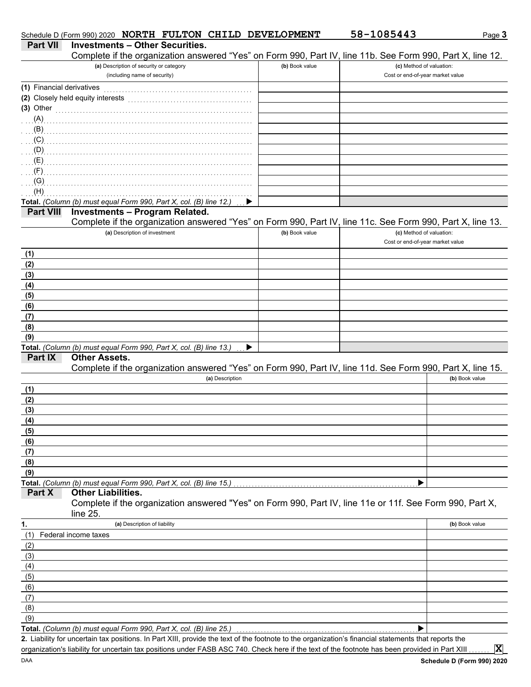|                           | Schedule D (Form 990) 2020 NORTH FULTON CHILD DEVELOPMENT                                                                                            |                | 58-1085443                       | Page 3         |
|---------------------------|------------------------------------------------------------------------------------------------------------------------------------------------------|----------------|----------------------------------|----------------|
| <b>Part VII</b>           | <b>Investments - Other Securities.</b>                                                                                                               |                |                                  |                |
|                           | Complete if the organization answered "Yes" on Form 990, Part IV, line 11b. See Form 990, Part X, line 12.                                           |                |                                  |                |
|                           | (a) Description of security or category                                                                                                              | (b) Book value | (c) Method of valuation:         |                |
|                           | (including name of security)                                                                                                                         |                | Cost or end-of-year market value |                |
| (1) Financial derivatives |                                                                                                                                                      |                |                                  |                |
|                           | (2) Closely held equity interests                                                                                                                    |                |                                  |                |
| $(3)$ Other               |                                                                                                                                                      |                |                                  |                |
| (A)                       |                                                                                                                                                      |                |                                  |                |
| (B)                       |                                                                                                                                                      |                |                                  |                |
| (C)                       |                                                                                                                                                      |                |                                  |                |
| (D)                       |                                                                                                                                                      |                |                                  |                |
| (E)                       |                                                                                                                                                      |                |                                  |                |
| (F)                       |                                                                                                                                                      |                |                                  |                |
| (G)                       |                                                                                                                                                      |                |                                  |                |
| (H)                       | Total. (Column (b) must equal Form 990, Part X, col. (B) line 12.)                                                                                   |                |                                  |                |
| <b>Part VIII</b>          | <b>Investments - Program Related.</b>                                                                                                                |                |                                  |                |
|                           | Complete if the organization answered "Yes" on Form 990, Part IV, line 11c. See Form 990, Part X, line 13.                                           |                |                                  |                |
|                           | (a) Description of investment                                                                                                                        | (b) Book value | (c) Method of valuation:         |                |
|                           |                                                                                                                                                      |                | Cost or end-of-year market value |                |
| (1)                       |                                                                                                                                                      |                |                                  |                |
| (2)                       |                                                                                                                                                      |                |                                  |                |
| (3)                       |                                                                                                                                                      |                |                                  |                |
| (4)                       |                                                                                                                                                      |                |                                  |                |
| (5)                       |                                                                                                                                                      |                |                                  |                |
| (6)                       |                                                                                                                                                      |                |                                  |                |
| (7)                       |                                                                                                                                                      |                |                                  |                |
| (8)                       |                                                                                                                                                      |                |                                  |                |
| (9)                       |                                                                                                                                                      |                |                                  |                |
|                           | Total. (Column (b) must equal Form 990, Part X, col. (B) line 13.)<br>▶                                                                              |                |                                  |                |
| Part IX                   | <b>Other Assets.</b>                                                                                                                                 |                |                                  |                |
|                           | Complete if the organization answered "Yes" on Form 990, Part IV, line 11d. See Form 990, Part X, line 15.                                           |                |                                  |                |
|                           | (a) Description                                                                                                                                      |                |                                  | (b) Book value |
| (1)                       |                                                                                                                                                      |                |                                  |                |
| (2)                       |                                                                                                                                                      |                |                                  |                |
| (3)                       |                                                                                                                                                      |                |                                  |                |
| (4)                       |                                                                                                                                                      |                |                                  |                |
| (5)                       |                                                                                                                                                      |                |                                  |                |
| (6)                       |                                                                                                                                                      |                |                                  |                |
| (7)                       |                                                                                                                                                      |                |                                  |                |
| (8)<br>(9)                |                                                                                                                                                      |                |                                  |                |
|                           | Total. (Column (b) must equal Form 990, Part X, col. (B) line 15.)                                                                                   |                |                                  |                |
| Part X                    | <b>Other Liabilities.</b>                                                                                                                            |                |                                  |                |
|                           | Complete if the organization answered "Yes" on Form 990, Part IV, line 11e or 11f. See Form 990, Part X,                                             |                |                                  |                |
|                           | line 25.                                                                                                                                             |                |                                  |                |
| 1.                        | (a) Description of liability                                                                                                                         |                |                                  | (b) Book value |
| (1)                       | Federal income taxes                                                                                                                                 |                |                                  |                |
| (2)                       |                                                                                                                                                      |                |                                  |                |
| (3)                       |                                                                                                                                                      |                |                                  |                |
| (4)                       |                                                                                                                                                      |                |                                  |                |
| (5)                       |                                                                                                                                                      |                |                                  |                |
| (6)                       |                                                                                                                                                      |                |                                  |                |
| (7)                       |                                                                                                                                                      |                |                                  |                |
| (8)                       |                                                                                                                                                      |                |                                  |                |
| (9)                       |                                                                                                                                                      |                |                                  |                |
|                           | Total. (Column (b) must equal Form 990, Part X, col. (B) line 25.)                                                                                   |                | ▶                                |                |
|                           | 2. Liability for uncertain tax positions. In Part XIII, provide the text of the footnote to the organization's financial statements that reports the |                |                                  |                |
|                           | organization's liability for uncertain tax positions under FASB ASC 740. Check here if the text of the footnote has been provided in Part XIII       |                |                                  | $ \mathbf{X} $ |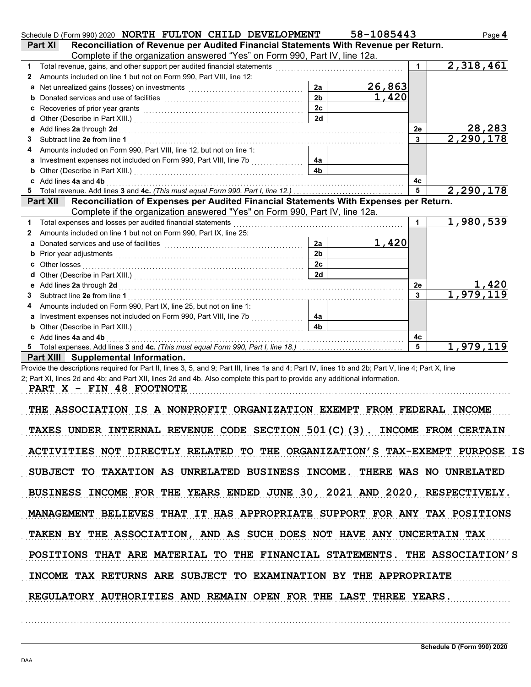|    | Schedule D (Form 990) 2020 NORTH FULTON CHILD DEVELOPMENT                                                                                                                                                                      |                | 58-1085443                                                                                                           |                 | Page 4                    |
|----|--------------------------------------------------------------------------------------------------------------------------------------------------------------------------------------------------------------------------------|----------------|----------------------------------------------------------------------------------------------------------------------|-----------------|---------------------------|
|    | Reconciliation of Revenue per Audited Financial Statements With Revenue per Return.<br>Part XI                                                                                                                                 |                |                                                                                                                      |                 |                           |
|    | Complete if the organization answered "Yes" on Form 990, Part IV, line 12a.                                                                                                                                                    |                |                                                                                                                      |                 |                           |
| 1. | Total revenue, gains, and other support per audited financial statements                                                                                                                                                       |                | and a strategic control of the control of the control of the control of the control of the control of the control of | 1               | 2,318,461                 |
| 2  | Amounts included on line 1 but not on Form 990, Part VIII, line 12:                                                                                                                                                            |                |                                                                                                                      |                 |                           |
|    |                                                                                                                                                                                                                                | 2a             | 26,863                                                                                                               |                 |                           |
|    |                                                                                                                                                                                                                                | 2 <sub>b</sub> | 1,420                                                                                                                |                 |                           |
| с  | Recoveries of prior year grants [[11] North Management of Prior (11] North Management of Prior (11] North Management Oriental Management Oriental Management Oriental Management Oriental Management Oriental Management Orien | 2c             |                                                                                                                      |                 |                           |
| d  |                                                                                                                                                                                                                                | 2d             |                                                                                                                      |                 |                           |
| е  | Add lines 2a through 2d [11] Additional Property of Additional Property and Property and Property and Property and Property and Property and Property and Property and Property and Property and Property and Property and Pro |                |                                                                                                                      | 2e              | 28,283                    |
| 3  | Subtract line 2e from line 1                                                                                                                                                                                                   |                |                                                                                                                      | 3               | 2,290,178                 |
|    | Amounts included on Form 990, Part VIII, line 12, but not on line 1:                                                                                                                                                           |                |                                                                                                                      |                 |                           |
|    |                                                                                                                                                                                                                                | 4a             |                                                                                                                      |                 |                           |
|    |                                                                                                                                                                                                                                |                |                                                                                                                      |                 |                           |
|    | Add lines 4a and 4b                                                                                                                                                                                                            |                |                                                                                                                      | 4с              |                           |
|    |                                                                                                                                                                                                                                |                |                                                                                                                      | $5\phantom{.0}$ | 2,290,178                 |
|    | Reconciliation of Expenses per Audited Financial Statements With Expenses per Return.<br><b>Part XII</b>                                                                                                                       |                |                                                                                                                      |                 |                           |
|    | Complete if the organization answered "Yes" on Form 990, Part IV, line 12a.                                                                                                                                                    |                |                                                                                                                      |                 |                           |
| 1  | Total expenses and losses per audited financial statements                                                                                                                                                                     |                |                                                                                                                      |                 | 1,980,539                 |
| 2  | Amounts included on line 1 but not on Form 990, Part IX, line 25:                                                                                                                                                              |                |                                                                                                                      |                 |                           |
| a  |                                                                                                                                                                                                                                | 2a             | 1,420                                                                                                                |                 |                           |
| b  | Prior year adjustments [11, 12] All the contract of the contract of the contract of the contract of the contract of the contract of the contract of the contract of the contract of the contract of the contract of the contra | 2 <sub>b</sub> |                                                                                                                      |                 |                           |
|    |                                                                                                                                                                                                                                | 2 <sub>c</sub> |                                                                                                                      |                 |                           |
| a  |                                                                                                                                                                                                                                | 2d             |                                                                                                                      |                 |                           |
| е  | Add lines 2a through 2d [[[[[[[[[[[[[[[[[[[[[[[[]]]]]]]]]] Add lines 2a through 2d                                                                                                                                             |                |                                                                                                                      | 2e              | $\frac{1,420}{1,979,119}$ |
| 3  | Subtract line 2e from line 1                                                                                                                                                                                                   |                |                                                                                                                      | $\mathbf{3}$    |                           |
| 4  | Amounts included on Form 990, Part IX, line 25, but not on line 1:                                                                                                                                                             |                |                                                                                                                      |                 |                           |
| a  | Investment expenses not included on Form 990, Part VIII, line 7b                                                                                                                                                               | 4a             |                                                                                                                      |                 |                           |
| b  |                                                                                                                                                                                                                                | 4 <sub>b</sub> |                                                                                                                      |                 |                           |
|    | Add lines 4a and 4b                                                                                                                                                                                                            |                |                                                                                                                      | 4c              |                           |
| 5. |                                                                                                                                                                                                                                |                |                                                                                                                      | 5               | 1,979,119                 |
|    | Part XIII Supplemental Information.                                                                                                                                                                                            |                |                                                                                                                      |                 |                           |
|    | Provide the descriptions required for Part II, lines 3, 5, and 9; Part III, lines 1a and 4; Part IV, lines 1b and 2b; Part V, line 4; Part X, line                                                                             |                |                                                                                                                      |                 |                           |

2; Part XI, lines 2d and 4b; and Part XII, lines 2d and 4b. Also complete this part to provide any additional information.

PART X - FIN 48 FOOTNOTE

THE ASSOCIATION IS A NONPROFIT ORGANIZATION EXEMPT FROM FEDERAL INCOME TAXES UNDER INTERNAL REVENUE CODE SECTION 501(C)(3). INCOME FROM CERTAIN ACTIVITIES NOT DIRECTLY RELATED TO THE ORGANIZATION'S TAX-EXEMPT PURPOSE IS SUBJECT TO TAXATION AS UNRELATED BUSINESS INCOME. THERE WAS NO UNRELATED BUSINESS INCOME FOR THE YEARS ENDED JUNE 30, 2021 AND 2020, RESPECTIVELY. MANAGEMENT BELIEVES THAT IT HAS APPROPRIATE SUPPORT FOR ANY TAX POSITIONS INCOME TAX RETURNS ARE SUBJECT TO EXAMINATION BY THE APPROPRIATE TAKEN BY THE ASSOCIATION, AND AS SUCH DOES NOT HAVE ANY UNCERTAIN TAX POSITIONS THAT ARE MATERIAL TO THE FINANCIAL STATEMENTS. THE ASSOCIATION'S REGULATORY AUTHORITIES AND REMAIN OPEN FOR THE LAST THREE YEARS.

. . . . . . . . . . . . . . . . . . . . . . . . . . . . . . . . . . . . . . . . . . . . . . . . . . . . . . . . . . . . . . . . . . . . . . . . . . . . . . . . . . . . . . . . . . . . . . . . . . . . . . . . . . . . . . . . . . . . . . . . . . . . . . . . . . . . . . . . . . . . . . . . . . . . . . . . . . . . . . . . .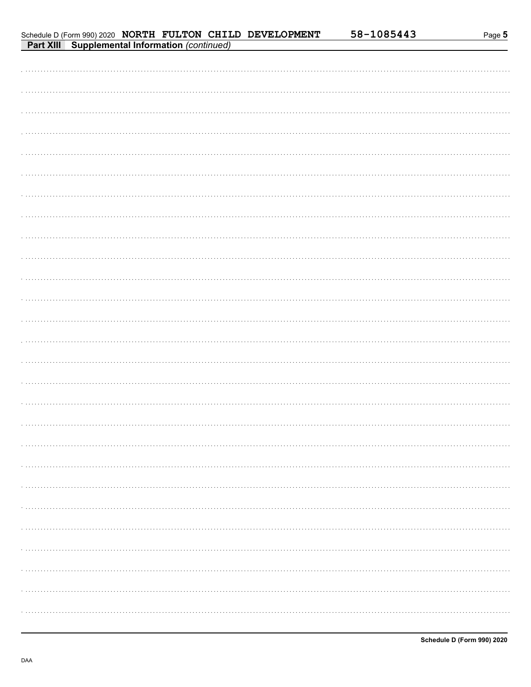| Schedule D (Form 990) 2020 NORTH FULTON CHILD DEVELOPMENT |  |  |  |
|-----------------------------------------------------------|--|--|--|
| <b>Part XIII Supplemental Information (continued)</b>     |  |  |  |

| Schedule D (Form 990) 2020 NORTH FULTON CHILD DEVELOPMENT<br>Part XIII Supplemental Information (continued) |  | 58-1085443 | Page 5 |
|-------------------------------------------------------------------------------------------------------------|--|------------|--------|
|                                                                                                             |  |            |        |
|                                                                                                             |  |            |        |
|                                                                                                             |  |            |        |
|                                                                                                             |  |            |        |
|                                                                                                             |  |            |        |
|                                                                                                             |  |            |        |
|                                                                                                             |  |            |        |
|                                                                                                             |  |            |        |
|                                                                                                             |  |            |        |
|                                                                                                             |  |            |        |
|                                                                                                             |  |            |        |
|                                                                                                             |  |            |        |
|                                                                                                             |  |            |        |
|                                                                                                             |  |            |        |
|                                                                                                             |  |            |        |
|                                                                                                             |  |            |        |
|                                                                                                             |  |            |        |
|                                                                                                             |  |            |        |
|                                                                                                             |  |            |        |
|                                                                                                             |  |            |        |
|                                                                                                             |  |            |        |
|                                                                                                             |  |            |        |
|                                                                                                             |  |            |        |
|                                                                                                             |  |            |        |
|                                                                                                             |  |            |        |
|                                                                                                             |  |            |        |
|                                                                                                             |  |            |        |
|                                                                                                             |  |            |        |
|                                                                                                             |  |            |        |
|                                                                                                             |  |            |        |
|                                                                                                             |  |            |        |
|                                                                                                             |  |            |        |
|                                                                                                             |  |            |        |
|                                                                                                             |  |            |        |
|                                                                                                             |  |            |        |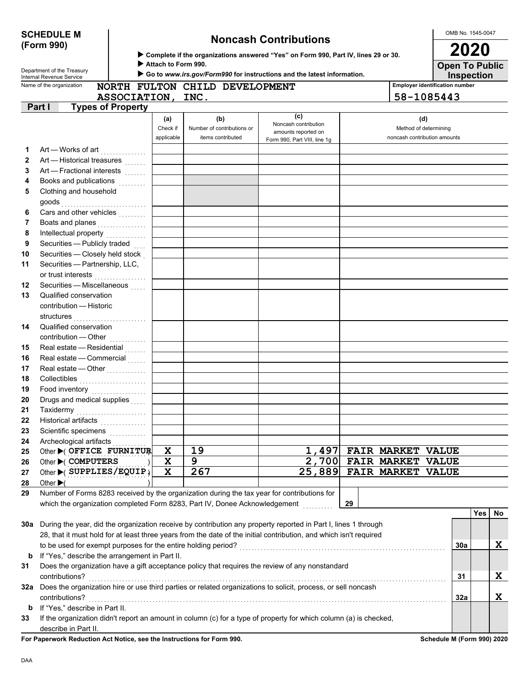DAA

# **(Form 990)**

# **SCHEDULE M Noncash Contributions**

 **Complete if the organizations answered "Yes" on Form 990, Part IV, lines 29 or 30.**

 **Attach to Form 990.**

| <b>Employer identification number</b><br>Name of the organization<br>NORTH FULTON CHILD DEVELOPMENT<br>58-1085443<br>ASSOCIATION, INC.<br>Part I<br><b>Types of Property</b><br>(c)<br>(b)<br>(d)<br>(a)<br>Noncash contribution<br>Check if<br>Method of determining<br>Number of contributions or<br>amounts reported on<br>applicable<br>noncash contribution amounts<br>items contributed<br>Form 990, Part VIII, line 1g<br>Art — Works of art<br>1<br>Art — Historical treasures<br>2<br>Art - Fractional interests<br>3<br>Books and publications <b>contained</b><br>4<br>Clothing and household<br>5<br>Cars and other vehicles with the care and other with the control of<br>6<br>Boats and planes<br>7<br>Intellectual property<br>8<br>Securities - Publicly traded<br>9<br>Securities - Closely held stock<br>Securities - Partnership, LLC,<br>or trust interests<br>Securities - Miscellaneous<br>Qualified conservation<br>contribution - Historic<br>structures<br>Qualified conservation<br>contribution - Other<br>Real estate - Residential<br>Real estate - Commercial<br>Real estate - Other<br>Collectibles <b>Collectibles</b><br>Food inventory<br><br>Drugs and medical supplies<br>Taxidermy<br>Historical artifacts<br>Scientific specimens<br><br>Archeological artifacts<br>Other C OFFICE FURNITUR<br>19<br>1,497 FAIR MARKET VALUE<br>X<br>2,700<br>Other COMPUTERS<br>9<br><b>FAIR MARKET</b><br><b>VALUE</b><br>X<br>267<br>25,889<br>X<br>Other $\blacktriangleright$ ( SUPPLIES/EQUIP)<br><b>FAIR MARKET</b><br><b>VALUE</b><br>Other $\blacktriangleright$ (<br>Number of Forms 8283 received by the organization during the tax year for contributions for<br>which the organization completed Form 8283, Part IV, Donee Acknowledgement<br>29<br>Yes<br>During the year, did the organization receive by contribution any property reported in Part I, lines 1 through<br>28, that it must hold for at least three years from the date of the initial contribution, and which isn't required<br>X<br>to be used for exempt purposes for the entire holding period?<br>30a<br>If "Yes," describe the arrangement in Part II.<br>b<br>Does the organization have a gift acceptance policy that requires the review of any nonstandard<br>X<br>contributions?<br>31<br>Does the organization hire or use third parties or related organizations to solicit, process, or sell noncash<br>X<br>contributions?<br>32a<br>If "Yes," describe in Part II.<br>b<br>If the organization didn't report an amount in column (c) for a type of property for which column (a) is checked, |    | Department of the Treasury<br>Internal Revenue Service |  | Go to www.irs.gov/Form990 for instructions and the latest information. |  | <b>Inspection</b> |    |
|---------------------------------------------------------------------------------------------------------------------------------------------------------------------------------------------------------------------------------------------------------------------------------------------------------------------------------------------------------------------------------------------------------------------------------------------------------------------------------------------------------------------------------------------------------------------------------------------------------------------------------------------------------------------------------------------------------------------------------------------------------------------------------------------------------------------------------------------------------------------------------------------------------------------------------------------------------------------------------------------------------------------------------------------------------------------------------------------------------------------------------------------------------------------------------------------------------------------------------------------------------------------------------------------------------------------------------------------------------------------------------------------------------------------------------------------------------------------------------------------------------------------------------------------------------------------------------------------------------------------------------------------------------------------------------------------------------------------------------------------------------------------------------------------------------------------------------------------------------------------------------------------------------------------------------------------------------------------------------------------------------------------------------------------------------------------------------------------------------------------------------------------------------------------------------------------------------------------------------------------------------------------------------------------------------------------------------------------------------------------------------------------------------------------------------------------------------------------------------------------------------------------------------------------------------------------------------------------------------------------|----|--------------------------------------------------------|--|------------------------------------------------------------------------|--|-------------------|----|
|                                                                                                                                                                                                                                                                                                                                                                                                                                                                                                                                                                                                                                                                                                                                                                                                                                                                                                                                                                                                                                                                                                                                                                                                                                                                                                                                                                                                                                                                                                                                                                                                                                                                                                                                                                                                                                                                                                                                                                                                                                                                                                                                                                                                                                                                                                                                                                                                                                                                                                                                                                                                                     |    |                                                        |  |                                                                        |  |                   |    |
|                                                                                                                                                                                                                                                                                                                                                                                                                                                                                                                                                                                                                                                                                                                                                                                                                                                                                                                                                                                                                                                                                                                                                                                                                                                                                                                                                                                                                                                                                                                                                                                                                                                                                                                                                                                                                                                                                                                                                                                                                                                                                                                                                                                                                                                                                                                                                                                                                                                                                                                                                                                                                     |    |                                                        |  |                                                                        |  |                   |    |
|                                                                                                                                                                                                                                                                                                                                                                                                                                                                                                                                                                                                                                                                                                                                                                                                                                                                                                                                                                                                                                                                                                                                                                                                                                                                                                                                                                                                                                                                                                                                                                                                                                                                                                                                                                                                                                                                                                                                                                                                                                                                                                                                                                                                                                                                                                                                                                                                                                                                                                                                                                                                                     |    |                                                        |  |                                                                        |  |                   |    |
|                                                                                                                                                                                                                                                                                                                                                                                                                                                                                                                                                                                                                                                                                                                                                                                                                                                                                                                                                                                                                                                                                                                                                                                                                                                                                                                                                                                                                                                                                                                                                                                                                                                                                                                                                                                                                                                                                                                                                                                                                                                                                                                                                                                                                                                                                                                                                                                                                                                                                                                                                                                                                     |    |                                                        |  |                                                                        |  |                   |    |
|                                                                                                                                                                                                                                                                                                                                                                                                                                                                                                                                                                                                                                                                                                                                                                                                                                                                                                                                                                                                                                                                                                                                                                                                                                                                                                                                                                                                                                                                                                                                                                                                                                                                                                                                                                                                                                                                                                                                                                                                                                                                                                                                                                                                                                                                                                                                                                                                                                                                                                                                                                                                                     |    |                                                        |  |                                                                        |  |                   |    |
|                                                                                                                                                                                                                                                                                                                                                                                                                                                                                                                                                                                                                                                                                                                                                                                                                                                                                                                                                                                                                                                                                                                                                                                                                                                                                                                                                                                                                                                                                                                                                                                                                                                                                                                                                                                                                                                                                                                                                                                                                                                                                                                                                                                                                                                                                                                                                                                                                                                                                                                                                                                                                     |    |                                                        |  |                                                                        |  |                   |    |
|                                                                                                                                                                                                                                                                                                                                                                                                                                                                                                                                                                                                                                                                                                                                                                                                                                                                                                                                                                                                                                                                                                                                                                                                                                                                                                                                                                                                                                                                                                                                                                                                                                                                                                                                                                                                                                                                                                                                                                                                                                                                                                                                                                                                                                                                                                                                                                                                                                                                                                                                                                                                                     |    |                                                        |  |                                                                        |  |                   |    |
|                                                                                                                                                                                                                                                                                                                                                                                                                                                                                                                                                                                                                                                                                                                                                                                                                                                                                                                                                                                                                                                                                                                                                                                                                                                                                                                                                                                                                                                                                                                                                                                                                                                                                                                                                                                                                                                                                                                                                                                                                                                                                                                                                                                                                                                                                                                                                                                                                                                                                                                                                                                                                     |    |                                                        |  |                                                                        |  |                   |    |
|                                                                                                                                                                                                                                                                                                                                                                                                                                                                                                                                                                                                                                                                                                                                                                                                                                                                                                                                                                                                                                                                                                                                                                                                                                                                                                                                                                                                                                                                                                                                                                                                                                                                                                                                                                                                                                                                                                                                                                                                                                                                                                                                                                                                                                                                                                                                                                                                                                                                                                                                                                                                                     |    |                                                        |  |                                                                        |  |                   |    |
|                                                                                                                                                                                                                                                                                                                                                                                                                                                                                                                                                                                                                                                                                                                                                                                                                                                                                                                                                                                                                                                                                                                                                                                                                                                                                                                                                                                                                                                                                                                                                                                                                                                                                                                                                                                                                                                                                                                                                                                                                                                                                                                                                                                                                                                                                                                                                                                                                                                                                                                                                                                                                     |    |                                                        |  |                                                                        |  |                   |    |
|                                                                                                                                                                                                                                                                                                                                                                                                                                                                                                                                                                                                                                                                                                                                                                                                                                                                                                                                                                                                                                                                                                                                                                                                                                                                                                                                                                                                                                                                                                                                                                                                                                                                                                                                                                                                                                                                                                                                                                                                                                                                                                                                                                                                                                                                                                                                                                                                                                                                                                                                                                                                                     |    |                                                        |  |                                                                        |  |                   |    |
|                                                                                                                                                                                                                                                                                                                                                                                                                                                                                                                                                                                                                                                                                                                                                                                                                                                                                                                                                                                                                                                                                                                                                                                                                                                                                                                                                                                                                                                                                                                                                                                                                                                                                                                                                                                                                                                                                                                                                                                                                                                                                                                                                                                                                                                                                                                                                                                                                                                                                                                                                                                                                     |    |                                                        |  |                                                                        |  |                   |    |
| 10<br>11<br>12<br>13<br>14<br>15<br>16<br>17<br>18<br>19<br>20<br>24<br>25<br>26<br>27<br>28<br>29<br>30a<br>31<br>32a<br>33                                                                                                                                                                                                                                                                                                                                                                                                                                                                                                                                                                                                                                                                                                                                                                                                                                                                                                                                                                                                                                                                                                                                                                                                                                                                                                                                                                                                                                                                                                                                                                                                                                                                                                                                                                                                                                                                                                                                                                                                                                                                                                                                                                                                                                                                                                                                                                                                                                                                                        |    |                                                        |  |                                                                        |  |                   |    |
|                                                                                                                                                                                                                                                                                                                                                                                                                                                                                                                                                                                                                                                                                                                                                                                                                                                                                                                                                                                                                                                                                                                                                                                                                                                                                                                                                                                                                                                                                                                                                                                                                                                                                                                                                                                                                                                                                                                                                                                                                                                                                                                                                                                                                                                                                                                                                                                                                                                                                                                                                                                                                     |    |                                                        |  |                                                                        |  |                   |    |
|                                                                                                                                                                                                                                                                                                                                                                                                                                                                                                                                                                                                                                                                                                                                                                                                                                                                                                                                                                                                                                                                                                                                                                                                                                                                                                                                                                                                                                                                                                                                                                                                                                                                                                                                                                                                                                                                                                                                                                                                                                                                                                                                                                                                                                                                                                                                                                                                                                                                                                                                                                                                                     |    |                                                        |  |                                                                        |  |                   |    |
|                                                                                                                                                                                                                                                                                                                                                                                                                                                                                                                                                                                                                                                                                                                                                                                                                                                                                                                                                                                                                                                                                                                                                                                                                                                                                                                                                                                                                                                                                                                                                                                                                                                                                                                                                                                                                                                                                                                                                                                                                                                                                                                                                                                                                                                                                                                                                                                                                                                                                                                                                                                                                     |    |                                                        |  |                                                                        |  |                   |    |
|                                                                                                                                                                                                                                                                                                                                                                                                                                                                                                                                                                                                                                                                                                                                                                                                                                                                                                                                                                                                                                                                                                                                                                                                                                                                                                                                                                                                                                                                                                                                                                                                                                                                                                                                                                                                                                                                                                                                                                                                                                                                                                                                                                                                                                                                                                                                                                                                                                                                                                                                                                                                                     |    |                                                        |  |                                                                        |  |                   |    |
|                                                                                                                                                                                                                                                                                                                                                                                                                                                                                                                                                                                                                                                                                                                                                                                                                                                                                                                                                                                                                                                                                                                                                                                                                                                                                                                                                                                                                                                                                                                                                                                                                                                                                                                                                                                                                                                                                                                                                                                                                                                                                                                                                                                                                                                                                                                                                                                                                                                                                                                                                                                                                     |    |                                                        |  |                                                                        |  |                   |    |
|                                                                                                                                                                                                                                                                                                                                                                                                                                                                                                                                                                                                                                                                                                                                                                                                                                                                                                                                                                                                                                                                                                                                                                                                                                                                                                                                                                                                                                                                                                                                                                                                                                                                                                                                                                                                                                                                                                                                                                                                                                                                                                                                                                                                                                                                                                                                                                                                                                                                                                                                                                                                                     |    |                                                        |  |                                                                        |  |                   |    |
|                                                                                                                                                                                                                                                                                                                                                                                                                                                                                                                                                                                                                                                                                                                                                                                                                                                                                                                                                                                                                                                                                                                                                                                                                                                                                                                                                                                                                                                                                                                                                                                                                                                                                                                                                                                                                                                                                                                                                                                                                                                                                                                                                                                                                                                                                                                                                                                                                                                                                                                                                                                                                     |    |                                                        |  |                                                                        |  |                   |    |
|                                                                                                                                                                                                                                                                                                                                                                                                                                                                                                                                                                                                                                                                                                                                                                                                                                                                                                                                                                                                                                                                                                                                                                                                                                                                                                                                                                                                                                                                                                                                                                                                                                                                                                                                                                                                                                                                                                                                                                                                                                                                                                                                                                                                                                                                                                                                                                                                                                                                                                                                                                                                                     |    |                                                        |  |                                                                        |  |                   |    |
|                                                                                                                                                                                                                                                                                                                                                                                                                                                                                                                                                                                                                                                                                                                                                                                                                                                                                                                                                                                                                                                                                                                                                                                                                                                                                                                                                                                                                                                                                                                                                                                                                                                                                                                                                                                                                                                                                                                                                                                                                                                                                                                                                                                                                                                                                                                                                                                                                                                                                                                                                                                                                     |    |                                                        |  |                                                                        |  |                   |    |
|                                                                                                                                                                                                                                                                                                                                                                                                                                                                                                                                                                                                                                                                                                                                                                                                                                                                                                                                                                                                                                                                                                                                                                                                                                                                                                                                                                                                                                                                                                                                                                                                                                                                                                                                                                                                                                                                                                                                                                                                                                                                                                                                                                                                                                                                                                                                                                                                                                                                                                                                                                                                                     |    |                                                        |  |                                                                        |  |                   |    |
|                                                                                                                                                                                                                                                                                                                                                                                                                                                                                                                                                                                                                                                                                                                                                                                                                                                                                                                                                                                                                                                                                                                                                                                                                                                                                                                                                                                                                                                                                                                                                                                                                                                                                                                                                                                                                                                                                                                                                                                                                                                                                                                                                                                                                                                                                                                                                                                                                                                                                                                                                                                                                     |    |                                                        |  |                                                                        |  |                   |    |
|                                                                                                                                                                                                                                                                                                                                                                                                                                                                                                                                                                                                                                                                                                                                                                                                                                                                                                                                                                                                                                                                                                                                                                                                                                                                                                                                                                                                                                                                                                                                                                                                                                                                                                                                                                                                                                                                                                                                                                                                                                                                                                                                                                                                                                                                                                                                                                                                                                                                                                                                                                                                                     |    |                                                        |  |                                                                        |  |                   |    |
|                                                                                                                                                                                                                                                                                                                                                                                                                                                                                                                                                                                                                                                                                                                                                                                                                                                                                                                                                                                                                                                                                                                                                                                                                                                                                                                                                                                                                                                                                                                                                                                                                                                                                                                                                                                                                                                                                                                                                                                                                                                                                                                                                                                                                                                                                                                                                                                                                                                                                                                                                                                                                     |    |                                                        |  |                                                                        |  |                   |    |
|                                                                                                                                                                                                                                                                                                                                                                                                                                                                                                                                                                                                                                                                                                                                                                                                                                                                                                                                                                                                                                                                                                                                                                                                                                                                                                                                                                                                                                                                                                                                                                                                                                                                                                                                                                                                                                                                                                                                                                                                                                                                                                                                                                                                                                                                                                                                                                                                                                                                                                                                                                                                                     |    |                                                        |  |                                                                        |  |                   |    |
|                                                                                                                                                                                                                                                                                                                                                                                                                                                                                                                                                                                                                                                                                                                                                                                                                                                                                                                                                                                                                                                                                                                                                                                                                                                                                                                                                                                                                                                                                                                                                                                                                                                                                                                                                                                                                                                                                                                                                                                                                                                                                                                                                                                                                                                                                                                                                                                                                                                                                                                                                                                                                     |    |                                                        |  |                                                                        |  |                   |    |
|                                                                                                                                                                                                                                                                                                                                                                                                                                                                                                                                                                                                                                                                                                                                                                                                                                                                                                                                                                                                                                                                                                                                                                                                                                                                                                                                                                                                                                                                                                                                                                                                                                                                                                                                                                                                                                                                                                                                                                                                                                                                                                                                                                                                                                                                                                                                                                                                                                                                                                                                                                                                                     | 21 |                                                        |  |                                                                        |  |                   |    |
|                                                                                                                                                                                                                                                                                                                                                                                                                                                                                                                                                                                                                                                                                                                                                                                                                                                                                                                                                                                                                                                                                                                                                                                                                                                                                                                                                                                                                                                                                                                                                                                                                                                                                                                                                                                                                                                                                                                                                                                                                                                                                                                                                                                                                                                                                                                                                                                                                                                                                                                                                                                                                     | 22 |                                                        |  |                                                                        |  |                   |    |
|                                                                                                                                                                                                                                                                                                                                                                                                                                                                                                                                                                                                                                                                                                                                                                                                                                                                                                                                                                                                                                                                                                                                                                                                                                                                                                                                                                                                                                                                                                                                                                                                                                                                                                                                                                                                                                                                                                                                                                                                                                                                                                                                                                                                                                                                                                                                                                                                                                                                                                                                                                                                                     | 23 |                                                        |  |                                                                        |  |                   |    |
|                                                                                                                                                                                                                                                                                                                                                                                                                                                                                                                                                                                                                                                                                                                                                                                                                                                                                                                                                                                                                                                                                                                                                                                                                                                                                                                                                                                                                                                                                                                                                                                                                                                                                                                                                                                                                                                                                                                                                                                                                                                                                                                                                                                                                                                                                                                                                                                                                                                                                                                                                                                                                     |    |                                                        |  |                                                                        |  |                   |    |
|                                                                                                                                                                                                                                                                                                                                                                                                                                                                                                                                                                                                                                                                                                                                                                                                                                                                                                                                                                                                                                                                                                                                                                                                                                                                                                                                                                                                                                                                                                                                                                                                                                                                                                                                                                                                                                                                                                                                                                                                                                                                                                                                                                                                                                                                                                                                                                                                                                                                                                                                                                                                                     |    |                                                        |  |                                                                        |  |                   |    |
|                                                                                                                                                                                                                                                                                                                                                                                                                                                                                                                                                                                                                                                                                                                                                                                                                                                                                                                                                                                                                                                                                                                                                                                                                                                                                                                                                                                                                                                                                                                                                                                                                                                                                                                                                                                                                                                                                                                                                                                                                                                                                                                                                                                                                                                                                                                                                                                                                                                                                                                                                                                                                     |    |                                                        |  |                                                                        |  |                   |    |
|                                                                                                                                                                                                                                                                                                                                                                                                                                                                                                                                                                                                                                                                                                                                                                                                                                                                                                                                                                                                                                                                                                                                                                                                                                                                                                                                                                                                                                                                                                                                                                                                                                                                                                                                                                                                                                                                                                                                                                                                                                                                                                                                                                                                                                                                                                                                                                                                                                                                                                                                                                                                                     |    |                                                        |  |                                                                        |  |                   |    |
|                                                                                                                                                                                                                                                                                                                                                                                                                                                                                                                                                                                                                                                                                                                                                                                                                                                                                                                                                                                                                                                                                                                                                                                                                                                                                                                                                                                                                                                                                                                                                                                                                                                                                                                                                                                                                                                                                                                                                                                                                                                                                                                                                                                                                                                                                                                                                                                                                                                                                                                                                                                                                     |    |                                                        |  |                                                                        |  |                   |    |
|                                                                                                                                                                                                                                                                                                                                                                                                                                                                                                                                                                                                                                                                                                                                                                                                                                                                                                                                                                                                                                                                                                                                                                                                                                                                                                                                                                                                                                                                                                                                                                                                                                                                                                                                                                                                                                                                                                                                                                                                                                                                                                                                                                                                                                                                                                                                                                                                                                                                                                                                                                                                                     |    |                                                        |  |                                                                        |  |                   |    |
|                                                                                                                                                                                                                                                                                                                                                                                                                                                                                                                                                                                                                                                                                                                                                                                                                                                                                                                                                                                                                                                                                                                                                                                                                                                                                                                                                                                                                                                                                                                                                                                                                                                                                                                                                                                                                                                                                                                                                                                                                                                                                                                                                                                                                                                                                                                                                                                                                                                                                                                                                                                                                     |    |                                                        |  |                                                                        |  |                   |    |
|                                                                                                                                                                                                                                                                                                                                                                                                                                                                                                                                                                                                                                                                                                                                                                                                                                                                                                                                                                                                                                                                                                                                                                                                                                                                                                                                                                                                                                                                                                                                                                                                                                                                                                                                                                                                                                                                                                                                                                                                                                                                                                                                                                                                                                                                                                                                                                                                                                                                                                                                                                                                                     |    |                                                        |  |                                                                        |  |                   | No |
|                                                                                                                                                                                                                                                                                                                                                                                                                                                                                                                                                                                                                                                                                                                                                                                                                                                                                                                                                                                                                                                                                                                                                                                                                                                                                                                                                                                                                                                                                                                                                                                                                                                                                                                                                                                                                                                                                                                                                                                                                                                                                                                                                                                                                                                                                                                                                                                                                                                                                                                                                                                                                     |    |                                                        |  |                                                                        |  |                   |    |
|                                                                                                                                                                                                                                                                                                                                                                                                                                                                                                                                                                                                                                                                                                                                                                                                                                                                                                                                                                                                                                                                                                                                                                                                                                                                                                                                                                                                                                                                                                                                                                                                                                                                                                                                                                                                                                                                                                                                                                                                                                                                                                                                                                                                                                                                                                                                                                                                                                                                                                                                                                                                                     |    |                                                        |  |                                                                        |  |                   |    |
|                                                                                                                                                                                                                                                                                                                                                                                                                                                                                                                                                                                                                                                                                                                                                                                                                                                                                                                                                                                                                                                                                                                                                                                                                                                                                                                                                                                                                                                                                                                                                                                                                                                                                                                                                                                                                                                                                                                                                                                                                                                                                                                                                                                                                                                                                                                                                                                                                                                                                                                                                                                                                     |    |                                                        |  |                                                                        |  |                   |    |
|                                                                                                                                                                                                                                                                                                                                                                                                                                                                                                                                                                                                                                                                                                                                                                                                                                                                                                                                                                                                                                                                                                                                                                                                                                                                                                                                                                                                                                                                                                                                                                                                                                                                                                                                                                                                                                                                                                                                                                                                                                                                                                                                                                                                                                                                                                                                                                                                                                                                                                                                                                                                                     |    |                                                        |  |                                                                        |  |                   |    |
|                                                                                                                                                                                                                                                                                                                                                                                                                                                                                                                                                                                                                                                                                                                                                                                                                                                                                                                                                                                                                                                                                                                                                                                                                                                                                                                                                                                                                                                                                                                                                                                                                                                                                                                                                                                                                                                                                                                                                                                                                                                                                                                                                                                                                                                                                                                                                                                                                                                                                                                                                                                                                     |    |                                                        |  |                                                                        |  |                   |    |
|                                                                                                                                                                                                                                                                                                                                                                                                                                                                                                                                                                                                                                                                                                                                                                                                                                                                                                                                                                                                                                                                                                                                                                                                                                                                                                                                                                                                                                                                                                                                                                                                                                                                                                                                                                                                                                                                                                                                                                                                                                                                                                                                                                                                                                                                                                                                                                                                                                                                                                                                                                                                                     |    |                                                        |  |                                                                        |  |                   |    |
|                                                                                                                                                                                                                                                                                                                                                                                                                                                                                                                                                                                                                                                                                                                                                                                                                                                                                                                                                                                                                                                                                                                                                                                                                                                                                                                                                                                                                                                                                                                                                                                                                                                                                                                                                                                                                                                                                                                                                                                                                                                                                                                                                                                                                                                                                                                                                                                                                                                                                                                                                                                                                     |    |                                                        |  |                                                                        |  |                   |    |
|                                                                                                                                                                                                                                                                                                                                                                                                                                                                                                                                                                                                                                                                                                                                                                                                                                                                                                                                                                                                                                                                                                                                                                                                                                                                                                                                                                                                                                                                                                                                                                                                                                                                                                                                                                                                                                                                                                                                                                                                                                                                                                                                                                                                                                                                                                                                                                                                                                                                                                                                                                                                                     |    |                                                        |  |                                                                        |  |                   |    |
|                                                                                                                                                                                                                                                                                                                                                                                                                                                                                                                                                                                                                                                                                                                                                                                                                                                                                                                                                                                                                                                                                                                                                                                                                                                                                                                                                                                                                                                                                                                                                                                                                                                                                                                                                                                                                                                                                                                                                                                                                                                                                                                                                                                                                                                                                                                                                                                                                                                                                                                                                                                                                     |    |                                                        |  |                                                                        |  |                   |    |
|                                                                                                                                                                                                                                                                                                                                                                                                                                                                                                                                                                                                                                                                                                                                                                                                                                                                                                                                                                                                                                                                                                                                                                                                                                                                                                                                                                                                                                                                                                                                                                                                                                                                                                                                                                                                                                                                                                                                                                                                                                                                                                                                                                                                                                                                                                                                                                                                                                                                                                                                                                                                                     |    | describe in Part II.                                   |  |                                                                        |  |                   |    |



OMB No. 1545-0047

|  |  | omplete if the organizations answered "Yes" on Form 990, Part IV, lines |
|--|--|-------------------------------------------------------------------------|
|  |  |                                                                         |

Department of the Treasury<br>Internal Revenue Service

| of the Treasury |  |
|-----------------|--|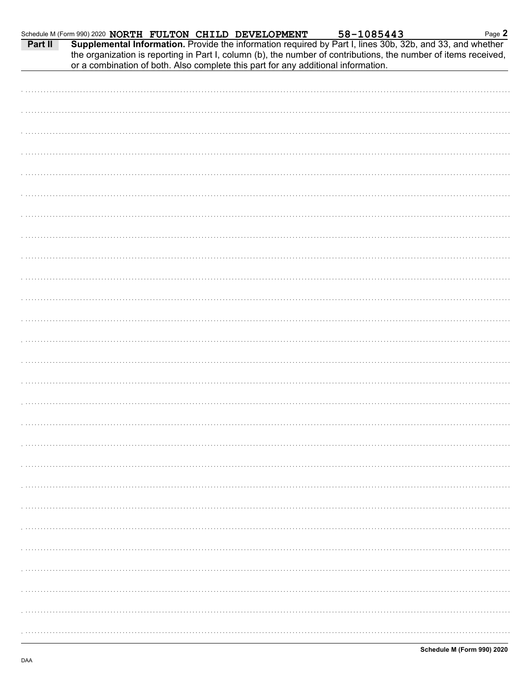| Part II | Schedule M (Form 990) 2020 NORTH FULTON CHILD DEVELOPMENT                         |  | 58-1085443 | Supplemental Information. Provide the information required by Part I, lines 30b, 32b, and 33, and whether<br>the organization is reporting in Part I, column (b), the number of contributions, the number of items received, | Page 2 |
|---------|-----------------------------------------------------------------------------------|--|------------|------------------------------------------------------------------------------------------------------------------------------------------------------------------------------------------------------------------------------|--------|
|         | or a combination of both. Also complete this part for any additional information. |  |            |                                                                                                                                                                                                                              |        |
|         |                                                                                   |  |            |                                                                                                                                                                                                                              |        |
|         |                                                                                   |  |            |                                                                                                                                                                                                                              |        |
|         |                                                                                   |  |            |                                                                                                                                                                                                                              |        |
|         |                                                                                   |  |            |                                                                                                                                                                                                                              |        |
|         |                                                                                   |  |            |                                                                                                                                                                                                                              |        |
|         |                                                                                   |  |            |                                                                                                                                                                                                                              |        |
|         |                                                                                   |  |            |                                                                                                                                                                                                                              |        |
|         |                                                                                   |  |            |                                                                                                                                                                                                                              |        |
|         |                                                                                   |  |            |                                                                                                                                                                                                                              |        |
|         |                                                                                   |  |            |                                                                                                                                                                                                                              |        |
|         |                                                                                   |  |            |                                                                                                                                                                                                                              |        |
|         |                                                                                   |  |            |                                                                                                                                                                                                                              |        |
|         |                                                                                   |  |            |                                                                                                                                                                                                                              |        |
|         |                                                                                   |  |            |                                                                                                                                                                                                                              |        |
|         |                                                                                   |  |            |                                                                                                                                                                                                                              |        |
|         |                                                                                   |  |            |                                                                                                                                                                                                                              |        |
|         |                                                                                   |  |            |                                                                                                                                                                                                                              |        |
|         |                                                                                   |  |            |                                                                                                                                                                                                                              |        |
|         |                                                                                   |  |            |                                                                                                                                                                                                                              |        |
|         |                                                                                   |  |            |                                                                                                                                                                                                                              |        |
|         |                                                                                   |  |            |                                                                                                                                                                                                                              |        |
|         |                                                                                   |  |            |                                                                                                                                                                                                                              |        |
|         |                                                                                   |  |            |                                                                                                                                                                                                                              |        |
|         |                                                                                   |  |            |                                                                                                                                                                                                                              |        |
|         |                                                                                   |  |            |                                                                                                                                                                                                                              |        |
|         |                                                                                   |  |            |                                                                                                                                                                                                                              |        |
|         |                                                                                   |  |            |                                                                                                                                                                                                                              |        |
|         |                                                                                   |  |            |                                                                                                                                                                                                                              |        |
|         |                                                                                   |  |            |                                                                                                                                                                                                                              |        |
|         |                                                                                   |  |            |                                                                                                                                                                                                                              |        |
|         |                                                                                   |  |            |                                                                                                                                                                                                                              |        |
|         |                                                                                   |  |            |                                                                                                                                                                                                                              |        |
|         |                                                                                   |  |            |                                                                                                                                                                                                                              |        |
|         |                                                                                   |  |            |                                                                                                                                                                                                                              |        |
|         |                                                                                   |  |            |                                                                                                                                                                                                                              |        |
|         |                                                                                   |  |            |                                                                                                                                                                                                                              |        |
|         |                                                                                   |  |            |                                                                                                                                                                                                                              |        |
|         |                                                                                   |  |            |                                                                                                                                                                                                                              |        |
|         |                                                                                   |  |            |                                                                                                                                                                                                                              |        |
|         |                                                                                   |  |            |                                                                                                                                                                                                                              |        |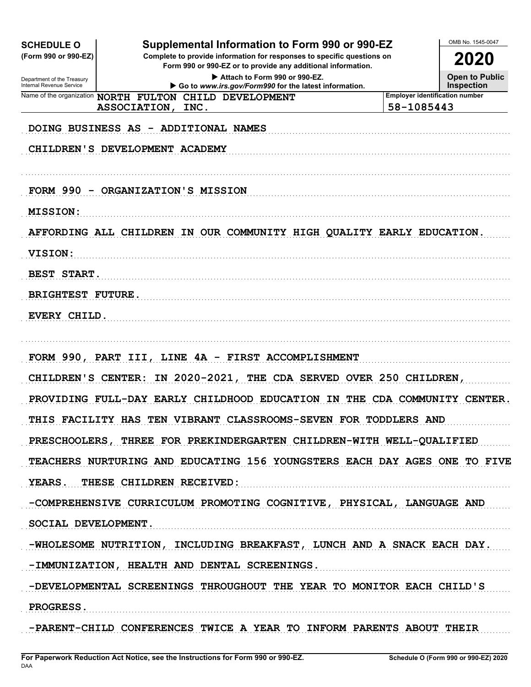| <b>SCHEDULE O</b><br>(Form 990 or 990-EZ)<br>Department of the Treasury | Supplemental Information to Form 990 or 990-EZ<br>Complete to provide information for responses to specific questions on<br>Form 990 or 990-EZ or to provide any additional information.<br>Attach to Form 990 or 990-EZ. |                                                     | OMB No. 1545-0047<br>2020<br><b>Open to Public</b> |
|-------------------------------------------------------------------------|---------------------------------------------------------------------------------------------------------------------------------------------------------------------------------------------------------------------------|-----------------------------------------------------|----------------------------------------------------|
| Internal Revenue Service                                                | Go to www.irs.gov/Form990 for the latest information.<br>Name of the organization NORTH FULTON CHILD DEVELOPMENT<br>ASSOCIATION, INC.                                                                                     | <b>Employer identification number</b><br>58-1085443 | <b>Inspection</b>                                  |
|                                                                         | DOING BUSINESS AS - ADDITIONAL NAMES                                                                                                                                                                                      |                                                     |                                                    |
|                                                                         | CHILDREN'S DEVELOPMENT ACADEMY                                                                                                                                                                                            |                                                     |                                                    |
|                                                                         | FORM 990 - ORGANIZATION'S MISSION                                                                                                                                                                                         |                                                     |                                                    |
| <b>MISSION:</b>                                                         |                                                                                                                                                                                                                           |                                                     |                                                    |
|                                                                         | AFFORDING ALL CHILDREN IN OUR COMMUNITY HIGH QUALITY EARLY EDUCATION.                                                                                                                                                     |                                                     |                                                    |
| <b>VISION:</b>                                                          |                                                                                                                                                                                                                           |                                                     |                                                    |
| BEST START.                                                             |                                                                                                                                                                                                                           |                                                     |                                                    |
| <b>BRIGHTEST FUTURE.</b>                                                |                                                                                                                                                                                                                           |                                                     |                                                    |
| EVERY CHILD.                                                            |                                                                                                                                                                                                                           |                                                     |                                                    |
|                                                                         | FORM 990, PART III, LINE 4A - FIRST ACCOMPLISHMENT                                                                                                                                                                        |                                                     |                                                    |
|                                                                         | CHILDREN'S CENTER: IN 2020-2021, THE CDA SERVED OVER 250 CHILDREN,                                                                                                                                                        |                                                     |                                                    |
|                                                                         | PROVIDING FULL-DAY EARLY CHILDHOOD EDUCATION IN THE CDA COMMUNITY CENTER.                                                                                                                                                 |                                                     |                                                    |
|                                                                         | THIS FACILITY HAS TEN VIBRANT CLASSROOMS-SEVEN FOR TODDLERS AND                                                                                                                                                           |                                                     |                                                    |
|                                                                         | PRESCHOOLERS, THREE FOR PREKINDERGARTEN CHILDREN-WITH WELL-QUALIFIED                                                                                                                                                      |                                                     |                                                    |
|                                                                         | TEACHERS NURTURING AND EDUCATING 156 YOUNGSTERS EACH DAY AGES ONE TO FIVE                                                                                                                                                 |                                                     |                                                    |
|                                                                         | YEARS. THESE CHILDREN RECEIVED:                                                                                                                                                                                           |                                                     |                                                    |
|                                                                         | -COMPREHENSIVE CURRICULUM PROMOTING COGNITIVE, PHYSICAL, LANGUAGE AND                                                                                                                                                     |                                                     |                                                    |
| SOCIAL DEVELOPMENT.                                                     |                                                                                                                                                                                                                           |                                                     |                                                    |
|                                                                         | -WHOLESOME NUTRITION, INCLUDING BREAKFAST, LUNCH AND A SNACK EACH DAY.                                                                                                                                                    |                                                     |                                                    |
|                                                                         | -IMMUNIZATION, HEALTH AND DENTAL SCREENINGS.                                                                                                                                                                              |                                                     |                                                    |
|                                                                         | -DEVELOPMENTAL SCREENINGS THROUGHOUT THE YEAR TO MONITOR EACH CHILD'S                                                                                                                                                     |                                                     |                                                    |
| PROGRESS.                                                               |                                                                                                                                                                                                                           |                                                     |                                                    |
|                                                                         | -PARENT-CHILD CONFERENCES TWICE A YEAR TO INFORM PARENTS ABOUT THEIR                                                                                                                                                      |                                                     |                                                    |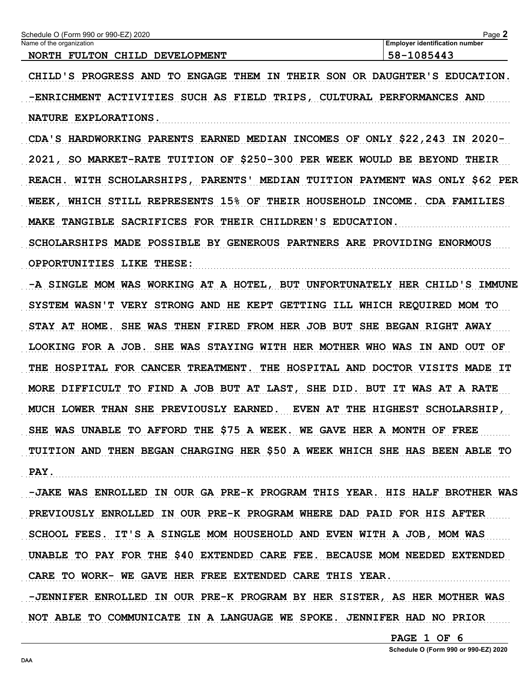| Schedule O (Form 990 or 990-EZ) 2020<br>Name of the organization                         | Page 2<br><b>Employer identification number</b> |
|------------------------------------------------------------------------------------------|-------------------------------------------------|
| NORTH FULTON CHILD DEVELOPMENT                                                           | 58-1085443                                      |
| CHILD'S PROGRESS AND TO ENGAGE                                                           | THEM IN THEIR SON OR DAUGHTER'S EDUCATION.      |
| -ENRICHMENT ACTIVITIES SUCH AS FIELD TRIPS, CULTURAL PERFORMANCES AND                    |                                                 |
| NATURE EXPLORATIONS.                                                                     |                                                 |
| CDA'S HARDWORKING PARENTS EARNED MEDIAN INCOMES OF ONLY \$22,243 IN 2020-                |                                                 |
| SO MARKET-RATE TUITION OF \$250-300 PER WEEK WOULD BE BEYOND THEIR<br>2021,              |                                                 |
| PARENTS' MEDIAN TUITION PAYMENT WAS ONLY \$62 PER<br>WITH SCHOLARSHIPS,<br><b>REACH.</b> |                                                 |
| WEEK, WHICH STILL REPRESENTS 15% OF THEIR HOUSEHOLD INCOME. CDA FAMILIES                 |                                                 |
| TANGIBLE SACRIFICES FOR THEIR CHILDREN'S EDUCATION.<br><b>MAKE</b>                       |                                                 |
| SCHOLARSHIPS MADE POSSIBLE BY GENEROUS PARTNERS ARE PROVIDING ENORMOUS                   |                                                 |
| OPPORTUNITIES LIKE THESE:                                                                |                                                 |
| -A SINGLE MOM WAS WORKING AT A HOTEL, BUT UNFORTUNATELY HER CHILD'S IMMUNE               |                                                 |
| SYSTEM WASN'T VERY STRONG AND HE KEPT GETTING ILL WHICH REQUIRED MOM TO                  |                                                 |
| SHE WAS THEN FIRED FROM HER JOB BUT SHE BEGAN RIGHT AWAY<br>STAY AT HOME.                |                                                 |
| LOOKING FOR A JOB. SHE WAS STAYING WITH HER MOTHER WHO WAS IN AND OUT OF                 |                                                 |
| THE HOSPITAL FOR CANCER TREATMENT.                                                       | THE HOSPITAL AND DOCTOR VISITS MADE IT          |
| TO FIND A JOB BUT AT LAST, SHE DID. BUT IT WAS AT A RATE<br>MORE DIFFICULT               |                                                 |
| MUCH LOWER THAN SHE PREVIOUSLY EARNED.                                                   | EVEN AT THE HIGHEST SCHOLARSHIP,                |
| SHE WAS UNABLE TO AFFORD THE \$75 A WEEK. WE GAVE HER A MONTH OF FREE                    |                                                 |
| TUITION AND THEN BEGAN CHARGING HER \$50 A WEEK WHICH SHE HAS BEEN ABLE TO               |                                                 |
| PAY.                                                                                     |                                                 |
| -JAKE WAS ENROLLED IN OUR GA PRE-K PROGRAM THIS YEAR. HIS HALF BROTHER WAS               |                                                 |
| PREVIOUSLY ENROLLED IN OUR PRE-K PROGRAM WHERE DAD PAID FOR HIS AFTER                    |                                                 |
| SCHOOL FEES. IT'S A SINGLE MOM HOUSEHOLD AND EVEN WITH A JOB, MOM WAS                    |                                                 |
| UNABLE TO PAY FOR THE \$40 EXTENDED CARE FEE. BECAUSE MOM NEEDED EXTENDED                |                                                 |
| CARE TO WORK- WE GAVE HER FREE EXTENDED CARE THIS YEAR.                                  |                                                 |
| -JENNIFER ENROLLED IN OUR PRE-K PROGRAM BY HER SISTER, AS HER MOTHER WAS                 |                                                 |
| NOT ABLE TO COMMUNICATE IN A LANGUAGE WE SPOKE. JENNIFER HAD NO PRIOR                    |                                                 |

PAGE 1 OF 6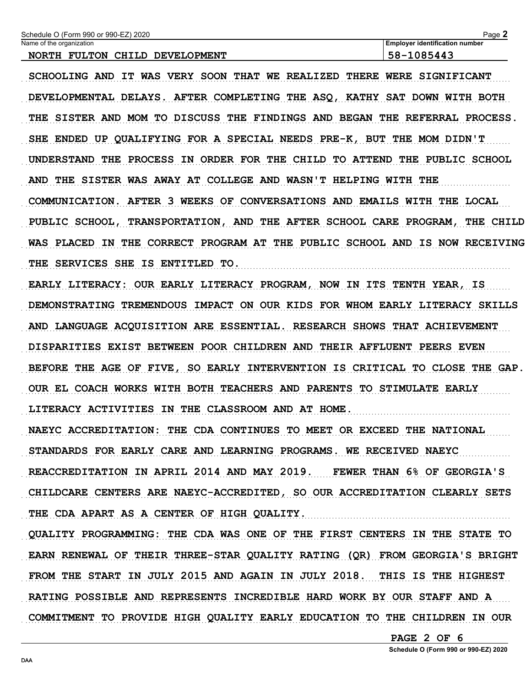| rvame or the organization<br>NORTH FULTON CHILD DEVELOPMENT                 | Employer identification number<br>58-1085443        |
|-----------------------------------------------------------------------------|-----------------------------------------------------|
| SCHOOLING AND IT WAS VERY SOON THAT WE REALIZED THERE WERE SIGNIFICANT      |                                                     |
| DEVELOPMENTAL DELAYS. AFTER COMPLETING THE ASQ, KATHY SAT DOWN WITH BOTH    |                                                     |
| THE SISTER AND MOM TO DISCUSS THE FINDINGS AND BEGAN THE REFERRAL PROCESS.  |                                                     |
| SHE ENDED UP QUALIFYING FOR A SPECIAL NEEDS PRE-K, BUT THE MOM DIDN'T       |                                                     |
| UNDERSTAND THE PROCESS IN ORDER FOR THE CHILD TO ATTEND THE PUBLIC SCHOOL   |                                                     |
| AND THE SISTER WAS AWAY AT COLLEGE AND WASN'T HELPING WITH THE              |                                                     |
| COMMUNICATION. AFTER 3 WEEKS OF CONVERSATIONS AND EMAILS WITH THE LOCAL     |                                                     |
| PUBLIC SCHOOL, TRANSPORTATION, AND THE AFTER SCHOOL CARE PROGRAM, THE CHILD |                                                     |
| WAS PLACED IN THE CORRECT PROGRAM AT THE PUBLIC SCHOOL AND IS NOW RECEIVING |                                                     |
| THE SERVICES SHE IS ENTITLED TO.                                            |                                                     |
| EARLY LITERACY: OUR EARLY LITERACY PROGRAM, NOW IN ITS TENTH YEAR, IS       |                                                     |
| DEMONSTRATING TREMENDOUS IMPACT ON OUR KIDS FOR WHOM EARLY LITERACY SKILLS  |                                                     |
| AND LANGUAGE ACQUISITION ARE ESSENTIAL. RESEARCH SHOWS THAT ACHIEVEMENT     |                                                     |
| DISPARITIES EXIST BETWEEN POOR CHILDREN AND THEIR AFFLUENT PEERS EVEN       |                                                     |
| BEFORE THE AGE OF FIVE, SO EARLY INTERVENTION IS CRITICAL TO CLOSE THE GAP. |                                                     |
| OUR EL COACH WORKS WITH BOTH TEACHERS AND PARENTS TO STIMULATE EARLY        |                                                     |
| LITERACY ACTIVITIES IN THE CLASSROOM AND AT HOME.                           |                                                     |
| NAEYC ACCREDITATION: THE CDA CONTINUES TO MEET OR EXCEED THE NATIONAL       |                                                     |
| STANDARDS FOR EARLY CARE AND LEARNING PROGRAMS. WE RECEIVED NAEYC           |                                                     |
| REACCREDITATION IN APRIL 2014 AND MAY 2019. FEWER THAN 6% OF GEORGIA'S      |                                                     |
| CHILDCARE CENTERS ARE NAEYC-ACCREDITED, SO OUR ACCREDITATION CLEARLY SETS   |                                                     |
| THE CDA APART AS A CENTER OF HIGH QUALITY.                                  |                                                     |
| QUALITY PROGRAMMING: THE CDA WAS ONE OF THE FIRST CENTERS IN THE STATE TO   |                                                     |
| EARN RENEWAL OF THEIR THREE-STAR QUALITY RATING (QR) FROM GEORGIA'S BRIGHT  |                                                     |
| FROM THE START IN JULY 2015 AND AGAIN IN JULY 2018. THIS IS THE HIGHEST     |                                                     |
| RATING POSSIBLE AND REPRESENTS INCREDIBLE HARD WORK BY OUR STAFF AND A      |                                                     |
| COMMITMENT TO PROVIDE HIGH QUALITY EARLY EDUCATION TO THE CHILDREN IN OUR   |                                                     |
|                                                                             | PAGE 2 OF 6<br>Schedule O (Form 990 or 990-EZ) 2020 |

Page 2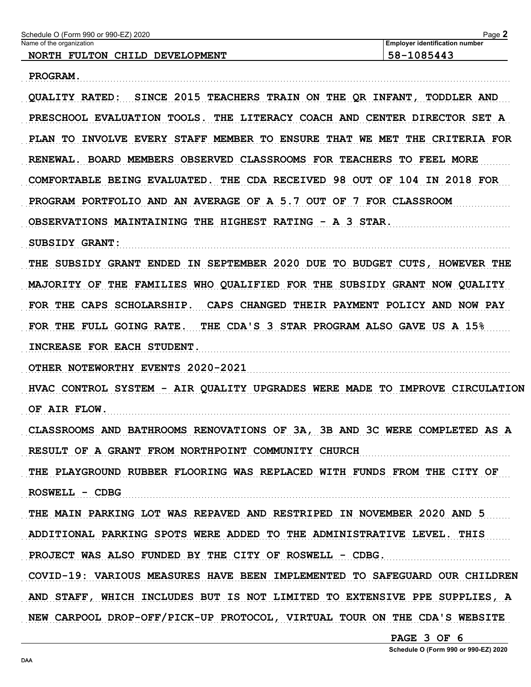| Name of the organization<br>NORTH FULTON CHILD DEVELOPMENT                       | <b>Employer identification number</b><br>58-1085443 |
|----------------------------------------------------------------------------------|-----------------------------------------------------|
| PROGRAM.                                                                         |                                                     |
| SINCE 2015 TEACHERS TRAIN ON THE QR INFANT, TODDLER AND<br><b>OUALITY RATED:</b> |                                                     |
| PRESCHOOL EVALUATION TOOLS. THE LITERACY COACH AND CENTER DIRECTOR SET A         |                                                     |
| PLAN TO INVOLVE EVERY STAFF MEMBER TO ENSURE THAT WE MET THE CRITERIA FOR        |                                                     |
| RENEWAL. BOARD MEMBERS OBSERVED CLASSROOMS FOR TEACHERS TO FEEL MORE             |                                                     |
| COMFORTABLE BEING EVALUATED. THE CDA RECEIVED 98 OUT OF 104 IN 2018 FOR          |                                                     |
| PROGRAM PORTFOLIO AND AN AVERAGE OF A 5.7 OUT OF 7 FOR CLASSROOM                 |                                                     |
| OBSERVATIONS MAINTAINING THE HIGHEST RATING - A 3 STAR.                          |                                                     |
| <b>SUBSIDY GRANT:</b>                                                            |                                                     |
| THE SUBSIDY GRANT ENDED IN SEPTEMBER 2020 DUE TO BUDGET CUTS, HOWEVER THE        |                                                     |
| MAJORITY OF THE FAMILIES WHO QUALIFIED FOR THE SUBSIDY GRANT NOW QUALITY         |                                                     |
| FOR THE CAPS SCHOLARSHIP.                                                        | CAPS CHANGED THEIR PAYMENT POLICY AND NOW PAY       |
| FOR THE FULL GOING RATE.<br>THE CDA'S 3 STAR PROGRAM ALSO GAVE US A 15%          |                                                     |
| INCREASE FOR EACH STUDENT.                                                       |                                                     |
| OTHER NOTEWORTHY EVENTS 2020-2021                                                |                                                     |
| HVAC CONTROL SYSTEM - AIR QUALITY UPGRADES WERE MADE TO IMPROVE CIRCULATION      |                                                     |
| OF AIR FLOW.                                                                     |                                                     |
| CLASSROOMS AND BATHROOMS RENOVATIONS OF 3A, 3B AND 3C WERE COMPLETED AS A        |                                                     |
| RESULT OF A GRANT FROM NORTHPOINT COMMUNITY CHURCH                               |                                                     |
| THE PLAYGROUND RUBBER FLOORING WAS REPLACED WITH FUNDS FROM THE CITY OF          |                                                     |
| ROSWELL - CDBG                                                                   |                                                     |
| THE MAIN PARKING LOT WAS REPAVED AND RESTRIPED IN NOVEMBER 2020 AND 5            |                                                     |
| ADDITIONAL PARKING SPOTS WERE ADDED TO THE ADMINISTRATIVE LEVEL. THIS            |                                                     |
| PROJECT WAS ALSO FUNDED BY THE CITY OF ROSWELL - CDBG.                           |                                                     |
| COVID-19: VARIOUS MEASURES HAVE BEEN IMPLEMENTED TO SAFEGUARD OUR CHILDREN       |                                                     |
| AND STAFF, WHICH INCLUDES BUT IS NOT LIMITED TO EXTENSIVE PPE SUPPLIES, A        |                                                     |
| NEW CARPOOL DROP-OFF/PICK-UP PROTOCOL, VIRTUAL TOUR ON THE CDA'S WEBSITE         |                                                     |
|                                                                                  | PAGE 3 OF 6                                         |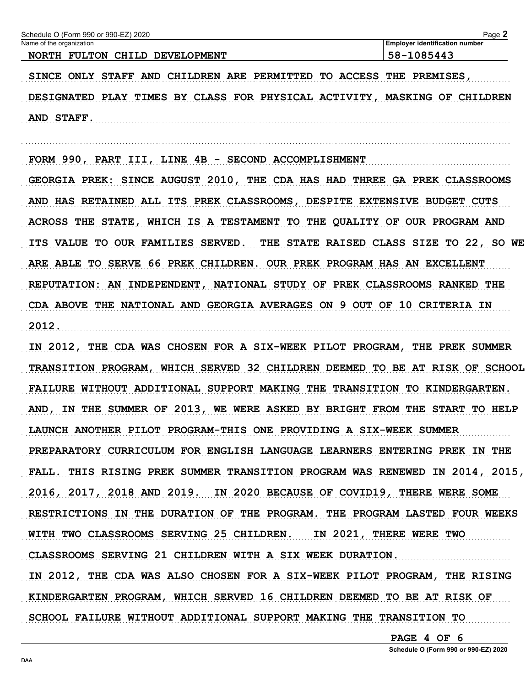| Name of the organization                                                       | <b>Employer identification number</b>    |
|--------------------------------------------------------------------------------|------------------------------------------|
| NORTH FULTON CHILD DEVELOPMENT                                                 | 58-1085443                               |
| SINCE ONLY STAFF AND CHILDREN ARE PERMITTED TO ACCESS                          | THE PREMISES,                            |
| DESIGNATED PLAY TIMES BY CLASS FOR PHYSICAL ACTIVITY, MASKING OF CHILDREN      |                                          |
| AND STAFF.                                                                     |                                          |
|                                                                                |                                          |
| FORM 990, PART III, LINE 4B - SECOND ACCOMPLISHMENT                            |                                          |
| GEORGIA PREK: SINCE AUGUST 2010, THE CDA HAS HAD THREE GA PREK CLASSROOMS      |                                          |
| AND HAS RETAINED ALL ITS PREK CLASSROOMS, DESPITE EXTENSIVE BUDGET CUTS        |                                          |
| ACROSS THE STATE, WHICH IS A TESTAMENT TO THE QUALITY OF OUR PROGRAM AND       |                                          |
| ITS VALUE TO OUR FAMILIES SERVED.                                              | THE STATE RAISED CLASS SIZE TO 22, SO WE |
| ARE ABLE TO SERVE 66 PREK CHILDREN. OUR PREK PROGRAM HAS AN EXCELLENT          |                                          |
| REPUTATION: AN INDEPENDENT, NATIONAL STUDY OF PREK CLASSROOMS RANKED THE       |                                          |
| CDA ABOVE THE NATIONAL AND GEORGIA AVERAGES ON 9 OUT OF 10 CRITERIA IN         |                                          |
| 2012.                                                                          |                                          |
| IN 2012, THE CDA WAS CHOSEN FOR A SIX-WEEK PILOT PROGRAM, THE PREK SUMMER      |                                          |
| TRANSITION PROGRAM, WHICH SERVED 32 CHILDREN DEEMED TO BE AT RISK OF SCHOOL    |                                          |
| FAILURE WITHOUT ADDITIONAL SUPPORT MAKING THE TRANSITION TO KINDERGARTEN.      |                                          |
| IN THE SUMMER OF 2013, WE WERE ASKED BY BRIGHT FROM THE START TO HELP<br>AND , |                                          |
| LAUNCH ANOTHER PILOT PROGRAM-THIS ONE PROVIDING A SIX-WEEK SUMMER              |                                          |
| PREPARATORY CURRICULUM FOR ENGLISH LANGUAGE LEARNERS ENTERING PREK IN THE      |                                          |
| FALL. THIS RISING PREK SUMMER TRANSITION PROGRAM WAS RENEWED IN 2014, 2015,    |                                          |
| 2016, 2017, 2018 AND 2019. IN 2020 BECAUSE OF COVID19, THERE WERE SOME         |                                          |
| RESTRICTIONS IN THE DURATION OF THE PROGRAM. THE PROGRAM LASTED FOUR WEEKS     |                                          |
| WITH TWO CLASSROOMS SERVING 25 CHILDREN. IN 2021, THERE WERE TWO               |                                          |
| CLASSROOMS SERVING 21 CHILDREN WITH A SIX WEEK DURATION.                       |                                          |
| IN 2012, THE CDA WAS ALSO CHOSEN FOR A SIX-WEEK PILOT PROGRAM, THE RISING      |                                          |
| KINDERGARTEN PROGRAM, WHICH SERVED 16 CHILDREN DEEMED TO BE AT RISK OF         |                                          |
| SCHOOL FAILURE WITHOUT ADDITIONAL SUPPORT MAKING THE TRANSITION TO             |                                          |
|                                                                                | PAGE 4 OF 6                              |
|                                                                                | Schedule O (Form 990 or 990-EZ) 2020     |

DAA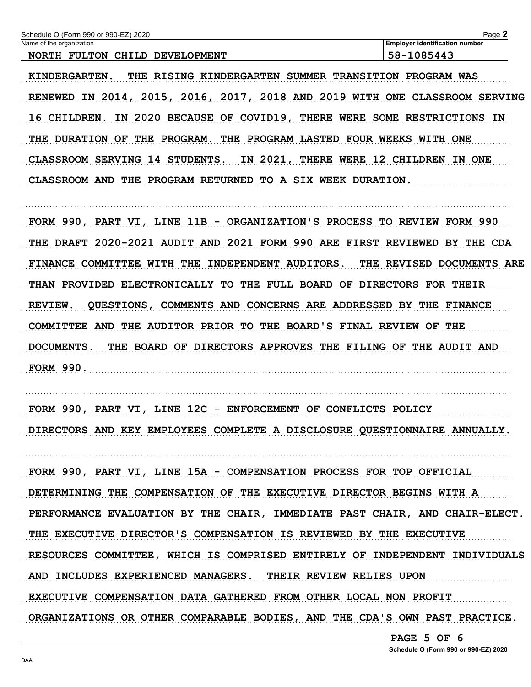| Schedule O (Form 990 or 990-EZ) 2020 | Page $\blacktriangle$                 |
|--------------------------------------|---------------------------------------|
| Name of the organization             | <b>Employer identification number</b> |
| NORTH FULTON CHILD DEVELOPMENT       | 58-1085443                            |
|                                      |                                       |

KINDERGARTEN. THE RISING KINDERGARTEN SUMMER TRANSITION PROGRAM WAS RENEWED IN 2014, 2015, 2016, 2017, 2018 AND 2019 WITH ONE CLASSROOM SERVING 16 CHILDREN. IN 2020 BECAUSE OF COVID19, THERE WERE SOME RESTRICTIONS IN THE DURATION OF THE PROGRAM. THE PROGRAM LASTED FOUR WEEKS WITH ONE CLASSROOM SERVING 14 STUDENTS. IN 2021, THERE WERE 12 CHILDREN IN ONE CLASSROOM AND THE PROGRAM RETURNED TO A SIX WEEK DURATION.

FORM 990, PART VI, LINE 11B - ORGANIZATION'S PROCESS TO REVIEW FORM 990 THE DRAFT 2020-2021 AUDIT AND 2021 FORM 990 ARE FIRST REVIEWED BY THE CDA FINANCE COMMITTEE WITH THE INDEPENDENT AUDITORS. THE REVISED DOCUMENTS ARE THAN PROVIDED ELECTRONICALLY TO THE FULL BOARD OF DIRECTORS FOR THEIR REVIEW. QUESTIONS, COMMENTS AND CONCERNS ARE ADDRESSED BY THE FINANCE COMMITTEE AND THE AUDITOR PRIOR TO THE BOARD'S FINAL REVIEW OF THE DOCUMENTS. THE BOARD OF DIRECTORS APPROVES THE FILING OF THE AUDIT AND **FORM 990.** 

FORM 990, PART VI, LINE 12C - ENFORCEMENT OF CONFLICTS POLICY DIRECTORS AND KEY EMPLOYEES COMPLETE A DISCLOSURE QUESTIONNAIRE ANNUALLY.

FORM 990, PART VI, LINE 15A - COMPENSATION PROCESS FOR TOP OFFICIAL DETERMINING THE COMPENSATION OF THE EXECUTIVE DIRECTOR BEGINS WITH A PERFORMANCE EVALUATION BY THE CHAIR, IMMEDIATE PAST CHAIR, AND CHAIR-ELECT. THE EXECUTIVE DIRECTOR'S COMPENSATION IS REVIEWED BY THE EXECUTIVE RESOURCES COMMITTEE, WHICH IS COMPRISED ENTIRELY OF INDEPENDENT INDIVIDUALS AND INCLUDES EXPERIENCED MANAGERS. THEIR REVIEW RELIES UPON EXECUTIVE COMPENSATION DATA GATHERED FROM OTHER LOCAL NON PROFIT ORGANIZATIONS OR OTHER COMPARABLE BODIES, AND THE CDA'S OWN PAST PRACTICE.

PAGE 5 OF 6